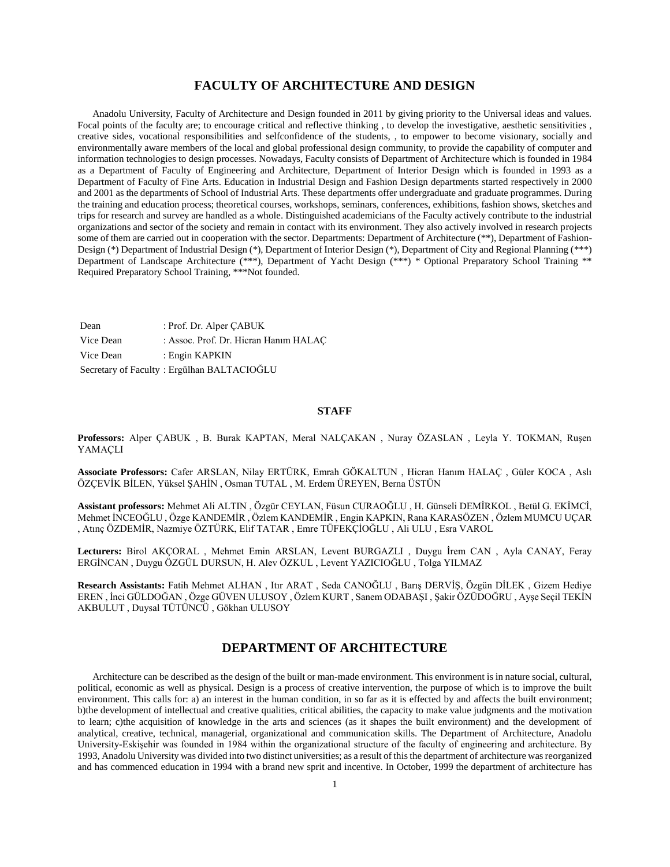# **FACULTY OF ARCHITECTURE AND DESIGN**

 Anadolu University, Faculty of Architecture and Design founded in 2011 by giving priority to the Universal ideas and values. Focal points of the faculty are; to encourage critical and reflective thinking, to develop the investigative, aesthetic sensitivities, creative sides, vocational responsibilities and selfconfidence of the students, , to empower to become visionary, socially and environmentally aware members of the local and global professional design community, to provide the capability of computer and information technologies to design processes. Nowadays, Faculty consists of Department of Architecture which is founded in 1984 as a Department of Faculty of Engineering and Architecture, Department of Interior Design which is founded in 1993 as a Department of Faculty of Fine Arts. Education in Industrial Design and Fashion Design departments started respectively in 2000 and 2001 as the departments of School of Industrial Arts. These departments offer undergraduate and graduate programmes. During the training and education process; theoretical courses, workshops, seminars, conferences, exhibitions, fashion shows, sketches and trips for research and survey are handled as a whole. Distinguished academicians of the Faculty actively contribute to the industrial organizations and sector of the society and remain in contact with its environment. They also actively involved in research projects some of them are carried out in cooperation with the sector. Departments: Department of Architecture (\*\*), Department of Fashion-Design (\*) Department of Industrial Design (\*), Department of Interior Design (\*), Department of City and Regional Planning (\*\*\*) Department of Landscape Architecture (\*\*\*), Department of Yacht Design (\*\*\*) \* Optional Preparatory School Training \*\* Required Preparatory School Training, \*\*\*Not founded.

Dean : Prof. Dr. Alper ÇABUK Vice Dean : Assoc. Prof. Dr. Hicran Hanim HALAC Vice Dean : Engin KAPKIN Secretary of Faculty : Ergülhan BALTACIOĞLU

#### **STAFF**

**Professors:** Alper ÇABUK , B. Burak KAPTAN, Meral NALÇAKAN , Nuray ÖZASLAN , Leyla Y. TOKMAN, Ruşen YAMAÇLI

**Associate Professors:** Cafer ARSLAN, Nilay ERTÜRK, Emrah GÖKALTUN , Hicran Hanım HALAÇ , Güler KOCA , Aslı ÖZÇEVİK BİLEN, Yüksel ŞAHİN , Osman TUTAL , M. Erdem ÜREYEN, Berna ÜSTÜN

**Assistant professors:** Mehmet Ali ALTIN , Özgür CEYLAN, Füsun CURAOĞLU , H. Günseli DEMİRKOL , Betül G. EKİMCİ, Mehmet İNCEOĞLU , Özge KANDEMİR , Özlem KANDEMİR , Engin KAPKIN, Rana KARASÖZEN , Özlem MUMCU UÇAR , Atınç ÖZDEMİR, Nazmiye ÖZTÜRK, Elif TATAR , Emre TÜFEKÇİOĞLU , Ali ULU , Esra VAROL

**Lecturers:** Birol AKÇORAL , Mehmet Emin ARSLAN, Levent BURGAZLI , Duygu İrem CAN , Ayla CANAY, Feray ERGİNCAN , Duygu ÖZGÜL DURSUN, H. Alev ÖZKUL , Levent YAZICIOĞLU , Tolga YILMAZ

**Research Assistants:** Fatih Mehmet ALHAN , Itır ARAT , Seda CANOĞLU , Barış DERVİŞ, Özgün DİLEK , Gizem Hediye EREN , İnci GÜLDOĞAN , Özge GÜVEN ULUSOY , Özlem KURT , Sanem ODABAŞI , Şakir ÖZÜDOĞRU , Ayşe Seçil TEKİN AKBULUT , Duysal TÜTÜNCÜ , Gökhan ULUSOY

# **DEPARTMENT OF ARCHITECTURE**

 Architecture can be described as the design of the built or man-made environment. This environment is in nature social, cultural, political, economic as well as physical. Design is a process of creative intervention, the purpose of which is to improve the built environment. This calls for: a) an interest in the human condition, in so far as it is effected by and affects the built environment; b)the development of intellectual and creative qualities, critical abilities, the capacity to make value judgments and the motivation to learn; c)the acquisition of knowledge in the arts and sciences (as it shapes the built environment) and the development of analytical, creative, technical, managerial, organizational and communication skills. The Department of Architecture, Anadolu University-Eskişehir was founded in 1984 within the organizational structure of the faculty of engineering and architecture. By 1993, Anadolu University was divided into two distinct universities; as a result of this the department of architecture was reorganized and has commenced education in 1994 with a brand new sprit and incentive. In October, 1999 the department of architecture has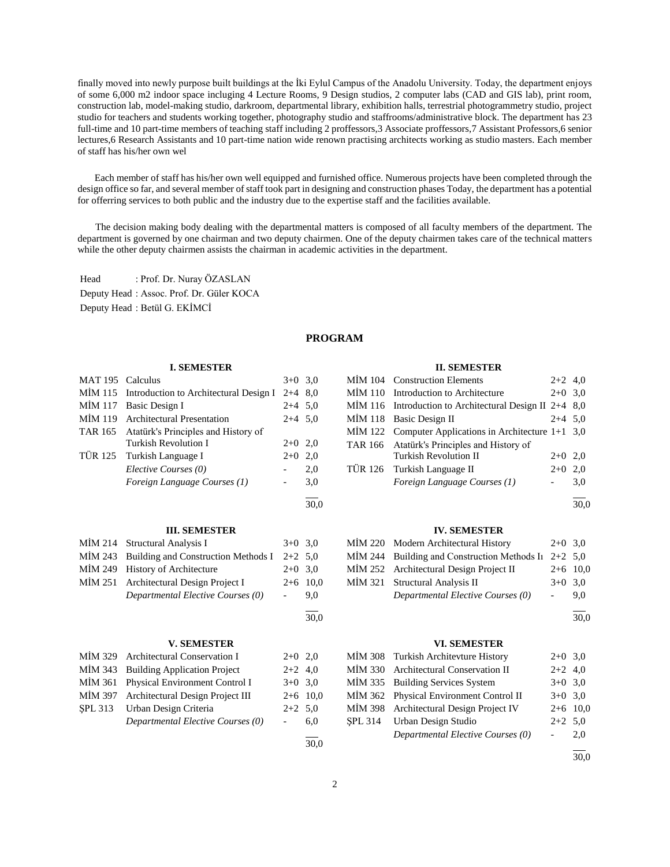finally moved into newly purpose built buildings at the İki Eylul Campus of the Anadolu University. Today, the department enjoys of some 6,000 m2 indoor space incluging 4 Lecture Rooms, 9 Design studios, 2 computer labs (CAD and GIS lab), print room, construction lab, model-making studio, darkroom, departmental library, exhibition halls, terrestrial photogrammetry studio, project studio for teachers and students working together, photography studio and staffrooms/administrative block. The department has 23 full-time and 10 part-time members of teaching staff including 2 proffessors,3 Associate proffessors,7 Assistant Professors,6 senior lectures,6 Research Assistants and 10 part-time nation wide renown practising architects working as studio masters. Each member of staff has his/her own wel

 Each member of staff has his/her own well equipped and furnished office. Numerous projects have been completed through the design office so far, and several member of staff took part in designing and construction phases Today, the department has a potential for offerring services to both public and the industry due to the expertise staff and the facilities available.

 The decision making body dealing with the departmental matters is composed of all faculty members of the department. The department is governed by one chairman and two deputy chairmen. One of the deputy chairmen takes care of the technical matters while the other deputy chairmen assists the chairman in academic activities in the department.

Head : Prof. Dr. Nuray ÖZASLAN Deputy Head : Assoc. Prof. Dr. Güler KOCA Deputy Head : Betül G. EKİMCİ

## **PROGRAM**

#### **I. SEMESTER**

| <b>MAT 195</b> | Calculus                               | $3+0$   | 3,0  |
|----------------|----------------------------------------|---------|------|
| <b>MİM 115</b> | Introduction to Architectural Design I | $2 + 4$ | 8,0  |
| <b>MİM</b> 117 | Basic Design I                         | $2 + 4$ | 5,0  |
| MİM 119        | <b>Architectural Presentation</b>      | $2 + 4$ | 5,0  |
| <b>TAR 165</b> | Atatürk's Principles and History of    |         |      |
|                | Turkish Revolution I                   | $2+0$   | 2,0  |
| TÜR 125        | Turkish Language I                     | $2+0$   | 2,0  |
|                | Elective Courses (0)                   |         | 2,0  |
|                | Foreign Language Courses (1)           |         | 3,0  |
|                |                                        |         |      |
|                |                                        |         | 30,0 |
|                | <b>III. SEMESTER</b>                   |         |      |
| MIM 214        | <b>Structural Analysis I</b>           | $3+0$   | 3,0  |
| MIM 243        | Building and Construction Methods I    | $2 + 2$ | 5,0  |
| MİM 249        | History of Architecture                | $2+0$   | 3,0  |
| MİM 251        | Architectural Design Project I         | $2+6$   | 10,0 |
|                | Departmental Elective Courses (0)      |         | 9,0  |
|                |                                        |         | 30,0 |
|                |                                        |         |      |
|                | <b>V. SEMESTER</b>                     |         |      |
| MİM 329        | <b>Architectural Conservation I</b>    | $2+0$   | 2,0  |
| MIM 343        | <b>Building Application Project</b>    | $2+2$   | 4,0  |
| MİM 361        | Physical Environment Control I         | $3+0$   | 3,0  |
| MİM 397        | Architectural Design Project III       | $2+6$   | 10,0 |
| SPL 313        | Urban Design Criteria                  | $2+2$   | 5,0  |
|                | Departmental Elective Courses (0)      |         | 6,0  |
|                |                                        |         |      |

#### **II. SEMESTER**

|  | MİM 104 Construction Elements                             | $2+2$ 4.0 |     |
|--|-----------------------------------------------------------|-----------|-----|
|  | MIM 110 Introduction to Architecture                      | $2+0$ 3,0 |     |
|  | MIM 116 Introduction to Architectural Design II $2+4$ 8,0 |           |     |
|  | MIM 118 Basic Design II                                   | $2+4$ 5.0 |     |
|  | MİM 122 Computer Applications in Architecture $1+1$ 3,0   |           |     |
|  | TAR 166 Atatürk's Principles and History of               |           |     |
|  | <b>Turkish Revolution II</b>                              | $2+0$ 2.0 |     |
|  | TÜR 126 Turkish Language II                               | $2+0$     | 2.0 |
|  | Foreign Language Courses (1)                              |           | 3,0 |

 $\overline{a}$ 30,0

#### **IV. SEMESTER**

| MİM 220 Modern Architectural History                   | $2+0$ 3.0 |            |
|--------------------------------------------------------|-----------|------------|
| MİM 244 Building and Construction Methods In $2+2$ 5,0 |           |            |
| MİM 252 Architectural Design Project II                |           | $2+6$ 10,0 |
| MİM 321 Structural Analysis II                         | $3+0$ 3.0 |            |
| Departmental Elective Courses (0)                      |           | 9.0        |

l  $\frac{1}{30.0}$ 

#### **VI. SEMESTER**

| MIM 308 Turkish Architevture History    | $2+0$ 3.0           |     |
|-----------------------------------------|---------------------|-----|
| MIM 330 Architectural Conservation II   | $2+2$ 4,0           |     |
| MİM 335 Building Services System        | $3+0$ 3.0           |     |
| MIM 362 Physical Environment Control II | $3+0$ 3.0           |     |
| MIM 398 Architectural Design Project IV | $2+6$ 10,0          |     |
| SPL 314 Urban Design Studio             | $2+2$ 5.0           |     |
| Departmental Elective Courses (0)       | $\omega_{\rm{max}}$ | 2.0 |
|                                         |                     |     |

30,0

30,0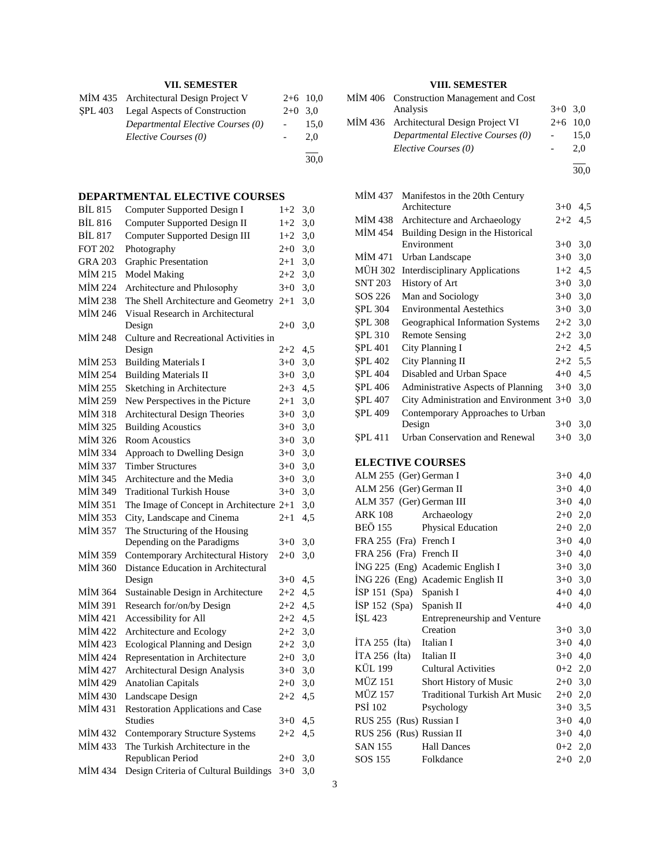# **VII. SEMESTER**

| MIM 435 Architectural Design Project V |           | $2+6$ 10.0 |
|----------------------------------------|-----------|------------|
| SPL 403 Legal Aspects of Construction  | $2+0$ 3.0 |            |
| Departmental Elective Courses (0)      |           | 15,0       |
| Elective Courses (0)                   |           | 2.0        |
|                                        |           | 30,0       |

# **DEPARTMENTAL ELECTIVE COURSES**

| <b>BIL 815</b> | Computer Supported Design I                                | $1+2$    | 3,0 |
|----------------|------------------------------------------------------------|----------|-----|
| <b>BİL 816</b> | <b>Computer Supported Design II</b>                        | $1+2$    | 3,0 |
| <b>BİL 817</b> | <b>Computer Supported Design III</b>                       | $1+2$    | 3,0 |
| <b>FOT 202</b> | Photography                                                | $2+0$    | 3,0 |
| <b>GRA 203</b> | Graphic Presentation                                       | $2+1$    | 3,0 |
| MİM 215        | <b>Model Making</b>                                        | $2 + 2$  | 3,0 |
| MİM 224        | Architecture and Philosophy                                | $3 + 0$  | 3,0 |
| <b>MİM 238</b> | The Shell Architecture and Geometry                        | $2 + 1$  | 3,0 |
| MİM 246        | Visual Research in Architectural                           |          |     |
|                | Design                                                     | $2+0$    | 3,0 |
| MİM 248        | Culture and Recreational Activities in                     |          |     |
|                | Design                                                     | $2 + 2$  | 4,5 |
| MIM 253        | <b>Building Materials I</b>                                | $3+0$    | 3,0 |
| MİM 254        | <b>Building Materials II</b>                               | $3+0$    | 3,0 |
| MİM 255        | Sketching in Architecture                                  | $2 + 3$  | 4,5 |
| MİM 259        | New Perspectives in the Picture                            | $2+1$    | 3,0 |
| MİM 318        | <b>Architectural Design Theories</b>                       | $3+0$    | 3,0 |
| MIM 325        | <b>Building Acoustics</b>                                  | $3+0$    | 3,0 |
| MİM 326        | <b>Room Acoustics</b>                                      | $3+0$    | 3,0 |
| MİM 334        | Approach to Dwelling Design                                | $3+0$    | 3,0 |
| MİM 337        | <b>Timber Structures</b>                                   | $3+0$    | 3,0 |
| MIM 345        | Architecture and the Media                                 | $3+0$    | 3,0 |
| MİM 349        | <b>Traditional Turkish House</b>                           | $3+0$    | 3,0 |
| MİM 351        | The Image of Concept in Architecture 2+1                   |          | 3,0 |
| <b>MİM 353</b> | City, Landscape and Cinema                                 | $^{2+1}$ | 4,5 |
| MIM 357        | The Structuring of the Housing                             |          |     |
|                | Depending on the Paradigms                                 | $3+0$    | 3,0 |
| MİM 359        | Contemporary Architectural History                         | $2 + 0$  | 3,0 |
| <b>MİM 360</b> | Distance Education in Architectural                        |          |     |
|                | Design                                                     | $3+0$    | 4,5 |
| MIM 364        | Sustainable Design in Architecture                         | $2 + 2$  | 4,5 |
| MİM 391        | Research for/on/by Design                                  | $2 + 2$  | 4,5 |
| MİM 421        | Accessibility for All                                      | $2 + 2$  | 4,5 |
| MİM 422        | Architecture and Ecology                                   | $2 + 2$  | 3,0 |
| MİM 423        | Ecological Planning and Design                             | $2 + 2$  | 3,0 |
| MİM 424        | Representation in Architecture                             | $2+0$    | 3,0 |
| MİM 427        | Architectural Design Analysis                              | $3+0$    | 3,0 |
| MİM 429        | <b>Anatolian Capitals</b>                                  | $2+0$    | 3,0 |
| MİM 430        | Landscape Design                                           | $2 + 2$  | 4,5 |
| MİM 431        | <b>Restoration Applications and Case</b><br><b>Studies</b> |          |     |
|                |                                                            | $3+0$    | 4,5 |
| MIM 432        | <b>Contemporary Structure Systems</b>                      | $2 + 2$  | 4,5 |
| MİM 433        | The Turkish Architecture in the<br>Republican Period       | $2 + 0$  | 3,0 |
| MİM 434        | Design Criteria of Cultural Buildings                      | $3+0$    | 3.0 |
|                |                                                            |          |     |

# **VIII. SEMESTER**

| MIM 406 Construction Management and Cost |           |            |
|------------------------------------------|-----------|------------|
| Analysis                                 | $3+0$ 3.0 |            |
| MIM 436 Architectural Design Project VI  |           | $2+6$ 10.0 |
| Departmental Elective Courses (0)        |           | 15.0       |
| Elective Courses (0)                     |           | 2.0        |
|                                          |           |            |

30,0

| MİM 437        | Manifestos in the 20th Century            |           |     |
|----------------|-------------------------------------------|-----------|-----|
|                | Architecture                              | $3+0$     | 4,5 |
| MİM 438        | Architecture and Archaeology              | $2+2$     | 4,5 |
| MİM 454        | Building Design in the Historical         |           |     |
|                | Environment                               | $3+0$     | 3,0 |
| MİM 471        | Urban Landscape                           | $3+0$     | 3,0 |
| MÜH 302        | <b>Interdisciplinary Applications</b>     | $1+2$     | 4,5 |
| SNT 203        | History of Art                            | $3+0$ 3.0 |     |
| SOS 226        | Man and Sociology                         | $3+0$ 3,0 |     |
| SPL 304        | <b>Environmental Aestethics</b>           | $3+0$     | 3,0 |
| SPL 308        | Geographical Information Systems          | $2+2$     | 3,0 |
| <b>SPL 310</b> | <b>Remote Sensing</b>                     | $2+2$ 3,0 |     |
| <b>SPL 401</b> | City Planning I                           | $2+2$     | 4,5 |
| SPL 402        | City Planning II                          | $2+2$     | 5,5 |
| <b>SPL 404</b> | Disabled and Urban Space                  | $4 + 0$   | 4,5 |
| <b>SPL 406</b> | Administrative Aspects of Planning        | $3+0$     | 3,0 |
| SPL 407        | City Administration and Environment $3+0$ |           | 3,0 |
| <b>SPL 409</b> | Contemporary Approaches to Urban          |           |     |
|                | Design                                    | $3+0$     | 3,0 |
| SPL 411        | <b>Urban Conservation and Renewal</b>     | $3+0$     | 3,0 |
|                |                                           |           |     |

# **ELECTIVE COURSES**

| ALM 255 (Ger) German I     |                                      | $3+0$     | 4,0          |
|----------------------------|--------------------------------------|-----------|--------------|
| ALM 256 (Ger) German II    |                                      |           | $3+0$<br>4,0 |
| ALM 357 (Ger) German III   |                                      | $3+0$     | 4,0          |
| ARK 108                    | Archaeology                          | $2+0$ 2,0 |              |
| BEÖ 155                    | <b>Physical Education</b>            | $2+0$ 2,0 |              |
| FRA 255 (Fra) French I     |                                      | $3+0$     | 4,0          |
| FRA 256 (Fra) French II    |                                      | $3+0$ 4,0 |              |
|                            | ING 225 (Eng) Academic English I     | $3+0$ 3,0 |              |
|                            | ING 226 (Eng) Academic English II    | $3+0$ 3,0 |              |
| İSP 151 (Spa) Spanish I    |                                      | $4 + 0$   | 4,0          |
| İSP 152 (Spa) Spanish II   |                                      | $4 + 0$   | 4,0          |
| ISL 423                    | Entrepreneurship and Venture         |           |              |
|                            | Creation                             | $3+0$     | 3,0          |
| İTA 255 (İta) Italian I    |                                      | $3+0$ 4,0 |              |
| $ITA 256$ (Ita) Italian II |                                      | $3+0$ 4,0 |              |
| <b>KÜL 199</b>             | Cultural Activities                  | $0+2$ 2,0 |              |
| MÜZ 151                    | Short History of Music               | $2+0$ 3,0 |              |
| MÜZ 157                    | <b>Traditional Turkish Art Music</b> | $2+0$ 2,0 |              |
| <b>PSI 102</b>             | Psychology                           | $3+0$ 3.5 |              |
| RUS 255 (Rus) Russian I    |                                      | $3+0$ 4,0 |              |
| RUS 256 (Rus) Russian II   |                                      | $3+0$     | 4,0          |
| SAN 155                    | <b>Hall Dances</b>                   | $0+2$ 2,0 |              |
| SOS 155                    | Folkdance                            | $2+0$ 2,0 |              |
|                            |                                      |           |              |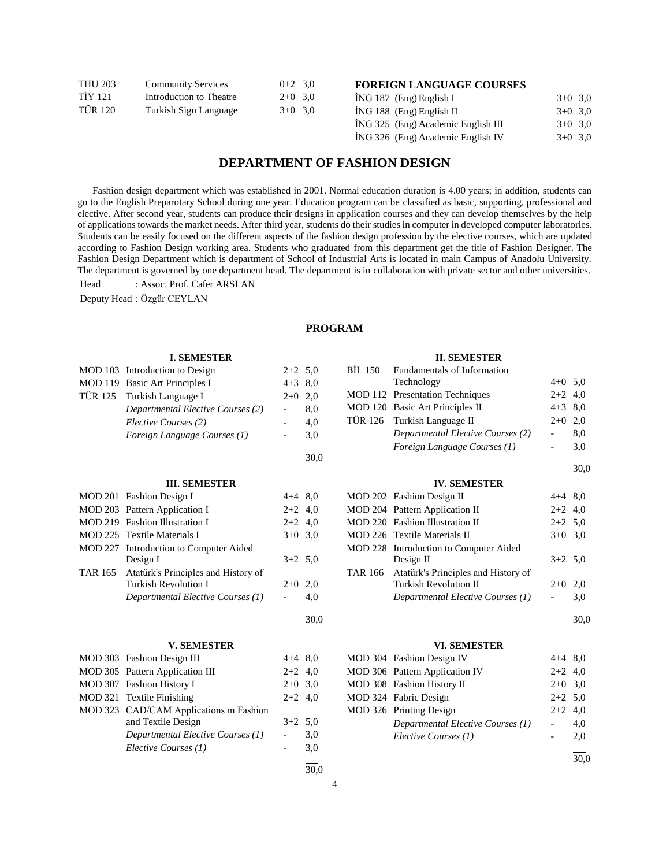| THU 203 | <b>Community Services</b> | $0+2$ 3.0 |  |
|---------|---------------------------|-----------|--|
| TİY 121 | Introduction to Theatre   | $2+0$ 3,0 |  |
| TÜR 120 | Turkish Sign Language     | $3+0$ 3,0 |  |

# **FOREIGN LANGUAGE COURSES**

|  | $ING 187$ (Eng) English I          | $3+0$ 3.0 |  |
|--|------------------------------------|-----------|--|
|  | $ING 188$ (Eng) English II         | $3+0$ 3.0 |  |
|  | ING 325 (Eng) Academic English III | $3+0$ 3.0 |  |
|  | ING 326 (Eng) Academic English IV  | $3+0$ 3.0 |  |

# **DEPARTMENT OF FASHION DESIGN**

 Fashion design department which was established in 2001. Normal education duration is 4.00 years; in addition, students can go to the English Preparotary School during one year. Education program can be classified as basic, supporting, professional and elective. After second year, students can produce their designs in application courses and they can develop themselves by the help of applications towards the market needs. After third year, students do their studies in computer in developed computer laboratories. Students can be easily focused on the different aspects of the fashion design profession by the elective courses, which are updated according to Fashion Design working area. Students who graduated from this department get the title of Fashion Designer. The Fashion Design Department which is department of School of Industrial Arts is located in main Campus of Anadolu University. The department is governed by one department head. The department is in collaboration with private sector and other universities.

Head : Assoc. Prof. Cafer ARSLAN

Deputy Head : Özgür CEYLAN

#### **PROGRAM**

|                | <b>I. SEMESTER</b>                      |                          |      |                | <b>II. SEMESTER</b>                    |                          |      |
|----------------|-----------------------------------------|--------------------------|------|----------------|----------------------------------------|--------------------------|------|
|                | MOD 103 Introduction to Design          | $2+2$ 5,0                |      | <b>BIL 150</b> | Fundamentals of Information            |                          |      |
|                | MOD 119 Basic Art Principles I          | $4+3$ 8,0                |      |                | Technology                             | $4 + 0$                  | 5,0  |
| TÜR 125        | Turkish Language I                      | $2+0$                    | 2,0  |                | MOD 112 Presentation Techniques        | $2 + 2$                  | 4,0  |
|                | Departmental Elective Courses (2)       | $\overline{\phantom{a}}$ | 8.0  |                | MOD 120 Basic Art Principles II        | $4 + 3$                  | 8,0  |
|                | Elective Courses (2)                    |                          | 4,0  | <b>TÜR 126</b> | Turkish Language II                    | $2+0$                    | 2.0  |
|                | Foreign Language Courses (1)            | $\overline{\phantom{0}}$ | 3,0  |                | Departmental Elective Courses (2)      | $\overline{\phantom{a}}$ | 8,0  |
|                |                                         |                          | 30,0 |                | Foreign Language Courses (1)           | $\blacksquare$           | 3,0  |
|                |                                         |                          |      |                |                                        |                          | 30,0 |
|                | <b>III. SEMESTER</b>                    |                          |      |                | <b>IV. SEMESTER</b>                    |                          |      |
|                | MOD 201 Fashion Design I                | $4+4$ 8,0                |      |                | MOD 202 Fashion Design II              | $4 + 4$                  | 8,0  |
|                | MOD 203 Pattern Application I           | $2+2$ 4,0                |      |                | MOD 204 Pattern Application II         | $2+2$                    | 4,0  |
|                | MOD 219 Fashion Illustration I          | $2+2$ 4,0                |      |                | MOD 220 Fashion Illustration II        | $2+2$ 5.0                |      |
|                | MOD 225 Textile Materials I             | $3+0$ 3,0                |      |                | MOD 226 Textile Materials II           | $3+0$ 3.0                |      |
|                | MOD 227 Introduction to Computer Aided  |                          |      |                | MOD 228 Introduction to Computer Aided |                          |      |
|                | Design I                                | $3+2$ 5,0                |      |                | Design II                              | $3+2$                    | 5.0  |
| <b>TAR 165</b> | Atatürk's Principles and History of     |                          |      | <b>TAR 166</b> | Atatürk's Principles and History of    |                          |      |
|                | <b>Turkish Revolution I</b>             | $2+0$ 2,0                |      |                | <b>Turkish Revolution II</b>           | $2+0$                    | 2,0  |
|                | Departmental Elective Courses (1)       |                          | 4,0  |                | Departmental Elective Courses (1)      |                          | 3,0  |
|                |                                         |                          | 30,0 |                |                                        |                          | 30.0 |
|                | <b>V. SEMESTER</b>                      |                          |      |                | <b>VI. SEMESTER</b>                    |                          |      |
|                | MOD 303 Fashion Design III              | $4+4$ 8,0                |      |                | MOD 304 Fashion Design IV              | $4 + 4$                  | 8,0  |
|                | MOD 305 Pattern Application III         | $2+2$ 4,0                |      |                | MOD 306 Pattern Application IV         | $2+2$                    | 4,0  |
|                | MOD 307 Fashion History I               | $2+0$ 3,0                |      |                | MOD 308 Fashion History II             | $2+0$                    | 3,0  |
|                | MOD 321 Textile Finishing               | $2+2$ 4,0                |      |                | MOD 324 Fabric Design                  | $2+2$                    | 5,0  |
|                | MOD 323 CAD/CAM Applications in Fashion |                          |      |                | MOD 326 Printing Design                | $2+2$                    | 4.0  |
|                | and Textile Design                      | $3+2$ 5,0                |      |                | Departmental Elective Courses (1)      |                          | 4,0  |
|                | Departmental Elective Courses (1)       |                          | 3,0  |                | Elective Courses (1)                   |                          | 2,0  |
|                | Elective Courses (1)                    |                          | 3,0  |                |                                        |                          | 30.0 |
|                |                                         |                          | 30.0 |                |                                        |                          |      |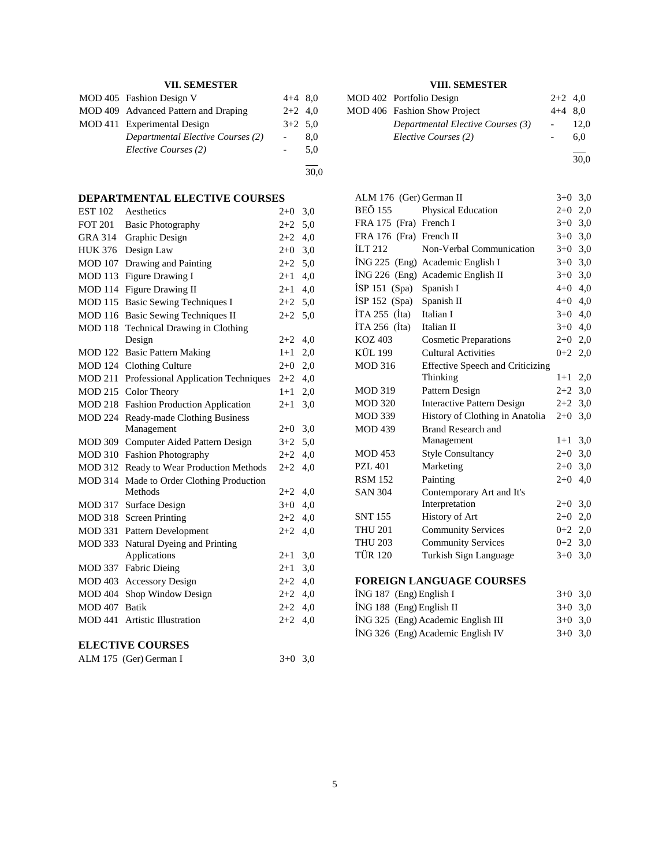# **VII. SEMESTER**

| MOD 405 Fashion Design V             | $4+4$ 8.0 |     |
|--------------------------------------|-----------|-----|
| MOD 409 Advanced Pattern and Draping | $2+2$ 4,0 |     |
| MOD 411 Experimental Design          | $3+2$ 5.0 |     |
| Departmental Elective Courses (2)    |           | 8.0 |
| Elective Courses (2)                 |           | 5.0 |
|                                      |           |     |

30,0

**DEPARTMENTAL ELECTIVE COURSES**

| <b>EST 102</b>          | Aesthetics                            | $2+0$   | 3,0 |
|-------------------------|---------------------------------------|---------|-----|
| <b>FOT 201</b>          | <b>Basic Photography</b>              | $2 + 2$ | 5,0 |
| GRA 314                 | Graphic Design                        | $2+2$   | 4,0 |
| <b>HUK 376</b>          | Design Law                            | $2 + 0$ | 3,0 |
| <b>MOD 107</b>          | Drawing and Painting                  | $2+2$   | 5,0 |
| <b>MOD 113</b>          | Figure Drawing I                      | $2 + 1$ | 4,0 |
| <b>MOD 114</b>          | Figure Drawing II                     | $2 + 1$ | 4,0 |
| <b>MOD 115</b>          | <b>Basic Sewing Techniques I</b>      | $2+2$   | 5,0 |
| <b>MOD 116</b>          | <b>Basic Sewing Techniques II</b>     | $2+2$   | 5,0 |
| <b>MOD 118</b>          | Technical Drawing in Clothing         |         |     |
|                         | Design                                | $2+2$   | 4,0 |
| MOD 122                 | <b>Basic Pattern Making</b>           | $1+1$   | 2,0 |
| MOD 124                 | <b>Clothing Culture</b>               | $2+0$   | 2,0 |
| <b>MOD 211</b>          | Professional Application Techniques   | $2 + 2$ | 4,0 |
| <b>MOD 215</b>          | Color Theory                          | $1 + 1$ | 2,0 |
| <b>MOD 218</b>          | <b>Fashion Production Application</b> | $2+1$   | 3,0 |
| <b>MOD 224</b>          | Ready-made Clothing Business          |         |     |
|                         | Management                            | $2+0$   | 3,0 |
| <b>MOD 309</b>          | Computer Aided Pattern Design         | $3+2$   | 5,0 |
| <b>MOD 310</b>          | <b>Fashion Photography</b>            | $2+2$   | 4,0 |
| <b>MOD 312</b>          | Ready to Wear Production Methods      | $2 + 2$ | 4,0 |
| <b>MOD 314</b>          | Made to Order Clothing Production     |         |     |
|                         | Methods                               | $2+2$   | 4,0 |
| <b>MOD 317</b>          | Surface Design                        | $3+0$   | 4,0 |
| <b>MOD 318</b>          | <b>Screen Printing</b>                | $2+2$   | 4,0 |
| <b>MOD 331</b>          | Pattern Development                   | $2+2$   | 4,0 |
| <b>MOD 333</b>          | Natural Dyeing and Printing           |         |     |
|                         | Applications                          | $2+1$   | 3,0 |
| MOD 337                 | <b>Fabric Dieing</b>                  | $2+1$   | 3,0 |
| MOD 403                 | <b>Accessory Design</b>               | $2 + 2$ | 4,0 |
| <b>MOD 404</b>          | Shop Window Design                    | $2+2$   | 4,0 |
| <b>MOD 407</b>          | <b>Batik</b>                          | $2+2$   | 4,0 |
| <b>MOD 441</b>          | <b>Artistic Illustration</b>          | $2+2$   | 4,0 |
| <b>ELECTIVE COURSES</b> |                                       |         |     |

| ALM 175 (Ger) German I | $3+0$ 3,0 |  |
|------------------------|-----------|--|
|                        |           |  |

# **VIII. SEMESTER**

| MOD 402 Portfolio Design          | $2+2$ 4.0 |      |
|-----------------------------------|-----------|------|
| MOD 406 Fashion Show Project      | $4+4$ 8.0 |      |
| Departmental Elective Courses (3) |           | 12.0 |
| Elective Courses (2)              |           | 6.0  |
|                                   |           |      |

30,0

| ALM 176 (Ger) German II |                                         | $3+0$     | 3,0 |
|-------------------------|-----------------------------------------|-----------|-----|
| <b>BEÖ 155</b>          | <b>Physical Education</b>               | $2+0$     | 2,0 |
| FRA 175 (Fra) French I  |                                         | $3+0$     | 3,0 |
| FRA 176 (Fra) French II |                                         | $3+0$     | 3,0 |
| ILT 212                 | Non-Verbal Communication                | $3+0$     | 3,0 |
|                         | ING 225 (Eng) Academic English I        | $3+0$     | 3,0 |
|                         | ING 226 (Eng) Academic English II       | $3+0$     | 3,0 |
| İSP 151 (Spa)           | Spanish I                               | $4 + 0$   | 4,0 |
| $ISP 152$ (Spa)         | Spanish II                              | $4 + 0$   | 4.0 |
| $ITA 255$ (Ita)         | Italian I                               | $3+0$     | 4,0 |
| $ITA 256$ (Ita)         | Italian II                              | $3+0$ 4,0 |     |
| KOZ 403                 | <b>Cosmetic Preparations</b>            | $2+0$     | 2,0 |
| KÜL 199                 | <b>Cultural Activities</b>              | $0+2$ 2,0 |     |
| <b>MOD 316</b>          | <b>Effective Speech and Criticizing</b> |           |     |
|                         | Thinking                                | $1+1$     | 2,0 |
| <b>MOD 319</b>          | Pattern Design                          | $2+2$     | 3,0 |
| <b>MOD 320</b>          | <b>Interactive Pattern Design</b>       | $2+2$     | 3,0 |
| <b>MOD 339</b>          | History of Clothing in Anatolia         | $2+0$     | 3,0 |
| <b>MOD 439</b>          | Brand Research and                      |           |     |
|                         | Management                              | $1+1$     | 3,0 |
| <b>MOD 453</b>          | <b>Style Consultancy</b>                | $2+0$     | 3,0 |
| PZL 401                 | Marketing                               | $2+0$     | 3,0 |
| <b>RSM 152</b>          | Painting                                | $2+0$     | 4,0 |
| <b>SAN 304</b>          | Contemporary Art and It's               |           |     |
|                         | Interpretation                          | $2+0$     | 3,0 |
| <b>SNT 155</b>          | <b>History of Art</b>                   | $2+0$     | 2,0 |
| <b>THU 201</b>          | <b>Community Services</b>               | $0 + 2$   | 2,0 |
| <b>THU 203</b>          | <b>Community Services</b>               | $0 + 2$   | 3,0 |
| <b>TÜR 120</b>          | Turkish Sign Language                   | $3+0$     | 3,0 |
|                         |                                         |           |     |

# **FOREIGN LANGUAGE COURSES**

|  | $ING 187$ (Eng) English I          | $3+0$ 3.0 |  |
|--|------------------------------------|-----------|--|
|  | $ING 188$ (Eng) English II         | $3+0$ 3.0 |  |
|  | ING 325 (Eng) Academic English III | $3+0$ 3.0 |  |
|  | ING 326 (Eng) Academic English IV  | $3+0$ 3.0 |  |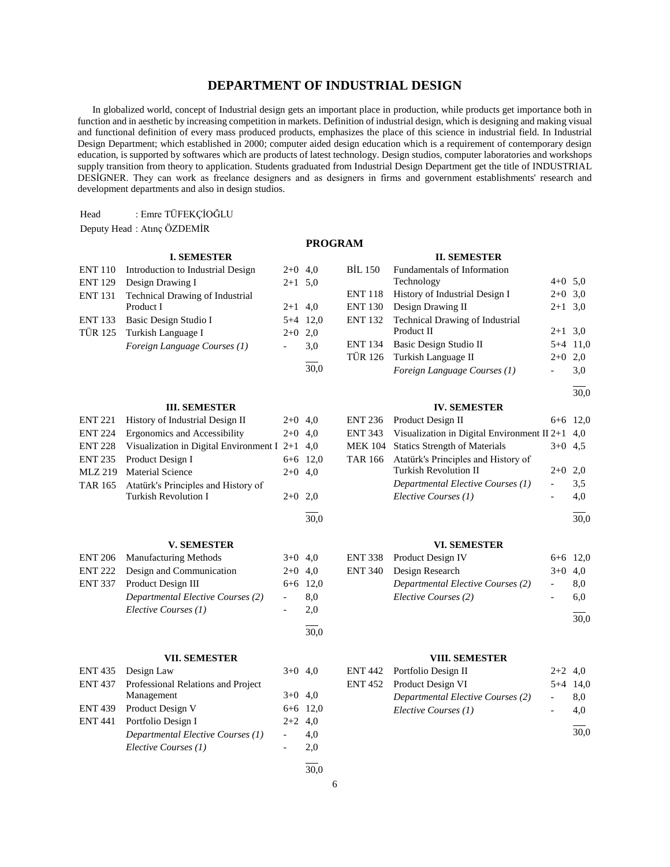# **DEPARTMENT OF INDUSTRIAL DESIGN**

 In globalized world, concept of Industrial design gets an important place in production, while products get importance both in function and in aesthetic by increasing competition in markets. Definition of industrial design, which is designing and making visual and functional definition of every mass produced products, emphasizes the place of this science in industrial field. In Industrial Design Department; which established in 2000; computer aided design education which is a requirement of contemporary design education, is supported by softwares which are products of latest technology. Design studios, computer laboratories and workshops supply transition from theory to application. Students graduated from Industrial Design Department get the title of INDUSTRIAL DESİGNER. They can work as freelance designers and as designers in firms and government establishments' research and development departments and also in design studios.

30,0

| Head | : Emre TÜFEKÇİOĞLU |
|------|--------------------|
|------|--------------------|

```
Deputy Head : Atınç ÖZDEMİR
```
# **I. SEMESTER**

|                | ENT 110 Introduction to Industrial Design | $2+0$ 4.0 |            |
|----------------|-------------------------------------------|-----------|------------|
| <b>ENT 129</b> | Design Drawing I                          | $2+1$ 5.0 |            |
|                | ENT 131 Technical Drawing of Industrial   |           |            |
|                | Product I                                 | $2+1$ 4,0 |            |
|                | ENT 133 Basic Design Studio I             |           | $5+4$ 12.0 |
|                | TÜR 125 Turkish Language I                | $2+0$ 2.0 |            |
|                | Foreign Language Courses (1)              |           | 3.0        |
|                |                                           |           |            |

#### **III. SEMESTER**

| <b>ENT 221</b> | History of Industrial Design II                  | $2+0$ 4,0 |            |
|----------------|--------------------------------------------------|-----------|------------|
| <b>ENT 224</b> | Ergonomics and Accessibility                     | $2+0$ 4,0 |            |
| <b>ENT 228</b> | Visualization in Digital Environment I $2+1$ 4,0 |           |            |
|                | ENT 235 Product Design I                         |           | $6+6$ 12,0 |
|                | MLZ 219 Material Science                         | $2+0$ 4,0 |            |
|                | TAR 165 Atatürk's Principles and History of      |           |            |
|                | Turkish Revolution I                             | $2+0$ 2.0 |            |
|                |                                                  |           |            |
|                |                                                  |           | 30.0       |

#### **V. SEMESTER**

| ENT 206 Manufacturing Methods     | $3+0$ 4.0  |     |
|-----------------------------------|------------|-----|
| ENT 222 Design and Communication  | $2+0$ 4.0  |     |
| ENT 337 Product Design III        | $6+6$ 12,0 |     |
| Departmental Elective Courses (2) | $\sim$     | 8.0 |
| Elective Courses (1)              |            | 2.0 |
|                                   |            |     |

#### **VII. SEMESTER**

| ENT 435 Design Law                         | $3+0$ 4.0  |     |
|--------------------------------------------|------------|-----|
| ENT 437 Professional Relations and Project |            |     |
| Management                                 | $3+0$ 4.0  |     |
| ENT 439 Product Design V                   | $6+6$ 12,0 |     |
| ENT 441 Portfolio Design I                 | $2+2$ 4.0  |     |
| Departmental Elective Courses (1)          |            | 4.0 |
| Elective Courses (1)                       |            | 2,0 |
|                                            |            |     |

# **PROGRAM**

#### **II. SEMESTER**

| BİL 150        | Fundamentals of Information             |           |            |
|----------------|-----------------------------------------|-----------|------------|
|                | Technology                              | $4+0$ 5.0 |            |
| <b>ENT 118</b> | History of Industrial Design I          | $2+0$ 3,0 |            |
| <b>ENT 130</b> | Design Drawing II                       | $2+1$ 3.0 |            |
|                | ENT 132 Technical Drawing of Industrial |           |            |
|                | Product II                              | $2+1$ 3.0 |            |
|                | ENT 134 Basic Design Studio II          |           | $5+4$ 11,0 |
|                | TÜR 126 Turkish Language II             | $2+0$ 2.0 |            |
|                | Foreign Language Courses (1)            |           | 3.0        |

l 30,0

#### **IV. SEMESTER**

| ENT 236 Product Design II                                    |                 | $6+6$ 12,0 |
|--------------------------------------------------------------|-----------------|------------|
| ENT 343 Visualization in Digital Environment II 2+1 $\,$ 4.0 |                 |            |
| MEK 104 Statics Strength of Materials                        | $3+0$ 4.5       |            |
| TAR 166 Atatürk's Principles and History of                  |                 |            |
| <b>Turkish Revolution II</b>                                 | $2+0$ 2,0       |            |
| Departmental Elective Courses (1)                            | $\sim$ 10 $\pm$ | 3.5        |
| Elective Courses (1)                                         |                 | 4.0        |

l 30,0

#### **VI. SEMESTER**

| ENT 338 Product Design IV         |                          | $6+6$ 12,0 |
|-----------------------------------|--------------------------|------------|
| ENT 340 Design Research           | $3+0$ 4.0                |            |
| Departmental Elective Courses (2) | $\overline{\phantom{a}}$ | 8.0        |
| Elective Courses (2)              |                          | 6.0        |
|                                   |                          | 30,0       |

# **VIII. SEMESTER**

| ENT 442 Portfolio Design II       | $2+2$ 4.0 |            |
|-----------------------------------|-----------|------------|
| ENT 452 Product Design VI         |           | $5+4$ 14,0 |
| Departmental Elective Courses (2) |           | 8.0        |
| Elective Courses (1)              |           | 4.0        |
|                                   |           |            |

30,0

 $\frac{1}{30.0}$ 

30,0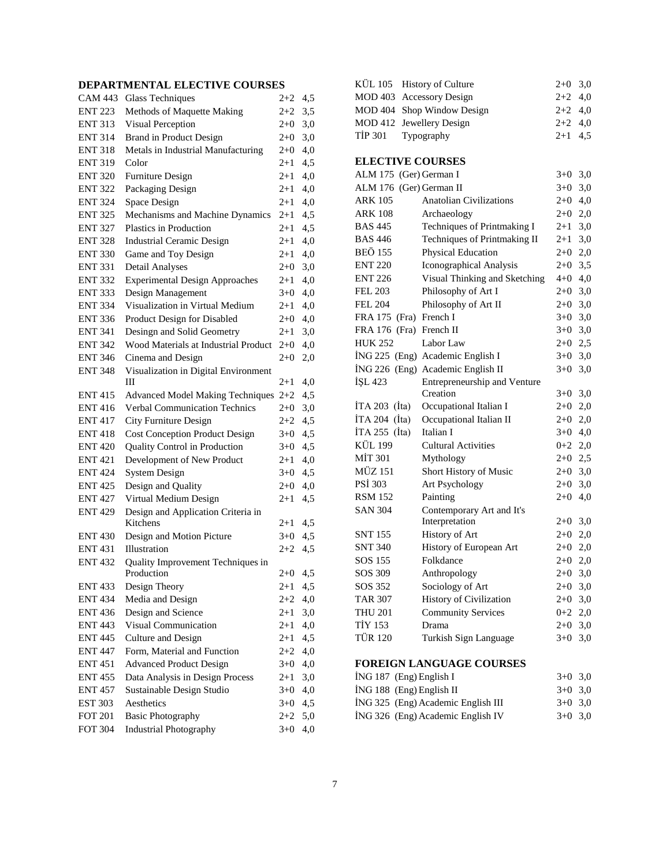# **DEPARTMENTAL ELECTIVE COURSES**

| <b>CAM 443</b> | <b>Glass Techniques</b>                         | $2+2$     | 4,5 |
|----------------|-------------------------------------------------|-----------|-----|
| <b>ENT 223</b> | Methods of Maquette Making                      | $2 + 2$   | 3,5 |
| <b>ENT 313</b> | Visual Perception                               | $2 + 0$   | 3,0 |
| <b>ENT 314</b> | <b>Brand in Product Design</b>                  | $2 + 0$   | 3,0 |
| <b>ENT 318</b> | Metals in Industrial Manufacturing              | $2 + 0$   | 4,0 |
| <b>ENT 319</b> | Color                                           | $2+1$     | 4,5 |
| <b>ENT 320</b> | Furniture Design                                | $2+1$     | 4,0 |
| <b>ENT 322</b> | Packaging Design                                | $2 + 1$   | 4,0 |
| <b>ENT 324</b> | Space Design                                    | $2 + 1$   | 4,0 |
| <b>ENT 325</b> | Mechanisms and Machine Dynamics                 | $^{2+1}$  | 4,5 |
| <b>ENT 327</b> | Plastics in Production                          | $2 + 1$   | 4,5 |
| <b>ENT 328</b> | <b>Industrial Ceramic Design</b>                | $2 + 1$   | 4,0 |
| <b>ENT 330</b> | Game and Toy Design                             | $2 + 1$   | 4,0 |
| <b>ENT 331</b> | <b>Detail Analyses</b>                          | $2+0$     | 3,0 |
| <b>ENT 332</b> | <b>Experimental Design Approaches</b>           | 2+1       | 4,0 |
| <b>ENT 333</b> | Design Management                               | $3+0$     | 4,0 |
| <b>ENT 334</b> | Visualization in Virtual Medium                 | $2 + 1$   | 4,0 |
| <b>ENT 336</b> | Product Design for Disabled                     | $2 + 0$   | 4,0 |
| <b>ENT 341</b> | Desingn and Solid Geometry                      | $^{2+1}$  | 3,0 |
| <b>ENT 342</b> | Wood Materials at Industrial Product            | $2+0$     | 4,0 |
| <b>ENT 346</b> | Cinema and Design                               | $2 + 0$   | 2,0 |
| <b>ENT 348</b> | Visualization in Digital Environment            |           |     |
|                | Ш                                               | $^{2+1}$  | 4,0 |
| <b>ENT 415</b> | <b>Advanced Model Making Techniques</b>         | $2+2$     | 4,5 |
| <b>ENT 416</b> | <b>Verbal Communication Technics</b>            | $2+0$     | 3,0 |
| <b>ENT 417</b> | City Furniture Design                           | $2 + 2$   | 4,5 |
| <b>ENT 418</b> | <b>Cost Conception Product Design</b>           | $3+0$     | 4,5 |
| <b>ENT 420</b> | Quality Control in Production                   | $3+0$     | 4,5 |
| <b>ENT 421</b> | Development of New Product                      | $2 + 1$   | 4,0 |
| <b>ENT 424</b> | <b>System Design</b>                            | $3+0$     | 4,5 |
| ENT 425        | Design and Quality                              | $2 + 0$   | 4,0 |
| ENT 427        | Virtual Medium Design                           | $2 + 1$   | 4,5 |
| <b>ENT 429</b> | Design and Application Criteria in              |           |     |
|                | Kitchens                                        | $2 + 1$   | 4,5 |
| <b>ENT 430</b> | Design and Motion Picture                       | $3 + 0$   | 4,5 |
| <b>ENT 431</b> | Illustration                                    | 2+2       | 4,5 |
| <b>ENT 432</b> | Quality Improvement Techniques in<br>Production | $2+0$     | 4,5 |
| <b>ENT 433</b> | Design Theory                                   | $2+1$ 4,5 |     |
| <b>ENT 434</b> | Media and Design                                | $2 + 2$   | 4,0 |
| <b>ENT 436</b> | Design and Science                              | $2 + 1$   | 3,0 |
| <b>ENT 443</b> | Visual Communication                            | $2 + 1$   | 4,0 |
| <b>ENT 445</b> | <b>Culture and Design</b>                       | 2+1       | 4,5 |
| <b>ENT 447</b> | Form, Material and Function                     | $2 + 2$   | 4,0 |
| <b>ENT 451</b> | <b>Advanced Product Design</b>                  | $3+0$     | 4,0 |
| <b>ENT 455</b> | Data Analysis in Design Process                 | $2 + 1$   | 3,0 |
| <b>ENT 457</b> | Sustainable Design Studio                       | $3+0$     | 4,0 |
| <b>EST 303</b> | Aesthetics                                      | $3+0$     | 4,5 |
| <b>FOT 201</b> | <b>Basic Photography</b>                        | $2+2$     | 5,0 |
| <b>FOT 304</b> | <b>Industrial Photography</b>                   | $3 + 0$   | 4,0 |
|                |                                                 |           |     |

| <b>KÜL 105</b>                                                                                               | <b>History of Culture</b>         | $2+0$     | 3,0 |
|--------------------------------------------------------------------------------------------------------------|-----------------------------------|-----------|-----|
| <b>MOD 403</b>                                                                                               | <b>Accessory Design</b>           | $2+2$     | 4,0 |
| <b>MOD 404</b>                                                                                               | Shop Window Design                | $2+2$     | 4,0 |
| MOD 412                                                                                                      | Jewellery Design                  | $2+2$     | 4,0 |
| <b>TİP 301</b>                                                                                               | Typography                        | $2+1$     | 4,5 |
|                                                                                                              |                                   |           |     |
| <b>ELECTIVE COURSES</b>                                                                                      |                                   |           |     |
| ALM 175 (Ger) German I                                                                                       |                                   | $3+0$ 3,0 |     |
| ALM 176 (Ger) German II                                                                                      |                                   | $3+0$     | 3,0 |
| <b>ARK 105</b>                                                                                               | <b>Anatolian Civilizations</b>    | $2 + 0$   | 4,0 |
| <b>ARK 108</b>                                                                                               | Archaeology                       | $2+0$     | 2,0 |
| <b>BAS 445</b>                                                                                               | Techniques of Printmaking I       | $2 + 1$   | 3,0 |
| <b>BAS 446</b>                                                                                               | Techniques of Printmaking II      | $2 + 1$   | 3,0 |
| <b>BEÖ 155</b>                                                                                               | Physical Education                | $2 + 0$   | 2,0 |
| <b>ENT 220</b>                                                                                               | Iconographical Analysis           | $2 + 0$   | 3,5 |
| <b>ENT 226</b>                                                                                               | Visual Thinking and Sketching     | $4 + 0$   | 4,0 |
| <b>FEL 203</b>                                                                                               | Philosophy of Art I               | $2+0$     | 3,0 |
| <b>FEL 204</b>                                                                                               | Philosophy of Art II              | $2+0$     | 3,0 |
| FRA 175 (Fra) French I                                                                                       |                                   | $3+0$     | 3,0 |
| FRA 176 (Fra) French II                                                                                      |                                   | $3+0$     | 3,0 |
| <b>HUK 252</b>                                                                                               | Labor Law                         | $2+0$ 2,5 |     |
|                                                                                                              | İNG 225 (Eng) Academic English I  | $3+0$ 3,0 |     |
|                                                                                                              | İNG 226 (Eng) Academic English II | $3+0$     | 3,0 |
| İŞL 423                                                                                                      | Entrepreneurship and Venture      |           |     |
|                                                                                                              | Creation                          | $3+0$     | 3,0 |
| ITA 203 $(Ita)$                                                                                              | Occupational Italian I            | $2+0$     | 2,0 |
| İTA 204 (İta)                                                                                                | Occupational Italian II           | $2 + 0$   | 2,0 |
| $ITA 255$ (Ita)                                                                                              | Italian I                         | $3+0$     | 4,0 |
| <b>KÜL 199</b>                                                                                               | <b>Cultural Activities</b>        | $0 + 2$   | 2,0 |
| <b>MİT 301</b>                                                                                               | Mythology                         | $2 + 0$   | 2,5 |
| MÜZ 151                                                                                                      | Short History of Music            | $2 + 0$   | 3,0 |
| <b>PSI 303</b>                                                                                               | Art Psychology                    | $2 + 0$   | 3,0 |
| <b>RSM 152</b>                                                                                               | Painting                          | $2 + 0$   | 4,0 |
| <b>SAN 304</b>                                                                                               | Contemporary Art and It's         |           |     |
|                                                                                                              | Interpretation                    | $2+0$ 3,0 |     |
| <b>SNT 155</b>                                                                                               | History of Art                    | $2+0$ 2,0 |     |
| <b>SNT 340</b>                                                                                               | History of European Art           | $2 + 0$   | 2,0 |
| SOS 155                                                                                                      | Folkdance                         | $2 + 0$   | 2,0 |
| SOS 309                                                                                                      | Anthropology                      | $2 + 0$   | 3,0 |
| SOS 352                                                                                                      | Sociology of Art                  | $2+0$ 3,0 |     |
| <b>TAR 307</b>                                                                                               | History of Civilization           | $2+0$ 3,0 |     |
| <b>THU 201</b>                                                                                               | <b>Community Services</b>         | $0+2$ 2,0 |     |
| <b>TİY 153</b>                                                                                               | Drama                             | $2+0$ 3,0 |     |
| <b>TÜR 120</b>                                                                                               | Turkish Sign Language             | $3+0$     | 3,0 |
|                                                                                                              |                                   |           |     |
|                                                                                                              | FOREIGN LANGUAGE COURSES          |           |     |
| $\overline{N}$ $\overline{C}$ 107 $\overline{C}$ $\overline{D}$ $\overline{M}$ $\overline{L}$ $\overline{L}$ |                                   |           |     |

| ING 187 (Eng) English I            | $3+0$ 3.0 |  |
|------------------------------------|-----------|--|
| $ING 188$ (Eng) English II         | $3+0$ 3.0 |  |
| ING 325 (Eng) Academic English III | $3+0$ 3.0 |  |
| ING 326 (Eng) Academic English IV  | $3+0$ 3.0 |  |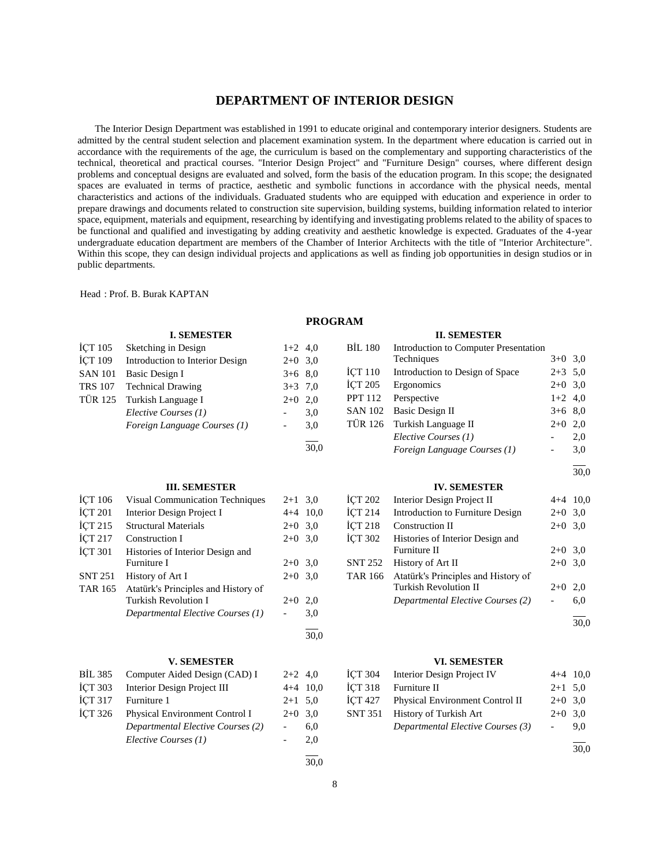# **DEPARTMENT OF INTERIOR DESIGN**

 The Interior Design Department was established in 1991 to educate original and contemporary interior designers. Students are admitted by the central student selection and placement examination system. In the department where education is carried out in accordance with the requirements of the age, the curriculum is based on the complementary and supporting characteristics of the technical, theoretical and practical courses. "Interior Design Project" and "Furniture Design" courses, where different design problems and conceptual designs are evaluated and solved, form the basis of the education program. In this scope; the designated spaces are evaluated in terms of practice, aesthetic and symbolic functions in accordance with the physical needs, mental characteristics and actions of the individuals. Graduated students who are equipped with education and experience in order to prepare drawings and documents related to construction site supervision, building systems, building information related to interior space, equipment, materials and equipment, researching by identifying and investigating problems related to the ability of spaces to be functional and qualified and investigating by adding creativity and aesthetic knowledge is expected. Graduates of the 4-year undergraduate education department are members of the Chamber of Interior Architects with the title of "Interior Architecture". Within this scope, they can design individual projects and applications as well as finding job opportunities in design studios or in public departments.

Head : Prof. B. Burak KAPTAN

#### **PROGRAM**

|                | <b>I. SEMESTER</b>                  |                          |            |                | <b>II. SEMESTER</b>                   |                          |            |
|----------------|-------------------------------------|--------------------------|------------|----------------|---------------------------------------|--------------------------|------------|
| <b>ICT 105</b> | Sketching in Design                 | $1+2$ 4,0                |            | <b>BIL 180</b> | Introduction to Computer Presentation |                          |            |
| <b>İCT 109</b> | Introduction to Interior Design     | $2+0$ 3,0                |            |                | Techniques                            | $3+0$ 3,0                |            |
| <b>SAN 101</b> | <b>Basic Design I</b>               | $3+6$ 8,0                |            | <b>ICT 110</b> | Introduction to Design of Space       | $2+3$ 5.0                |            |
| <b>TRS 107</b> | <b>Technical Drawing</b>            | $3+3$ 7,0                |            | <b>İCT 205</b> | Ergonomics                            | $2+0$ 3.0                |            |
| <b>TÜR 125</b> | Turkish Language I                  | $2+0$                    | 2,0        | <b>PPT 112</b> | Perspective                           | $1+2$ 4,0                |            |
|                | Elective Courses (1)                |                          | 3,0        | <b>SAN 102</b> | <b>Basic Design II</b>                | $3+6$ 8,0                |            |
|                | Foreign Language Courses (1)        | $\overline{\phantom{a}}$ | 3,0        | <b>TÜR 126</b> | Turkish Language II                   | $2+0$ 2,0                |            |
|                |                                     |                          |            |                | Elective Courses (1)                  |                          | 2,0        |
|                |                                     |                          | 30,0       |                | Foreign Language Courses (1)          | $\overline{\phantom{a}}$ | 3,0        |
|                |                                     |                          |            |                |                                       |                          | 30,0       |
|                | <b>III. SEMESTER</b>                |                          |            |                | <b>IV. SEMESTER</b>                   |                          |            |
| <b>ICT 106</b> | Visual Communication Techniques     | $2+1$ 3.0                |            | <b>İCT 202</b> | Interior Design Project II            |                          | $4+4$ 10,0 |
| <b>İÇT 201</b> | Interior Design Project I           |                          | $4+4$ 10,0 | İÇT 214        | Introduction to Furniture Design      | $2+0$ 3,0                |            |
| <b>İCT 215</b> | <b>Structural Materials</b>         | $2+0$ 3.0                |            | İÇT 218        | <b>Construction II</b>                | $2+0$ 3.0                |            |
| İÇT 217        | Construction I                      | $2+0$ 3,0                |            | <b>İCT 302</b> | Histories of Interior Design and      |                          |            |
| <b>İCT 301</b> | Histories of Interior Design and    |                          |            |                | Furniture II                          | $2+0$ 3.0                |            |
|                | Furniture I                         | $2+0$ 3.0                |            | <b>SNT 252</b> | History of Art II                     | $2 + 0$                  | 3,0        |
| <b>SNT 251</b> | History of Art I                    | $2+0$ 3.0                |            | <b>TAR 166</b> | Atatürk's Principles and History of   |                          |            |
| <b>TAR 165</b> | Atatürk's Principles and History of |                          |            |                | <b>Turkish Revolution II</b>          | $2 + 0$                  | 2,0        |
|                | <b>Turkish Revolution I</b>         | $2+0$ 2,0                |            |                | Departmental Elective Courses (2)     |                          | 6,0        |
|                | Departmental Elective Courses (1)   |                          | 3,0        |                |                                       |                          | 30,0       |
|                |                                     |                          | 30.0       |                |                                       |                          |            |
|                | <b>V. SEMESTER</b>                  |                          |            |                | <b>VI. SEMESTER</b>                   |                          |            |
| <b>BİL 385</b> | Computer Aided Design (CAD) I       | $2+2$ 4,0                |            | <b>İCT 304</b> | <b>Interior Design Project IV</b>     |                          | $4+4$ 10,0 |
| <b>İCT 303</b> | Interior Design Project III         | $4 + 4$                  | 10,0       | <b>İCT 318</b> | Furniture II                          | $2+1$ 5.0                |            |
| <b>İCT 317</b> | Furniture 1                         | $2+1$ 5,0                |            | <b>İCT 427</b> | Physical Environment Control II       | $2+0$ 3,0                |            |
| <b>İCT 326</b> | Physical Environment Control I      | $2+0$ 3,0                |            | <b>SNT 351</b> | History of Turkish Art                | $2+0$ 3.0                |            |
|                | Departmental Elective Courses (2)   | $\overline{\phantom{a}}$ | 6,0        |                | Departmental Elective Courses (3)     | $\overline{\phantom{a}}$ | 9,0        |
|                | Elective Courses (1)                | $\overline{\phantom{a}}$ | 2,0        |                |                                       |                          |            |
|                |                                     |                          |            |                |                                       |                          | 30,0       |
|                |                                     |                          | 30,0       |                |                                       |                          |            |
|                |                                     |                          |            |                |                                       |                          |            |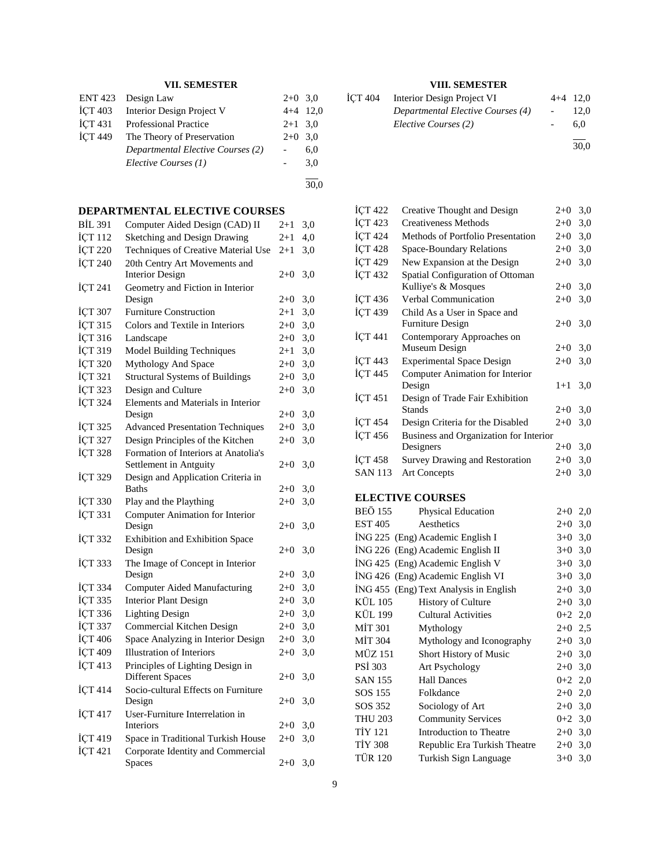#### **VII. SEMESTER**

|                | ENT 423 Design Law                | $2+0$ 3.0  |     |
|----------------|-----------------------------------|------------|-----|
| <b>İCT 403</b> | Interior Design Project V         | $4+4$ 12,0 |     |
| <b>İCT 431</b> | <b>Professional Practice</b>      | $2+1$ 3.0  |     |
| <b>İCT 449</b> | The Theory of Preservation        | $2+0$ 3.0  |     |
|                | Departmental Elective Courses (2) |            | 6,0 |
|                | Elective Courses (1)              |            | 3.0 |
|                |                                   |            |     |

30,0

# **DEPARTMENTAL ELECTIVE COURSES**

| <b>BİL 391</b> | Computer Aided Design (CAD) II                                 | $2 + 1$  | 3,0 |
|----------------|----------------------------------------------------------------|----------|-----|
| İÇT 112        | Sketching and Design Drawing                                   | $2 + 1$  | 4,0 |
| İÇT 220        | Techniques of Creative Material Use                            | $^{2+1}$ | 3,0 |
| İÇT 240        | 20th Centry Art Movements and                                  |          |     |
|                | <b>Interior Design</b>                                         | $2+0$    | 3,0 |
| ICT 241        | Geometry and Fiction in Interior                               |          |     |
|                | Design                                                         | $2+0$    | 3,0 |
| İÇT 307        | <b>Furniture Construction</b>                                  | $2 + 1$  | 3,0 |
| İÇT 315        | Colors and Textile in Interiors                                | $2+0$    | 3,0 |
| İÇT 316        | Landscape                                                      | $2 + 0$  | 3,0 |
| İÇT 319        | <b>Model Building Techniques</b>                               | $2 + 1$  | 3,0 |
| <b>İCT 320</b> | Mythology And Space                                            | $2 + 0$  | 3,0 |
| İÇT 321        | <b>Structural Systems of Buildings</b>                         | $2+0$    | 3,0 |
| <b>İÇT 323</b> | Design and Culture                                             | $2 + 0$  | 3,0 |
| İÇT 324        | Elements and Materials in Interior                             |          |     |
|                | Design                                                         | $2+0$    | 3,0 |
| <b>İÇT 325</b> | <b>Advanced Presentation Techniques</b>                        | $2+0$    | 3,0 |
| İÇT 327        | Design Principles of the Kitchen                               | $2 + 0$  | 3,0 |
| <b>İÇT 328</b> | Formation of Interiors at Anatolia's                           |          |     |
|                | Settlement in Antguity                                         | $2 + 0$  | 3,0 |
| <b>İÇT 329</b> | Design and Application Criteria in                             |          |     |
|                | <b>Baths</b>                                                   | $2+0$    | 3,0 |
| <b>İÇT 330</b> | Play and the Plaything                                         | $2+0$    | 3,0 |
| İÇT 331        | Computer Animation for Interior                                |          |     |
|                | Design                                                         | $2+0$    | 3,0 |
| <b>İÇT 332</b> | Exhibition and Exhibition Space                                |          |     |
|                | Design                                                         | $2+0$    | 3,0 |
| İÇT 333        | The Image of Concept in Interior<br>Design                     | $2 + 0$  | 3,0 |
| <b>İÇT 334</b> | <b>Computer Aided Manufacturing</b>                            | $2+0$    | 3,0 |
| İÇT 335        | <b>Interior Plant Design</b>                                   |          |     |
|                |                                                                | $2+0$    | 3,0 |
| İÇT 336        | <b>Lighting Design</b>                                         | $2+0$    | 3,0 |
| İÇT 337        | Commercial Kitchen Design                                      | $2+0$    | 3,0 |
| İÇT 406        | Space Analyzing in Interior Design                             | $2+0$    | 3,0 |
| İÇT 409        | <b>Illustration of Interiors</b>                               | $2+0$    | 3,0 |
| İÇT 413        | Principles of Lighting Design in                               |          |     |
|                | <b>Different Spaces</b><br>Socio-cultural Effects on Furniture | $2 + 0$  | 3,0 |
| İÇT 414        | Design                                                         | $2 + 0$  | 3,0 |
| İÇT 417        | User-Furniture Interrelation in                                |          |     |
|                | Interiors                                                      | $2 + 0$  | 3,0 |
| İÇT 419        | Space in Traditional Turkish House                             | $2+0$    | 3,0 |
| İÇT 421        | Corporate Identity and Commercial                              |          |     |
|                | Spaces                                                         | $2 + 0$  | 3,0 |
|                |                                                                |          |     |

# **VIII. SEMESTER**

| ICT 404 | Interior Design Project VI        | $4+4$ 12.0 |
|---------|-----------------------------------|------------|
|         | Departmental Elective Courses (4) | 12.0       |
|         | Elective Courses (2)              | 6.0        |
|         |                                   | 30,0       |

| İÇT 422        | Creative Thought and Design            | $2+0$   | 3,0 |
|----------------|----------------------------------------|---------|-----|
| <b>ICT 423</b> | Creativeness Methods                   | $2+0$   | 3,0 |
| <b>ICT 424</b> | Methods of Portfolio Presentation      | $2+0$   | 3,0 |
| <b>ICT 428</b> | Space-Boundary Relations               | $2+0$   | 3,0 |
| <b>İCT 429</b> | New Expansion at the Design            | $2+0$   | 3,0 |
| <b>ICT 432</b> | Spatial Configuration of Ottoman       |         |     |
|                | Kulliye's & Mosques                    | $2+0$   | 3,0 |
| ICT 436        | Verbal Communication                   | $2+0$   | 3,0 |
| <b>İÇT 439</b> | Child As a User in Space and           |         |     |
|                | <b>Furniture Design</b>                | $2+0$   | 3,0 |
| İÇT 441        | Contemporary Approaches on             |         |     |
|                | Museum Design                          | $2+0$   | 3,0 |
| <b>ICT 443</b> | <b>Experimental Space Design</b>       | $2+0$   | 3,0 |
| <b>İCT 445</b> | Computer Animation for Interior        |         |     |
|                | Design                                 | $1 + 1$ | 3,0 |
| ICT 451        | Design of Trade Fair Exhibition        |         |     |
|                | <b>Stands</b>                          | $2+0$   | 3,0 |
| <b>ICT 454</b> | Design Criteria for the Disabled       | $2+0$   | 3,0 |
| <b>ICT 456</b> | Business and Organization for Interior |         |     |
|                | Designers                              | $2+0$   | 3,0 |
| <b>İÇT 458</b> | <b>Survey Drawing and Restoration</b>  | $2+0$   | 3,0 |
| <b>SAN 113</b> | <b>Art Concepts</b>                    | $2+0$   | 3,0 |
|                |                                        |         |     |

# **ELECTIVE COURSES**

| <b>BEÖ 155</b> | <b>Physical Education</b>              | $2+0$     | 2,0 |
|----------------|----------------------------------------|-----------|-----|
| EST 405        | Aesthetics                             | $2 + 0$   | 3,0 |
|                | ING 225 (Eng) Academic English I       | $3+0$     | 3,0 |
|                | ING 226 (Eng) Academic English II      | $3+0$     | 3,0 |
|                | İNG 425 (Eng) Academic English V       | $3+0$     | 3,0 |
|                | ING 426 (Eng) Academic English VI      | $3+0$     | 3,0 |
|                | ING 455 (Eng) Text Analysis in English | $2+0$     | 3,0 |
| KÜL 105        | <b>History of Culture</b>              | $2+0$     | 3,0 |
| KÜL 199        | <b>Cultural Activities</b>             | $0+2$ 2,0 |     |
| MİT 301        | Mythology                              | $2+0$ 2,5 |     |
| <b>MİT 304</b> | Mythology and Iconography              | $2+0$ 3,0 |     |
| <b>MÜZ 151</b> | Short History of Music                 | $2+0$ 3,0 |     |
| PSI 303        | Art Psychology                         | $2+0$     | 3,0 |
| SAN 155        | <b>Hall Dances</b>                     | $0+2$ 2,0 |     |
| SOS 155        | Folkdance                              | $2 + 0$   | 2,0 |
| SOS 352        | Sociology of Art                       | $2+0$     | 3,0 |
| <b>THU 203</b> | <b>Community Services</b>              | $0 + 2$   | 3,0 |
| <b>TİY 121</b> | Introduction to Theatre                | $2+0$     | 3,0 |
| <b>TİY 308</b> | Republic Era Turkish Theatre           | $2+0$     | 3,0 |
| <b>TÜR 120</b> | Turkish Sign Language                  | $3+0$     | 3,0 |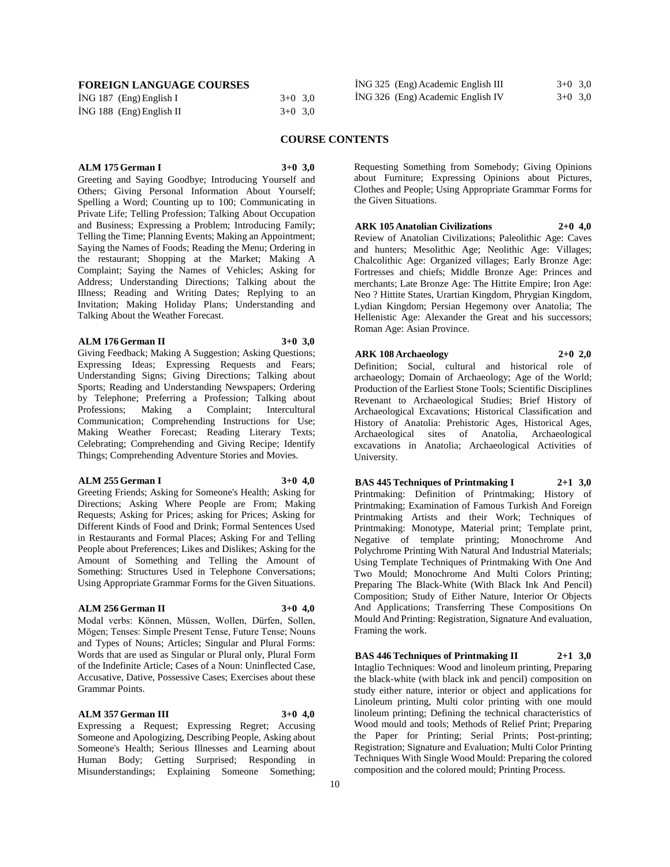| FOREIGN LANGUAGE COURSES |  |
|--------------------------|--|
|--------------------------|--|

| <b>FOREIGN LANGUAGE COURSES</b> |           | ING 325 (Eng) Academic English III | $3+0$ 3.0 |
|---------------------------------|-----------|------------------------------------|-----------|
| ING 187 $(Eng)$ English I       | $3+0$ 3.0 | ING 326 (Eng) Academic English IV  | $3+0$ 3.0 |
| $ING 188$ (Eng) English II      | $3+0$ 3.0 |                                    |           |

#### **COURSE CONTENTS**

# **ALM 175 German I 3+0 3,0**

Greeting and Saying Goodbye; Introducing Yourself and Others; Giving Personal Information About Yourself; Spelling a Word; Counting up to 100; Communicating in Private Life; Telling Profession; Talking About Occupation and Business; Expressing a Problem; Introducing Family; Telling the Time; Planning Events; Making an Appointment; Saying the Names of Foods; Reading the Menu; Ordering in the restaurant; Shopping at the Market; Making A Complaint; Saying the Names of Vehicles; Asking for Address; Understanding Directions; Talking about the Illness; Reading and Writing Dates; Replying to an Invitation; Making Holiday Plans; Understanding and Talking About the Weather Forecast.

#### **ALM 176 German II 3+0 3,0**

Giving Feedback; Making A Suggestion; Asking Questions; Expressing Ideas; Expressing Requests and Fears; Understanding Signs; Giving Directions; Talking about Sports; Reading and Understanding Newspapers; Ordering by Telephone; Preferring a Profession; Talking about Professions; Making a Complaint; Intercultural Communication; Comprehending Instructions for Use; Making Weather Forecast; Reading Literary Texts; Celebrating; Comprehending and Giving Recipe; Identify Things; Comprehending Adventure Stories and Movies.

#### **ALM 255 German I 3+0 4,0**

Greeting Friends; Asking for Someone's Health; Asking for Directions; Asking Where People are From; Making Requests; Asking for Prices; asking for Prices; Asking for Different Kinds of Food and Drink; Formal Sentences Used in Restaurants and Formal Places; Asking For and Telling People about Preferences; Likes and Dislikes; Asking for the Amount of Something and Telling the Amount of Something: Structures Used in Telephone Conversations; Using Appropriate Grammar Forms for the Given Situations.

#### **ALM 256 German II 3+0 4,0**

Modal verbs: Können, Müssen, Wollen, Dürfen, Sollen, Mögen; Tenses: Simple Present Tense, Future Tense; Nouns and Types of Nouns; Articles; Singular and Plural Forms: Words that are used as Singular or Plural only, Plural Form of the Indefinite Article; Cases of a Noun: Uninflected Case, Accusative, Dative, Possessive Cases; Exercises about these Grammar Points.

#### **ALM 357 German III 3+0 4,0**

Expressing a Request; Expressing Regret; Accusing Someone and Apologizing, Describing People, Asking about Someone's Health; Serious Illnesses and Learning about Human Body; Getting Surprised; Responding in Misunderstandings; Explaining Someone Something;

Requesting Something from Somebody; Giving Opinions about Furniture; Expressing Opinions about Pictures, Clothes and People; Using Appropriate Grammar Forms for the Given Situations.

**ARK 105 Anatolian Civilizations 2+0 4,0** Review of Anatolian Civilizations; Paleolithic Age: Caves and hunters; Mesolithic Age; Neolithic Age: Villages; Chalcolithic Age: Organized villages; Early Bronze Age: Fortresses and chiefs; Middle Bronze Age: Princes and merchants; Late Bronze Age: The Hittite Empire; Iron Age: Neo ? Hittite States, Urartian Kingdom, Phrygian Kingdom, Lydian Kingdom; Persian Hegemony over Anatolia; The Hellenistic Age: Alexander the Great and his successors; Roman Age: Asian Province.

**ARK 108 Archaeology 2+0 2,0** Definition; Social, cultural and historical role of archaeology; Domain of Archaeology; Age of the World; Production of the Earliest Stone Tools; Scientific Disciplines Revenant to Archaeological Studies; Brief History of Archaeological Excavations; Historical Classification and History of Anatolia: Prehistoric Ages, Historical Ages, Archaeological sites of Anatolia, Archaeological excavations in Anatolia; Archaeological Activities of University.

**BAS 445 Techniques of Printmaking I 2+1 3,0** Printmaking: Definition of Printmaking; History of Printmaking; Examination of Famous Turkish And Foreign Printmaking Artists and their Work; Techniques of Printmaking: Monotype, Material print; Template print, Negative of template printing; Monochrome And Polychrome Printing With Natural And Industrial Materials; Using Template Techniques of Printmaking With One And Two Mould; Monochrome And Multi Colors Printing; Preparing The Black-White (With Black Ink And Pencil) Composition; Study of Either Nature, Interior Or Objects And Applications; Transferring These Compositions On Mould And Printing: Registration, Signature And evaluation, Framing the work.

**BAS 446 Techniques of Printmaking II 2+1 3,0** Intaglio Techniques: Wood and linoleum printing, Preparing the black-white (with black ink and pencil) composition on study either nature, interior or object and applications for Linoleum printing, Multi color printing with one mould linoleum printing; Defining the technical characteristics of Wood mould and tools; Methods of Relief Print; Preparing the Paper for Printing; Serial Prints; Post-printing; Registration; Signature and Evaluation; Multi Color Printing Techniques With Single Wood Mould: Preparing the colored composition and the colored mould; Printing Process.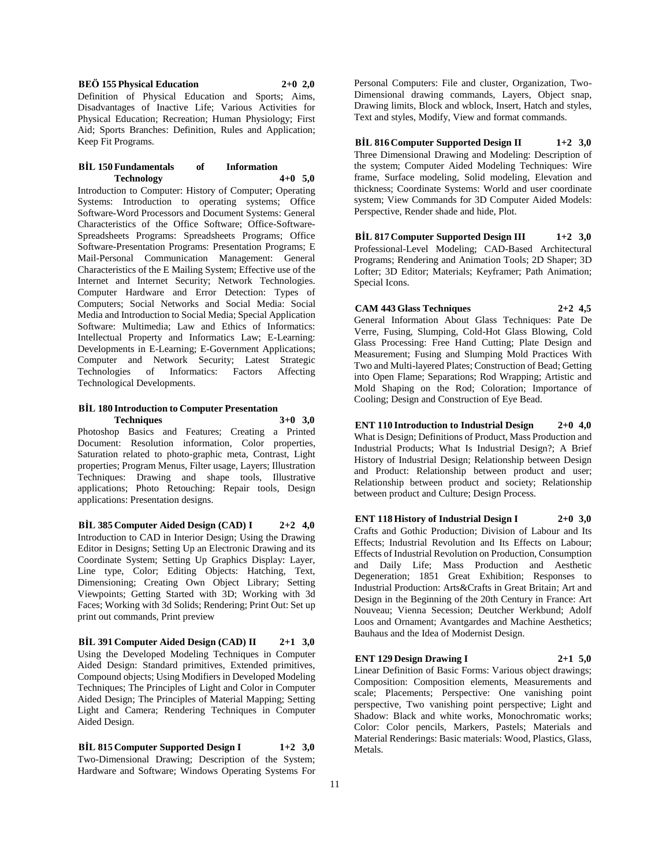**BEÖ 155 Physical Education 2+0 2,0**

Definition of Physical Education and Sports; Aims, Disadvantages of Inactive Life; Various Activities for Physical Education; Recreation; Human Physiology; First Aid; Sports Branches: Definition, Rules and Application; Keep Fit Programs.

#### **BİL 150 Fundamentals of Information Technology 4+0 5,0**

Introduction to Computer: History of Computer; Operating Systems: Introduction to operating systems; Office Software-Word Processors and Document Systems: General Characteristics of the Office Software; Office-Software-Spreadsheets Programs: Spreadsheets Programs; Office Software-Presentation Programs: Presentation Programs; E Mail-Personal Communication Management: General Characteristics of the E Mailing System; Effective use of the Internet and Internet Security; Network Technologies. Computer Hardware and Error Detection: Types of Computers; Social Networks and Social Media: Social Media and Introduction to Social Media; Special Application Software: Multimedia; Law and Ethics of Informatics: Intellectual Property and Informatics Law; E-Learning: Developments in E-Learning; E-Government Applications; Computer and Network Security; Latest Strategic Technologies of Informatics: Factors Affecting Technological Developments.

#### **BİL 180 Introduction to Computer Presentation Techniques 3+0 3,0**

Photoshop Basics and Features; Creating a Printed Document: Resolution information, Color properties, Saturation related to photo-graphic meta, Contrast, Light properties; Program Menus, Filter usage, Layers; Illustration Techniques: Drawing and shape tools, Illustrative applications; Photo Retouching: Repair tools, Design applications: Presentation designs.

**BİL 385 Computer Aided Design (CAD) I 2+2 4,0** Introduction to CAD in Interior Design; Using the Drawing Editor in Designs; Setting Up an Electronic Drawing and its Coordinate System; Setting Up Graphics Display: Layer, Line type, Color; Editing Objects: Hatching, Text, Dimensioning; Creating Own Object Library; Setting Viewpoints; Getting Started with 3D; Working with 3d Faces; Working with 3d Solids; Rendering; Print Out: Set up print out commands, Print preview

**BİL 391 Computer Aided Design (CAD) II 2+1 3,0** Using the Developed Modeling Techniques in Computer Aided Design: Standard primitives, Extended primitives, Compound objects; Using Modifiers in Developed Modeling Techniques; The Principles of Light and Color in Computer Aided Design; The Principles of Material Mapping; Setting Light and Camera; Rendering Techniques in Computer Aided Design.

**BİL 815 Computer Supported Design I 1+2 3,0** Two-Dimensional Drawing; Description of the System; Hardware and Software; Windows Operating Systems For Personal Computers: File and cluster, Organization, Two-Dimensional drawing commands, Layers, Object snap, Drawing limits, Block and wblock, Insert, Hatch and styles, Text and styles, Modify, View and format commands.

# **BİL 816 Computer Supported Design II 1+2 3,0**

Three Dimensional Drawing and Modeling: Description of the system; Computer Aided Modeling Techniques: Wire frame, Surface modeling, Solid modeling, Elevation and thickness; Coordinate Systems: World and user coordinate system; View Commands for 3D Computer Aided Models: Perspective, Render shade and hide, Plot.

**BİL 817 Computer Supported Design III 1+2 3,0** Professional-Level Modeling; CAD-Based Architectural Programs; Rendering and Animation Tools; 2D Shaper; 3D Lofter; 3D Editor; Materials; Keyframer; Path Animation; Special Icons.

**CAM 443 Glass Techniques 2+2 4,5**

General Information About Glass Techniques: Pate De Verre, Fusing, Slumping, Cold-Hot Glass Blowing, Cold Glass Processing: Free Hand Cutting; Plate Design and Measurement; Fusing and Slumping Mold Practices With Two and Multi-layered Plates; Construction of Bead; Getting into Open Flame; Separations; Rod Wrapping; Artistic and Mold Shaping on the Rod; Coloration; Importance of Cooling; Design and Construction of Eye Bead.

# **ENT 110 Introduction to Industrial Design 2+0 4,0**

What is Design; Definitions of Product, Mass Production and Industrial Products; What Is Industrial Design?; A Brief History of Industrial Design; Relationship between Design and Product: Relationship between product and user; Relationship between product and society; Relationship between product and Culture; Design Process.

# **ENT 118 History of Industrial Design I 2+0 3,0**

Crafts and Gothic Production; Division of Labour and Its Effects; Industrial Revolution and Its Effects on Labour; Effects of Industrial Revolution on Production, Consumption and Daily Life; Mass Production and Aesthetic Degeneration; 1851 Great Exhibition; Responses to Industrial Production: Arts&Crafts in Great Britain; Art and Design in the Beginning of the 20th Century in France: Art Nouveau; Vienna Secession; Deutcher Werkbund; Adolf Loos and Ornament; Avantgardes and Machine Aesthetics; Bauhaus and the Idea of Modernist Design.

# **ENT 129 Design Drawing I 2+1 5,0**

Linear Definition of Basic Forms: Various object drawings; Composition: Composition elements, Measurements and scale; Placements; Perspective: One vanishing point perspective, Two vanishing point perspective; Light and Shadow: Black and white works, Monochromatic works; Color: Color pencils, Markers, Pastels; Materials and Material Renderings: Basic materials: Wood, Plastics, Glass, Metals.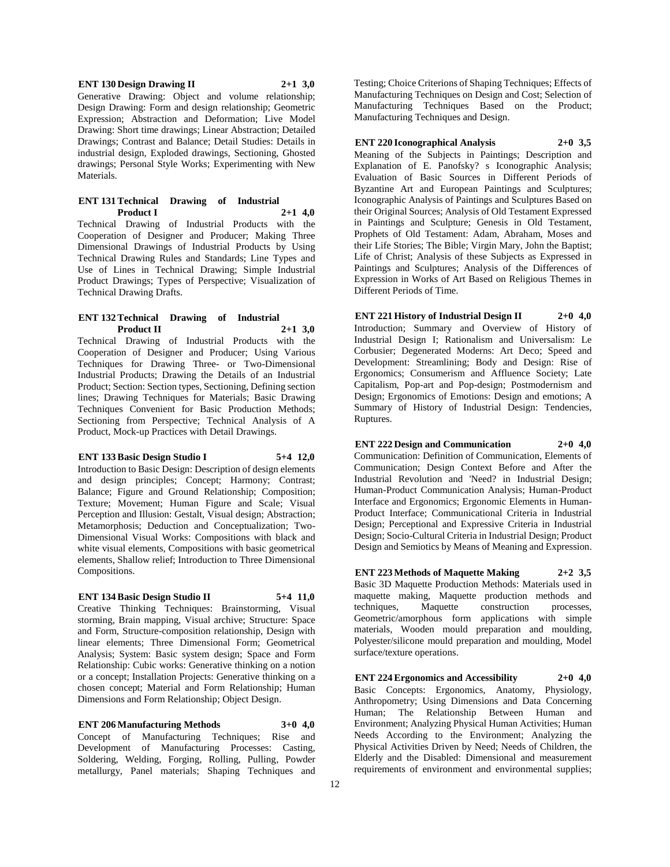#### **ENT 130 Design Drawing II 2+1 3,0**

Generative Drawing: Object and volume relationship; Design Drawing: Form and design relationship; Geometric Expression; Abstraction and Deformation; Live Model Drawing: Short time drawings; Linear Abstraction; Detailed Drawings; Contrast and Balance; Detail Studies: Details in industrial design, Exploded drawings, Sectioning, Ghosted drawings; Personal Style Works; Experimenting with New Materials.

#### **ENT 131 Technical Drawing of Industrial Product I 2+1 4,0**

Technical Drawing of Industrial Products with the Cooperation of Designer and Producer; Making Three Dimensional Drawings of Industrial Products by Using Technical Drawing Rules and Standards; Line Types and Use of Lines in Technical Drawing; Simple Industrial Product Drawings; Types of Perspective; Visualization of Technical Drawing Drafts.

#### **ENT 132 Technical Drawing of Industrial Product II 2+1 3,0**

Technical Drawing of Industrial Products with the Cooperation of Designer and Producer; Using Various Techniques for Drawing Three- or Two-Dimensional Industrial Products; Drawing the Details of an Industrial Product; Section: Section types, Sectioning, Defining section lines; Drawing Techniques for Materials; Basic Drawing Techniques Convenient for Basic Production Methods; Sectioning from Perspective; Technical Analysis of A Product, Mock-up Practices with Detail Drawings.

# **ENT 133 Basic Design Studio I 5+4 12,0**

Introduction to Basic Design: Description of design elements and design principles; Concept; Harmony; Contrast; Balance; Figure and Ground Relationship; Composition; Texture; Movement; Human Figure and Scale; Visual Perception and Illusion: Gestalt, Visual design; Abstraction; Metamorphosis; Deduction and Conceptualization; Two-Dimensional Visual Works: Compositions with black and white visual elements, Compositions with basic geometrical elements, Shallow relief; Introduction to Three Dimensional Compositions.

# **ENT 134 Basic Design Studio II 5+4 11,0**

Creative Thinking Techniques: Brainstorming, Visual storming, Brain mapping, Visual archive; Structure: Space and Form, Structure-composition relationship, Design with linear elements; Three Dimensional Form; Geometrical Analysis; System: Basic system design; Space and Form Relationship: Cubic works: Generative thinking on a notion or a concept; Installation Projects: Generative thinking on a chosen concept; Material and Form Relationship; Human Dimensions and Form Relationship; Object Design.

**ENT 206 Manufacturing Methods 3+0 4,0** Concept of Manufacturing Techniques; Rise and Development of Manufacturing Processes: Casting, Soldering, Welding, Forging, Rolling, Pulling, Powder metallurgy, Panel materials; Shaping Techniques and

Testing; Choice Criterions of Shaping Techniques; Effects of Manufacturing Techniques on Design and Cost; Selection of Manufacturing Techniques Based on the Product; Manufacturing Techniques and Design.

#### **ENT 220 Iconographical Analysis 2+0 3,5**

Meaning of the Subjects in Paintings; Description and Explanation of E. Panofsky? s Iconographic Analysis; Evaluation of Basic Sources in Different Periods of Byzantine Art and European Paintings and Sculptures; Iconographic Analysis of Paintings and Sculptures Based on their Original Sources; Analysis of Old Testament Expressed in Paintings and Sculpture; Genesis in Old Testament, Prophets of Old Testament: Adam, Abraham, Moses and their Life Stories; The Bible; Virgin Mary, John the Baptist; Life of Christ; Analysis of these Subjects as Expressed in Paintings and Sculptures; Analysis of the Differences of Expression in Works of Art Based on Religious Themes in Different Periods of Time.

**ENT 221 History of Industrial Design II 2+0 4,0** Introduction; Summary and Overview of History of Industrial Design I; Rationalism and Universalism: Le Corbusier; Degenerated Moderns: Art Deco; Speed and Development: Streamlining; Body and Design: Rise of Ergonomics; Consumerism and Affluence Society; Late Capitalism, Pop-art and Pop-design; Postmodernism and Design; Ergonomics of Emotions: Design and emotions; A Summary of History of Industrial Design: Tendencies, Ruptures.

## **ENT 222 Design and Communication 2+0 4,0**

Communication: Definition of Communication, Elements of Communication; Design Context Before and After the Industrial Revolution and 'Need? in Industrial Design; Human-Product Communication Analysis; Human-Product Interface and Ergonomics; Ergonomic Elements in Human-Product Interface; Communicational Criteria in Industrial Design; Perceptional and Expressive Criteria in Industrial Design; Socio-Cultural Criteria in Industrial Design; Product Design and Semiotics by Means of Meaning and Expression.

**ENT 223 Methods of Maquette Making 2+2 3,5** Basic 3D Maquette Production Methods: Materials used in maquette making, Maquette production methods and techniques, Maquette construction processes, Geometric/amorphous form applications with simple materials, Wooden mould preparation and moulding, Polyester/silicone mould preparation and moulding, Model surface/texture operations.

**ENT 224 Ergonomics and Accessibility 2+0 4,0** Basic Concepts: Ergonomics, Anatomy, Physiology, Anthropometry; Using Dimensions and Data Concerning Human; The Relationship Between Human and Environment; Analyzing Physical Human Activities; Human Needs According to the Environment; Analyzing the Physical Activities Driven by Need; Needs of Children, the Elderly and the Disabled: Dimensional and measurement requirements of environment and environmental supplies;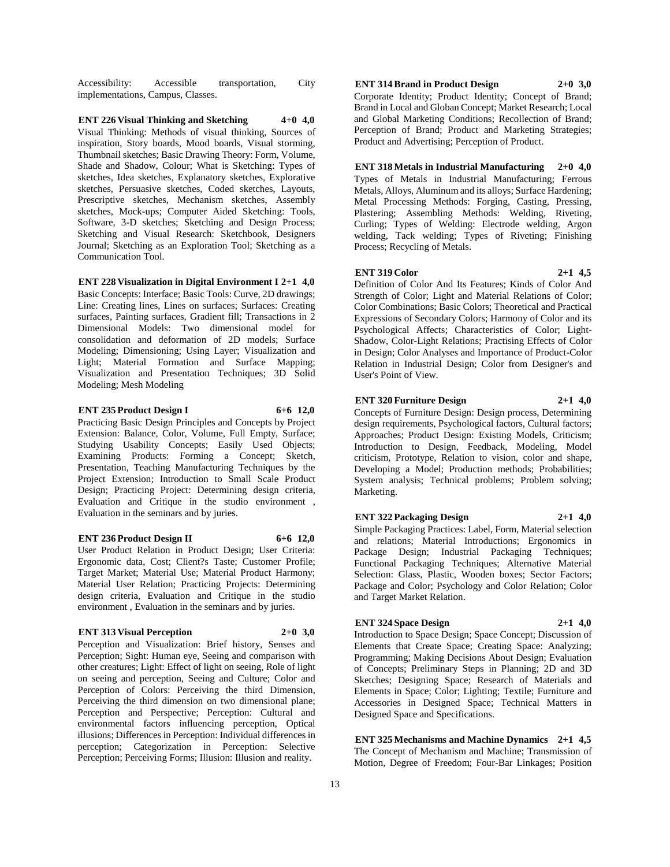Accessibility: Accessible transportation, City implementations, Campus, Classes.

**ENT 226 Visual Thinking and Sketching 4+0 4,0** Visual Thinking: Methods of visual thinking, Sources of inspiration, Story boards, Mood boards, Visual storming, Thumbnail sketches; Basic Drawing Theory: Form, Volume, Shade and Shadow, Colour; What is Sketching: Types of sketches, Idea sketches, Explanatory sketches, Explorative sketches, Persuasive sketches, Coded sketches, Layouts, Prescriptive sketches, Mechanism sketches, Assembly sketches, Mock-ups; Computer Aided Sketching: Tools, Software, 3-D sketches; Sketching and Design Process; Sketching and Visual Research: Sketchbook, Designers Journal; Sketching as an Exploration Tool; Sketching as a Communication Tool.

#### **ENT 228 Visualization in Digital Environment I 2+1 4,0**

Basic Concepts: Interface; Basic Tools: Curve, 2D drawings; Line: Creating lines, Lines on surfaces; Surfaces: Creating surfaces, Painting surfaces, Gradient fill; Transactions in 2 Dimensional Models: Two dimensional model for consolidation and deformation of 2D models; Surface Modeling; Dimensioning; Using Layer; Visualization and Light; Material Formation and Surface Mapping; Visualization and Presentation Techniques; 3D Solid Modeling; Mesh Modeling

#### **ENT 235 Product Design I 6+6 12,0**

Practicing Basic Design Principles and Concepts by Project Extension: Balance, Color, Volume, Full Empty, Surface; Studying Usability Concepts; Easily Used Objects; Examining Products: Forming a Concept; Sketch, Presentation, Teaching Manufacturing Techniques by the Project Extension; Introduction to Small Scale Product Design; Practicing Project: Determining design criteria, Evaluation and Critique in the studio environment , Evaluation in the seminars and by juries.

#### **ENT 236 Product Design II 6+6 12,0**

User Product Relation in Product Design; User Criteria: Ergonomic data, Cost; Client?s Taste; Customer Profile; Target Market; Material Use; Material Product Harmony; Material User Relation; Practicing Projects: Determining design criteria, Evaluation and Critique in the studio environment , Evaluation in the seminars and by juries.

#### **ENT 313 Visual Perception 2+0 3,0**

Perception and Visualization: Brief history, Senses and Perception; Sight: Human eye, Seeing and comparison with other creatures; Light: Effect of light on seeing, Role of light on seeing and perception, Seeing and Culture; Color and Perception of Colors: Perceiving the third Dimension, Perceiving the third dimension on two dimensional plane; Perception and Perspective; Perception: Cultural and environmental factors influencing perception, Optical illusions; Differences in Perception: Individual differences in perception; Categorization in Perception: Selective Perception; Perceiving Forms; Illusion: Illusion and reality.

**ENT 314 Brand in Product Design 2+0 3,0** Corporate Identity; Product Identity; Concept of Brand;

Brand in Local and Globan Concept; Market Research; Local and Global Marketing Conditions; Recollection of Brand; Perception of Brand; Product and Marketing Strategies; Product and Advertising; Perception of Product.

**ENT 318 Metals in Industrial Manufacturing 2+0 4,0** Types of Metals in Industrial Manufacturing; Ferrous Metals, Alloys, Aluminum and its alloys; Surface Hardening; Metal Processing Methods: Forging, Casting, Pressing, Plastering; Assembling Methods: Welding, Riveting, Curling; Types of Welding: Electrode welding, Argon welding, Tack welding; Types of Riveting; Finishing Process; Recycling of Metals.

#### **ENT 319 Color 2+1 4,5**

Definition of Color And Its Features; Kinds of Color And Strength of Color; Light and Material Relations of Color; Color Combinations; Basic Colors; Theoretical and Practical Expressions of Secondary Colors; Harmony of Color and its Psychological Affects; Characteristics of Color; Light-Shadow, Color-Light Relations; Practising Effects of Color in Design; Color Analyses and Importance of Product-Color Relation in Industrial Design; Color from Designer's and User's Point of View.

#### **ENT 320 Furniture Design 2+1 4,0**

Concepts of Furniture Design: Design process, Determining design requirements, Psychological factors, Cultural factors; Approaches; Product Design: Existing Models, Criticism; Introduction to Design, Feedback, Modeling, Model criticism, Prototype, Relation to vision, color and shape, Developing a Model; Production methods; Probabilities; System analysis; Technical problems; Problem solving; Marketing.

**ENT 322 Packaging Design 2+1 4,0**

Simple Packaging Practices: Label, Form, Material selection and relations; Material Introductions; Ergonomics in Package Design; Industrial Packaging Techniques; Functional Packaging Techniques; Alternative Material Selection: Glass, Plastic, Wooden boxes; Sector Factors; Package and Color; Psychology and Color Relation; Color and Target Market Relation.

#### **ENT 324 Space Design 2+1 4,0**

Introduction to Space Design; Space Concept; Discussion of Elements that Create Space; Creating Space: Analyzing; Programming; Making Decisions About Design; Evaluation of Concepts; Preliminary Steps in Planning; 2D and 3D Sketches; Designing Space; Research of Materials and Elements in Space; Color; Lighting; Textile; Furniture and Accessories in Designed Space; Technical Matters in Designed Space and Specifications.

**ENT 325 Mechanisms and Machine Dynamics 2+1 4,5** The Concept of Mechanism and Machine; Transmission of Motion, Degree of Freedom; Four-Bar Linkages; Position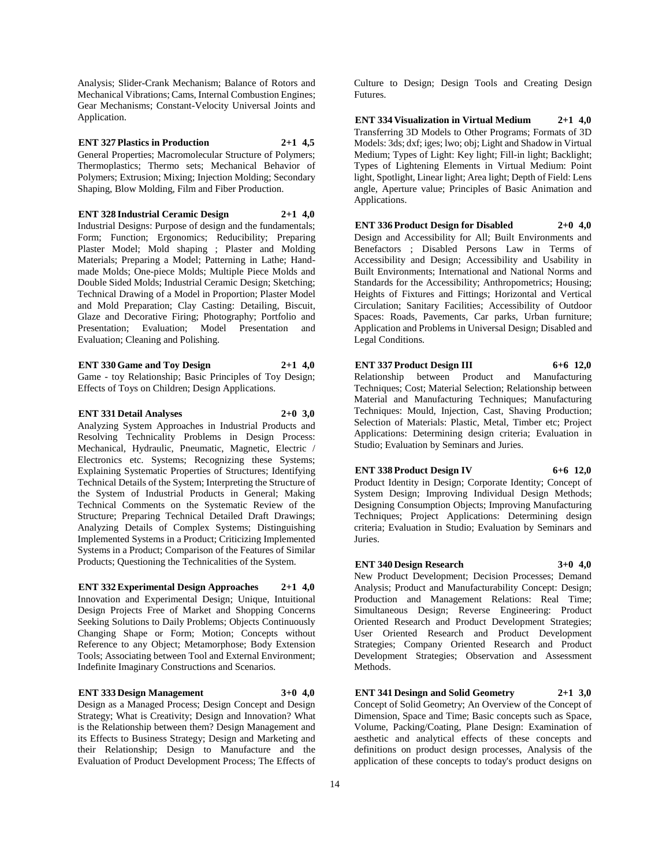Analysis; Slider-Crank Mechanism; Balance of Rotors and Mechanical Vibrations; Cams, Internal Combustion Engines; Gear Mechanisms; Constant-Velocity Universal Joints and Application.

**ENT 327 Plastics in Production 2+1 4,5** General Properties; Macromolecular Structure of Polymers; Thermoplastics; Thermo sets; Mechanical Behavior of Polymers; Extrusion; Mixing; Injection Molding; Secondary Shaping, Blow Molding, Film and Fiber Production.

**ENT 328 Industrial Ceramic Design 2+1 4,0** Industrial Designs: Purpose of design and the fundamentals; Form; Function; Ergonomics; Reducibility; Preparing Plaster Model; Mold shaping ; Plaster and Molding Materials; Preparing a Model; Patterning in Lathe; Handmade Molds; One-piece Molds; Multiple Piece Molds and Double Sided Molds; Industrial Ceramic Design; Sketching; Technical Drawing of a Model in Proportion; Plaster Model and Mold Preparation; Clay Casting: Detailing, Biscuit, Glaze and Decorative Firing; Photography; Portfolio and Presentation; Evaluation; Model Presentation and Evaluation; Cleaning and Polishing.

**ENT 330 Game and Toy Design 2+1 4,0** Game - toy Relationship; Basic Principles of Toy Design;

Effects of Toys on Children; Design Applications.

**ENT 331 Detail Analyses 2+0 3,0** Analyzing System Approaches in Industrial Products and Resolving Technicality Problems in Design Process: Mechanical, Hydraulic, Pneumatic, Magnetic, Electric / Electronics etc. Systems; Recognizing these Systems; Explaining Systematic Properties of Structures; Identifying Technical Details of the System; Interpreting the Structure of the System of Industrial Products in General; Making Technical Comments on the Systematic Review of the Structure; Preparing Technical Detailed Draft Drawings; Analyzing Details of Complex Systems; Distinguishing Implemented Systems in a Product; Criticizing Implemented Systems in a Product; Comparison of the Features of Similar Products; Questioning the Technicalities of the System.

**ENT 332 Experimental Design Approaches 2+1 4,0** Innovation and Experimental Design; Unique, Intuitional Design Projects Free of Market and Shopping Concerns Seeking Solutions to Daily Problems; Objects Continuously Changing Shape or Form; Motion; Concepts without Reference to any Object; Metamorphose; Body Extension Tools; Associating between Tool and External Environment; Indefinite Imaginary Constructions and Scenarios.

**ENT 333 Design Management 3+0 4,0** Design as a Managed Process; Design Concept and Design Strategy; What is Creativity; Design and Innovation? What is the Relationship between them? Design Management and its Effects to Business Strategy; Design and Marketing and their Relationship; Design to Manufacture and the Evaluation of Product Development Process; The Effects of

Culture to Design; Design Tools and Creating Design Futures.

**ENT 334 Visualization in Virtual Medium 2+1 4,0** Transferring 3D Models to Other Programs; Formats of 3D Models: 3ds; dxf; iges; lwo; obj; Light and Shadow in Virtual Medium; Types of Light: Key light; Fill-in light; Backlight; Types of Lightening Elements in Virtual Medium: Point light, Spotlight, Linear light; Area light; Depth of Field: Lens angle, Aperture value; Principles of Basic Animation and Applications.

**ENT 336 Product Design for Disabled 2+0 4,0** Design and Accessibility for All; Built Environments and Benefactors ; Disabled Persons Law in Terms of Accessibility and Design; Accessibility and Usability in Built Environments; International and National Norms and Standards for the Accessibility; Anthropometrics; Housing; Heights of Fixtures and Fittings; Horizontal and Vertical Circulation; Sanitary Facilities; Accessibility of Outdoor Spaces: Roads, Pavements, Car parks, Urban furniture; Application and Problems in Universal Design; Disabled and Legal Conditions.

**ENT 337 Product Design III 6+6 12,0** Relationship between Product and Manufacturing Techniques; Cost; Material Selection; Relationship between Material and Manufacturing Techniques; Manufacturing Techniques: Mould, Injection, Cast, Shaving Production; Selection of Materials: Plastic, Metal, Timber etc; Project Applications: Determining design criteria; Evaluation in Studio; Evaluation by Seminars and Juries.

**ENT 338 Product Design IV 6+6 12,0** Product Identity in Design; Corporate Identity; Concept of System Design; Improving Individual Design Methods; Designing Consumption Objects; Improving Manufacturing Techniques; Project Applications: Determining design criteria; Evaluation in Studio; Evaluation by Seminars and Juries.

#### **ENT 340 Design Research 3+0 4,0** New Product Development; Decision Processes; Demand Analysis; Product and Manufacturability Concept: Design; Production and Management Relations: Real Time; Simultaneous Design; Reverse Engineering: Product Oriented Research and Product Development Strategies; User Oriented Research and Product Development Strategies; Company Oriented Research and Product Development Strategies; Observation and Assessment Methods.

**ENT 341 Desingn and Solid Geometry 2+1 3,0** Concept of Solid Geometry; An Overview of the Concept of Dimension, Space and Time; Basic concepts such as Space, Volume, Packing/Coating, Plane Design: Examination of aesthetic and analytical effects of these concepts and definitions on product design processes, Analysis of the application of these concepts to today's product designs on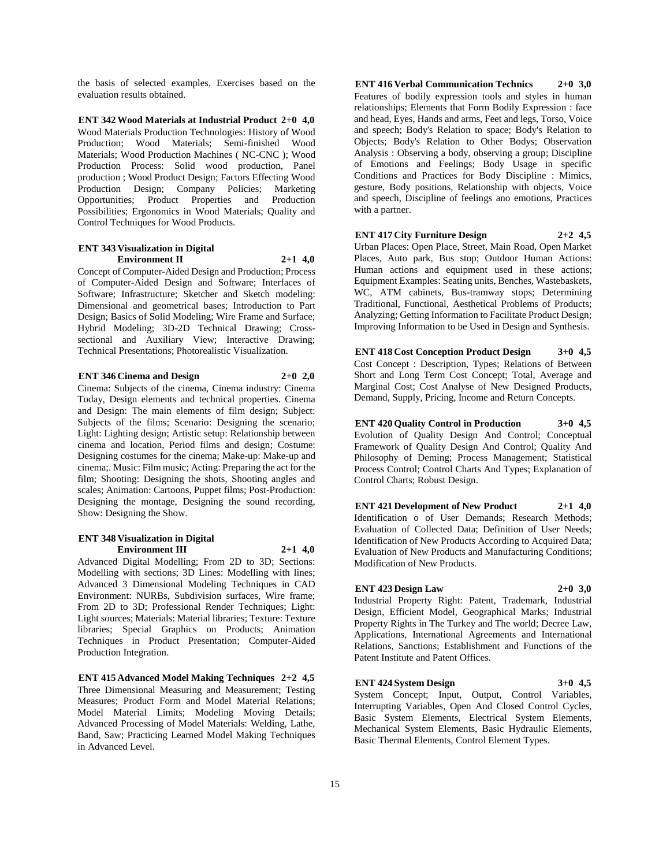the basis of selected examples, Exercises based on the evaluation results obtained.

**ENT 342 Wood Materials at Industrial Product 2+0 4,0** Wood Materials Production Technologies: History of Wood Production; Wood Materials; Semi-finished Wood Materials; Wood Production Machines ( NC-CNC ); Wood Production Process: Solid wood production, Panel production ; Wood Product Design; Factors Effecting Wood Production Design; Company Policies; Marketing Opportunities; Product Properties and Production Possibilities; Ergonomics in Wood Materials; Quality and Control Techniques for Wood Products.

# **ENT 343 Visualization in Digital Environment II 2+1 4,0**

Concept of Computer-Aided Design and Production; Process of Computer-Aided Design and Software; Interfaces of Software; Infrastructure; Sketcher and Sketch modeling: Dimensional and geometrical bases; Introduction to Part Design; Basics of Solid Modeling; Wire Frame and Surface; Hybrid Modeling; 3D-2D Technical Drawing; Crosssectional and Auxiliary View; Interactive Drawing; Technical Presentations; Photorealistic Visualization.

#### **ENT 346 Cinema and Design 2+0 2,0**

Cinema: Subjects of the cinema, Cinema industry: Cinema Today, Design elements and technical properties. Cinema and Design: The main elements of film design; Subject: Subjects of the films; Scenario: Designing the scenario; Light: Lighting design; Artistic setup: Relationship between cinema and location, Period films and design; Costume: Designing costumes for the cinema; Make-up: Make-up and cinema;. Music: Film music; Acting: Preparing the act for the film; Shooting: Designing the shots, Shooting angles and scales; Animation: Cartoons, Puppet films; Post-Production: Designing the montage, Designing the sound recording, Show: Designing the Show.

#### **ENT 348 Visualization in Digital Environment III 2+1 4,0**

Advanced Digital Modelling; From 2D to 3D; Sections: Modelling with sections; 3D Lines: Modelling with lines; Advanced 3 Dimensional Modeling Techniques in CAD Environment: NURBs, Subdivision surfaces, Wire frame; From 2D to 3D; Professional Render Techniques; Light: Light sources; Materials: Material libraries; Texture: Texture libraries; Special Graphics on Products; Animation Techniques in Product Presentation; Computer-Aided Production Integration.

**ENT 415 Advanced Model Making Techniques 2+2 4,5** Three Dimensional Measuring and Measurement; Testing Measures; Product Form and Model Material Relations; Model Material Limits; Modeling Moving Details; Advanced Processing of Model Materials: Welding, Lathe, Band, Saw; Practicing Learned Model Making Techniques in Advanced Level.

**ENT 416 Verbal Communication Technics 2+0 3,0** Features of bodily expression tools and styles in human relationships; Elements that Form Bodily Expression : face and head, Eyes, Hands and arms, Feet and legs, Torso, Voice and speech; Body's Relation to space; Body's Relation to Objects; Body's Relation to Other Bodys; Observation Analysis : Observing a body, observing a group; Discipline of Emotions and Feelings; Body Usage in specific Conditions and Practices for Body Discipline : Mimics, gesture, Body positions, Relationship with objects, Voice and speech, Discipline of feelings ano emotions, Practices with a partner.

#### **ENT 417 City Furniture Design 2+2 4,5**

Urban Places: Open Place, Street, Main Road, Open Market Places, Auto park, Bus stop; Outdoor Human Actions: Human actions and equipment used in these actions; Equipment Examples: Seating units, Benches, Wastebaskets, WC, ATM cabinets, Bus-tramway stops; Determining Traditional, Functional, Aesthetical Problems of Products; Analyzing; Getting Information to Facilitate Product Design; Improving Information to be Used in Design and Synthesis.

**ENT 418 Cost Conception Product Design 3+0 4,5** Cost Concept : Description, Types; Relations of Between Short and Long Term Cost Concept; Total, Average and Marginal Cost; Cost Analyse of New Designed Products, Demand, Supply, Pricing, Income and Return Concepts.

**ENT 420 Quality Control in Production 3+0 4,5** Evolution of Quality Design And Control; Conceptual Framework of Quality Design And Control; Quality And Philosophy of Deming; Process Management; Statistical Process Control; Control Charts And Types; Explanation of Control Charts; Robust Design.

**ENT 421 Development of New Product 2+1 4,0** Identification o of User Demands; Research Methods; Evaluation of Collected Data; Definition of User Needs; Identification of New Products According to Acquired Data; Evaluation of New Products and Manufacturing Conditions; Modification of New Products.

#### **ENT 423 Design Law 2+0 3,0**

Industrial Property Right: Patent, Trademark, Industrial Design, Efficient Model, Geographical Marks; Industrial Property Rights in The Turkey and The world; Decree Law, Applications, International Agreements and International Relations, Sanctions; Establishment and Functions of the Patent Institute and Patent Offices.

#### **ENT 424 System Design 3+0 4,5**

System Concept; Input, Output, Control Variables, Interrupting Variables, Open And Closed Control Cycles, Basic System Elements, Electrical System Elements, Mechanical System Elements, Basic Hydraulic Elements, Basic Thermal Elements, Control Element Types.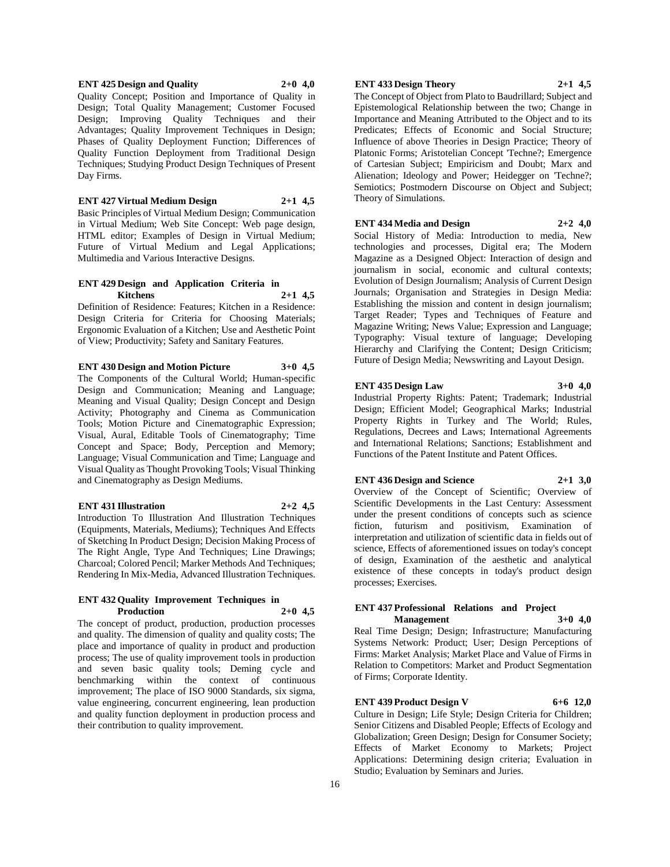#### **ENT 425 Design and Quality 2+0 4,0**

Quality Concept; Position and Importance of Quality in Design; Total Quality Management; Customer Focused Design; Improving Quality Techniques and their Advantages; Quality Improvement Techniques in Design; Phases of Quality Deployment Function; Differences of Quality Function Deployment from Traditional Design Techniques; Studying Product Design Techniques of Present Day Firms.

#### **ENT 427 Virtual Medium Design 2+1 4,5**

Basic Principles of Virtual Medium Design; Communication in Virtual Medium; Web Site Concept: Web page design, HTML editor; Examples of Design in Virtual Medium; Future of Virtual Medium and Legal Applications; Multimedia and Various Interactive Designs.

#### **ENT 429 Design and Application Criteria in Kitchens 2+1 4,5**

Definition of Residence: Features; Kitchen in a Residence: Design Criteria for Criteria for Choosing Materials; Ergonomic Evaluation of a Kitchen; Use and Aesthetic Point of View; Productivity; Safety and Sanitary Features.

#### **ENT 430 Design and Motion Picture 3+0 4,5**

The Components of the Cultural World; Human-specific Design and Communication; Meaning and Language; Meaning and Visual Quality; Design Concept and Design Activity; Photography and Cinema as Communication Tools; Motion Picture and Cinematographic Expression; Visual, Aural, Editable Tools of Cinematography; Time Concept and Space; Body, Perception and Memory; Language; Visual Communication and Time; Language and Visual Quality as Thought Provoking Tools; Visual Thinking and Cinematography as Design Mediums.

#### **ENT 431 Illustration 2+2 4,5**

Introduction To Illustration And Illustration Techniques (Equipments, Materials, Mediums); Techniques And Effects of Sketching In Product Design; Decision Making Process of The Right Angle, Type And Techniques; Line Drawings; Charcoal; Colored Pencil; Marker Methods And Techniques; Rendering In Mix-Media, Advanced Illustration Techniques.

#### **ENT 432 Quality Improvement Techniques in Production 2+0 4,5**

The concept of product, production, production processes and quality. The dimension of quality and quality costs; The place and importance of quality in product and production process; The use of quality improvement tools in production and seven basic quality tools; Deming cycle and benchmarking within the context of continuous improvement; The place of ISO 9000 Standards, six sigma, value engineering, concurrent engineering, lean production and quality function deployment in production process and their contribution to quality improvement.

#### **ENT 433 Design Theory 2+1 4,5**

The Concept of Object from Plato to Baudrillard; Subject and Epistemological Relationship between the two; Change in Importance and Meaning Attributed to the Object and to its Predicates; Effects of Economic and Social Structure; Influence of above Theories in Design Practice; Theory of Platonic Forms; Aristotelian Concept 'Techne?; Emergence of Cartesian Subject; Empiricism and Doubt; Marx and Alienation; Ideology and Power; Heidegger on 'Techne?; Semiotics; Postmodern Discourse on Object and Subject; Theory of Simulations.

# **ENT 434 Media and Design 2+2 4,0**

Social History of Media: Introduction to media, New technologies and processes, Digital era; The Modern Magazine as a Designed Object: Interaction of design and journalism in social, economic and cultural contexts; Evolution of Design Journalism; Analysis of Current Design Journals; Organisation and Strategies in Design Media: Establishing the mission and content in design journalism; Target Reader; Types and Techniques of Feature and Magazine Writing; News Value; Expression and Language; Typography: Visual texture of language; Developing Hierarchy and Clarifying the Content; Design Criticism; Future of Design Media; Newswriting and Layout Design.

#### **ENT 435 Design Law 3+0 4,0**

Industrial Property Rights: Patent; Trademark; Industrial Design; Efficient Model; Geographical Marks; Industrial Property Rights in Turkey and The World; Rules, Regulations, Decrees and Laws; International Agreements and International Relations; Sanctions; Establishment and Functions of the Patent Institute and Patent Offices.

#### **ENT 436 Design and Science 2+1 3,0**

Overview of the Concept of Scientific; Overview of Scientific Developments in the Last Century: Assessment under the present conditions of concepts such as science fiction, futurism and positivism, Examination of interpretation and utilization of scientific data in fields out of science, Effects of aforementioned issues on today's concept of design, Examination of the aesthetic and analytical existence of these concepts in today's product design processes; Exercises.

#### **ENT 437 Professional Relations and Project Management 3+0 4,0**

Real Time Design; Design; Infrastructure; Manufacturing Systems Network: Product; User; Design Perceptions of Firms: Market Analysis; Market Place and Value of Firms in Relation to Competitors: Market and Product Segmentation of Firms; Corporate Identity.

#### **ENT 439 Product Design V 6+6 12,0**

Culture in Design; Life Style; Design Criteria for Children; Senior Citizens and Disabled People; Effects of Ecology and Globalization; Green Design; Design for Consumer Society; Effects of Market Economy to Markets; Project Applications: Determining design criteria; Evaluation in Studio; Evaluation by Seminars and Juries.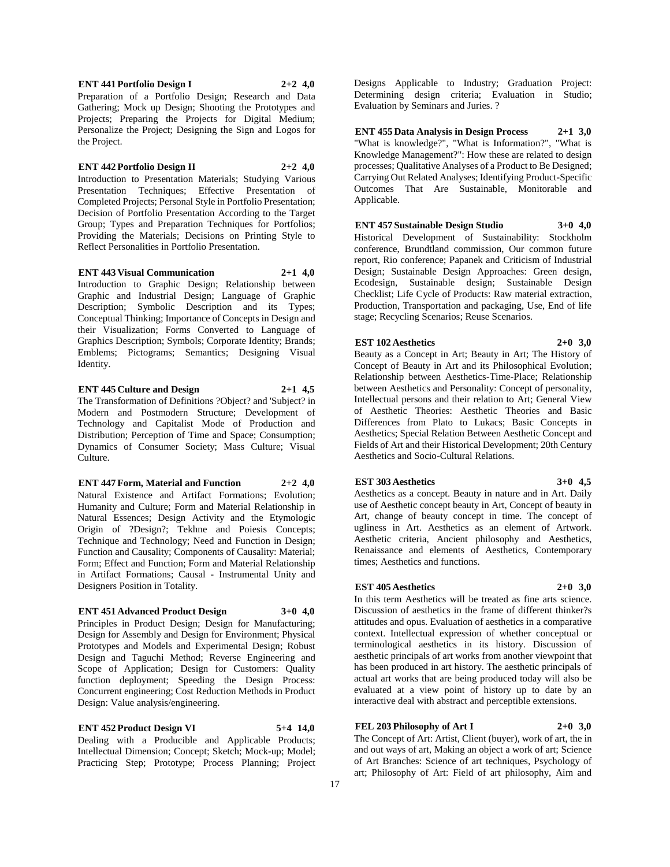**ENT 441 Portfolio Design I 2+2 4,0** Preparation of a Portfolio Design; Research and Data Gathering; Mock up Design; Shooting the Prototypes and Projects; Preparing the Projects for Digital Medium; Personalize the Project; Designing the Sign and Logos for the Project.

**ENT 442 Portfolio Design II 2+2 4,0** Introduction to Presentation Materials; Studying Various Presentation Techniques; Effective Presentation of Completed Projects; Personal Style in Portfolio Presentation; Decision of Portfolio Presentation According to the Target Group; Types and Preparation Techniques for Portfolios; Providing the Materials; Decisions on Printing Style to Reflect Personalities in Portfolio Presentation.

**ENT 443 Visual Communication 2+1 4,0** Introduction to Graphic Design; Relationship between Graphic and Industrial Design; Language of Graphic Description; Symbolic Description and its Types; Conceptual Thinking; Importance of Concepts in Design and their Visualization; Forms Converted to Language of Graphics Description; Symbols; Corporate Identity; Brands; Emblems; Pictograms; Semantics; Designing Visual Identity.

#### **ENT 445 Culture and Design 2+1 4,5** The Transformation of Definitions ?Object? and 'Subject? in Modern and Postmodern Structure; Development of Technology and Capitalist Mode of Production and Distribution; Perception of Time and Space; Consumption; Dynamics of Consumer Society; Mass Culture; Visual

Culture.

**ENT 447 Form, Material and Function 2+2 4,0** Natural Existence and Artifact Formations; Evolution; Humanity and Culture; Form and Material Relationship in Natural Essences; Design Activity and the Etymologic Origin of ?Design?; Tekhne and Poiesis Concepts; Technique and Technology; Need and Function in Design; Function and Causality; Components of Causality: Material; Form; Effect and Function; Form and Material Relationship in Artifact Formations; Causal - Instrumental Unity and Designers Position in Totality.

**ENT 451 Advanced Product Design 3+0 4,0** Principles in Product Design; Design for Manufacturing; Design for Assembly and Design for Environment; Physical Prototypes and Models and Experimental Design; Robust Design and Taguchi Method; Reverse Engineering and Scope of Application; Design for Customers: Quality function deployment; Speeding the Design Process: Concurrent engineering; Cost Reduction Methods in Product Design: Value analysis/engineering.

**ENT 452 Product Design VI 5+4 14,0** Dealing with a Producible and Applicable Products; Intellectual Dimension; Concept; Sketch; Mock-up; Model; Practicing Step; Prototype; Process Planning; Project

Designs Applicable to Industry; Graduation Project: Determining design criteria; Evaluation in Studio; Evaluation by Seminars and Juries. ?

**ENT 455 Data Analysis in Design Process 2+1 3,0** "What is knowledge?", "What is Information?", "What is Knowledge Management?": How these are related to design processes; Qualitative Analyses of a Product to Be Designed; Carrying Out Related Analyses; Identifying Product-Specific Outcomes That Are Sustainable, Monitorable and Applicable.

**ENT 457 Sustainable Design Studio 3+0 4,0** Historical Development of Sustainability: Stockholm conference, Brundtland commission, Our common future report, Rio conference; Papanek and Criticism of Industrial Design; Sustainable Design Approaches: Green design, Ecodesign, Sustainable design; Sustainable Design Checklist; Life Cycle of Products: Raw material extraction, Production, Transportation and packaging, Use, End of life stage; Recycling Scenarios; Reuse Scenarios.

#### **EST 102 Aesthetics 2+0 3,0** Beauty as a Concept in Art; Beauty in Art; The History of Concept of Beauty in Art and its Philosophical Evolution; Relationship between Aesthetics-Time-Place; Relationship between Aesthetics and Personality: Concept of personality, Intellectual persons and their relation to Art; General View of Aesthetic Theories: Aesthetic Theories and Basic Differences from Plato to Lukacs; Basic Concepts in Aesthetics; Special Relation Between Aesthetic Concept and Fields of Art and their Historical Development; 20th Century Aesthetics and Socio-Cultural Relations.

**EST 303 Aesthetics 3+0 4,5** Aesthetics as a concept. Beauty in nature and in Art. Daily use of Aesthetic concept beauty in Art, Concept of beauty in Art, change of beauty concept in time. The concept of ugliness in Art. Aesthetics as an element of Artwork. Aesthetic criteria, Ancient philosophy and Aesthetics, Renaissance and elements of Aesthetics, Contemporary times; Aesthetics and functions.

## **EST 405 Aesthetics 2+0 3,0** In this term Aesthetics will be treated as fine arts science. Discussion of aesthetics in the frame of different thinker?s attitudes and opus. Evaluation of aesthetics in a comparative context. Intellectual expression of whether conceptual or terminological aesthetics in its history. Discussion of aesthetic principals of art works from another viewpoint that has been produced in art history. The aesthetic principals of actual art works that are being produced today will also be evaluated at a view point of history up to date by an interactive deal with abstract and perceptible extensions.

# **FEL 203 Philosophy of Art I 2+0 3,0** The Concept of Art: Artist, Client (buyer), work of art, the in

and out ways of art, Making an object a work of art; Science of Art Branches: Science of art techniques, Psychology of art; Philosophy of Art: Field of art philosophy, Aim and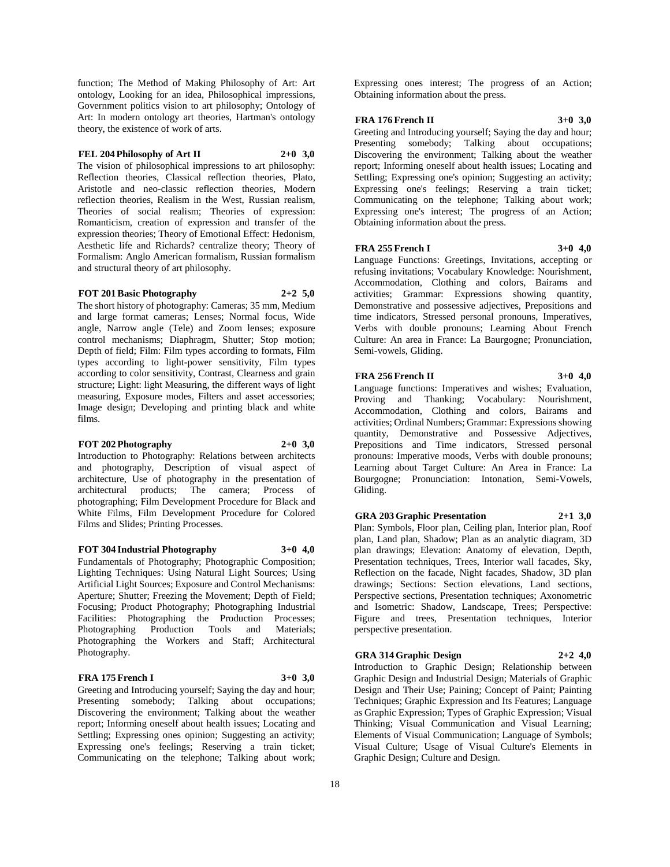function; The Method of Making Philosophy of Art: Art ontology, Looking for an idea, Philosophical impressions, Government politics vision to art philosophy; Ontology of Art: In modern ontology art theories, Hartman's ontology theory, the existence of work of arts.

#### **FEL 204 Philosophy of Art II 2+0 3,0**

The vision of philosophical impressions to art philosophy: Reflection theories, Classical reflection theories, Plato, Aristotle and neo-classic reflection theories, Modern reflection theories, Realism in the West, Russian realism, Theories of social realism; Theories of expression: Romanticism, creation of expression and transfer of the expression theories; Theory of Emotional Effect: Hedonism, Aesthetic life and Richards? centralize theory; Theory of Formalism: Anglo American formalism, Russian formalism and structural theory of art philosophy.

#### **FOT 201 Basic Photography 2+2 5,0**

The short history of photography: Cameras; 35 mm, Medium and large format cameras; Lenses; Normal focus, Wide angle, Narrow angle (Tele) and Zoom lenses; exposure control mechanisms; Diaphragm, Shutter; Stop motion; Depth of field; Film: Film types according to formats, Film types according to light-power sensitivity, Film types according to color sensitivity, Contrast, Clearness and grain structure; Light: light Measuring, the different ways of light measuring, Exposure modes, Filters and asset accessories; Image design; Developing and printing black and white films.

#### **FOT 202 Photography 2+0 3,0**

Introduction to Photography: Relations between architects and photography, Description of visual aspect of architecture, Use of photography in the presentation of architectural products; The camera; Process of photographing; Film Development Procedure for Black and White Films, Film Development Procedure for Colored Films and Slides; Printing Processes.

#### **FOT 304 Industrial Photography 3+0 4,0**

Fundamentals of Photography; Photographic Composition; Lighting Techniques: Using Natural Light Sources; Using Artificial Light Sources; Exposure and Control Mechanisms: Aperture; Shutter; Freezing the Movement; Depth of Field; Focusing; Product Photography; Photographing Industrial Facilities: Photographing the Production Processes; Photographing Production Tools and Materials; Photographing the Workers and Staff; Architectural Photography.

#### **FRA 175 French I 3+0 3,0**

Greeting and Introducing yourself; Saying the day and hour; Presenting somebody; Talking about occupations; Discovering the environment; Talking about the weather report; Informing oneself about health issues; Locating and Settling; Expressing ones opinion; Suggesting an activity; Expressing one's feelings; Reserving a train ticket; Communicating on the telephone; Talking about work;

Expressing ones interest; The progress of an Action; Obtaining information about the press.

#### **FRA 176 French II 3+0 3,0**

Greeting and Introducing yourself; Saying the day and hour; Presenting somebody; Talking about occupations; Discovering the environment; Talking about the weather report; Informing oneself about health issues; Locating and Settling; Expressing one's opinion; Suggesting an activity; Expressing one's feelings; Reserving a train ticket; Communicating on the telephone; Talking about work; Expressing one's interest; The progress of an Action; Obtaining information about the press.

#### **FRA 255 French I 3+0 4,0**

Language Functions: Greetings, Invitations, accepting or refusing invitations; Vocabulary Knowledge: Nourishment, Accommodation, Clothing and colors, Bairams and activities; Grammar: Expressions showing quantity, Demonstrative and possessive adjectives, Prepositions and time indicators, Stressed personal pronouns, Imperatives, Verbs with double pronouns; Learning About French Culture: An area in France: La Baurgogne; Pronunciation, Semi-vowels, Gliding.

#### **FRA 256 French II 3+0 4,0**

Language functions: Imperatives and wishes; Evaluation, Proving and Thanking; Vocabulary: Nourishment, Accommodation, Clothing and colors, Bairams and activities; Ordinal Numbers; Grammar: Expressions showing quantity, Demonstrative and Possessive Adjectives, Prepositions and Time indicators, Stressed personal pronouns: Imperative moods, Verbs with double pronouns; Learning about Target Culture: An Area in France: La Bourgogne; Pronunciation: Intonation, Semi-Vowels, Gliding.

# **GRA 203 Graphic Presentation 2+1 3,0**

Plan: Symbols, Floor plan, Ceiling plan, Interior plan, Roof plan, Land plan, Shadow; Plan as an analytic diagram, 3D plan drawings; Elevation: Anatomy of elevation, Depth, Presentation techniques, Trees, Interior wall facades, Sky, Reflection on the facade, Night facades, Shadow, 3D plan drawings; Sections: Section elevations, Land sections, Perspective sections, Presentation techniques; Axonometric and Isometric: Shadow, Landscape, Trees; Perspective: Figure and trees, Presentation techniques, Interior perspective presentation.

#### **GRA 314 Graphic Design 2+2 4,0**

Introduction to Graphic Design; Relationship between Graphic Design and Industrial Design; Materials of Graphic Design and Their Use; Paining; Concept of Paint; Painting Techniques; Graphic Expression and Its Features; Language as Graphic Expression; Types of Graphic Expression; Visual Thinking; Visual Communication and Visual Learning; Elements of Visual Communication; Language of Symbols; Visual Culture; Usage of Visual Culture's Elements in Graphic Design; Culture and Design.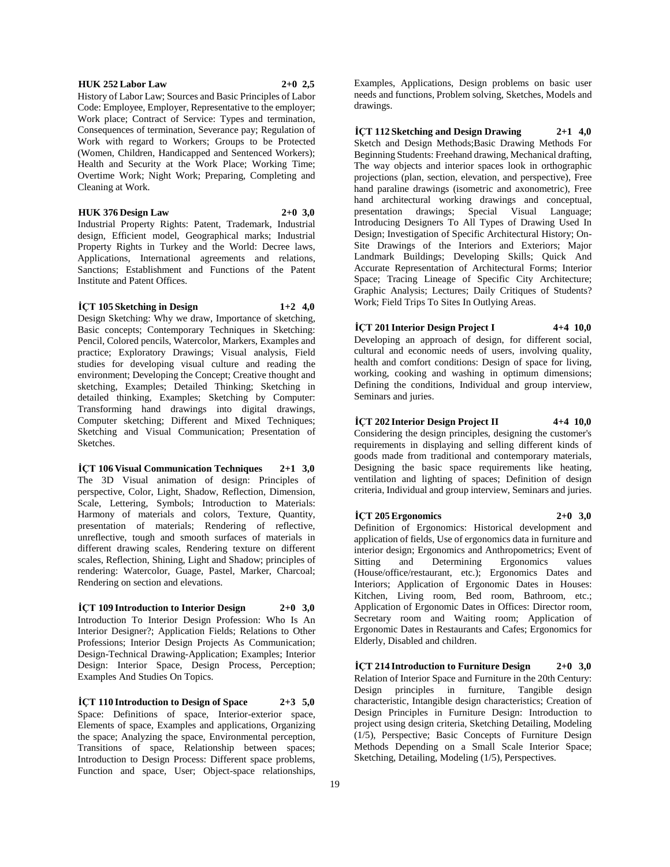#### **HUK 252 Labor Law 2+0 2,5**

History of Labor Law; Sources and Basic Principles of Labor Code: Employee, Employer, Representative to the employer; Work place; Contract of Service: Types and termination, Consequences of termination, Severance pay; Regulation of Work with regard to Workers; Groups to be Protected (Women, Children, Handicapped and Sentenced Workers); Health and Security at the Work Place; Working Time; Overtime Work; Night Work; Preparing, Completing and Cleaning at Work.

# **HUK 376 Design Law 2+0 3,0**

Industrial Property Rights: Patent, Trademark, Industrial design, Efficient model, Geographical marks; Industrial Property Rights in Turkey and the World: Decree laws, Applications, International agreements and relations, Sanctions; Establishment and Functions of the Patent Institute and Patent Offices.

#### **İÇT 105 Sketching in Design 1+2 4,0**

Design Sketching: Why we draw, Importance of sketching, Basic concepts; Contemporary Techniques in Sketching: Pencil, Colored pencils, Watercolor, Markers, Examples and practice; Exploratory Drawings; Visual analysis, Field studies for developing visual culture and reading the environment; Developing the Concept; Creative thought and sketching, Examples; Detailed Thinking; Sketching in detailed thinking, Examples; Sketching by Computer: Transforming hand drawings into digital drawings, Computer sketching; Different and Mixed Techniques; Sketching and Visual Communication; Presentation of Sketches.

**İÇT 106 Visual Communication Techniques 2+1 3,0** The 3D Visual animation of design: Principles of perspective, Color, Light, Shadow, Reflection, Dimension, Scale, Lettering, Symbols; Introduction to Materials: Harmony of materials and colors, Texture, Quantity, presentation of materials; Rendering of reflective, unreflective, tough and smooth surfaces of materials in different drawing scales, Rendering texture on different scales, Reflection, Shining, Light and Shadow; principles of rendering: Watercolor, Guage, Pastel, Marker, Charcoal; Rendering on section and elevations.

**İÇT 109 Introduction to Interior Design 2+0 3,0** Introduction To Interior Design Profession: Who Is An Interior Designer?; Application Fields; Relations to Other Professions; Interior Design Projects As Communication; Design-Technical Drawing-Application; Examples; Interior Design: Interior Space, Design Process, Perception; Examples And Studies On Topics.

**İÇT 110 Introduction to Design of Space 2+3 5,0** Space: Definitions of space, Interior-exterior space, Elements of space, Examples and applications, Organizing the space; Analyzing the space, Environmental perception, Transitions of space, Relationship between spaces; Introduction to Design Process: Different space problems, Function and space, User; Object-space relationships,

Examples, Applications, Design problems on basic user needs and functions, Problem solving, Sketches, Models and drawings.

**İÇT 112 Sketching and Design Drawing 2+1 4,0** Sketch and Design Methods;Basic Drawing Methods For Beginning Students: Freehand drawing, Mechanical drafting, The way objects and interior spaces look in orthographic projections (plan, section, elevation, and perspective), Free hand paraline drawings (isometric and axonometric). Free hand architectural working drawings and conceptual, presentation drawings; Special Visual Language; Introducing Designers To All Types of Drawing Used In Design; Investigation of Specific Architectural History; On-Site Drawings of the Interiors and Exteriors; Major Landmark Buildings; Developing Skills; Quick And Accurate Representation of Architectural Forms; Interior Space; Tracing Lineage of Specific City Architecture; Graphic Analysis; Lectures; Daily Critiques of Students? Work; Field Trips To Sites In Outlying Areas.

**İÇT 201 Interior Design Project I 4+4 10,0** Developing an approach of design, for different social, cultural and economic needs of users, involving quality, health and comfort conditions: Design of space for living, working, cooking and washing in optimum dimensions; Defining the conditions, Individual and group interview, Seminars and juries.

**İÇT 202 Interior Design Project II 4+4 10,0** Considering the design principles, designing the customer's requirements in displaying and selling different kinds of goods made from traditional and contemporary materials, Designing the basic space requirements like heating, ventilation and lighting of spaces; Definition of design criteria, Individual and group interview, Seminars and juries.

**İÇT 205 Ergonomics 2+0 3,0** Definition of Ergonomics: Historical development and application of fields, Use of ergonomics data in furniture and interior design; Ergonomics and Anthropometrics; Event of Sitting and Determining Ergonomics values (House/office/restaurant, etc.); Ergonomics Dates and Interiors; Application of Ergonomic Dates in Houses: Kitchen, Living room, Bed room, Bathroom, etc.; Application of Ergonomic Dates in Offices: Director room, Secretary room and Waiting room; Application of Ergonomic Dates in Restaurants and Cafes; Ergonomics for Elderly, Disabled and children.

**İÇT 214 Introduction to Furniture Design 2+0 3,0** Relation of Interior Space and Furniture in the 20th Century: Design principles in furniture, Tangible design characteristic, Intangible design characteristics; Creation of Design Principles in Furniture Design: Introduction to project using design criteria, Sketching Detailing, Modeling (1/5), Perspective; Basic Concepts of Furniture Design Methods Depending on a Small Scale Interior Space; Sketching, Detailing, Modeling (1/5), Perspectives.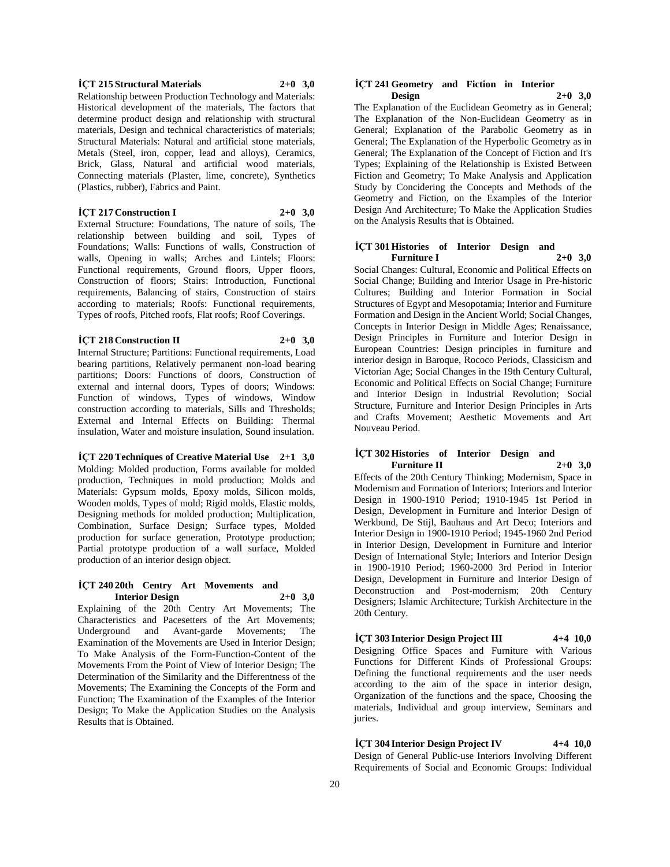#### **İÇT 215 Structural Materials 2+0 3,0**

Relationship between Production Technology and Materials: Historical development of the materials, The factors that determine product design and relationship with structural materials, Design and technical characteristics of materials; Structural Materials: Natural and artificial stone materials, Metals (Steel, iron, copper, lead and alloys), Ceramics, Brick, Glass, Natural and artificial wood materials, Connecting materials (Plaster, lime, concrete), Synthetics (Plastics, rubber), Fabrics and Paint.

#### **İÇT 217 Construction I 2+0 3,0**

External Structure: Foundations, The nature of soils, The relationship between building and soil, Types of Foundations; Walls: Functions of walls, Construction of walls, Opening in walls; Arches and Lintels; Floors: Functional requirements, Ground floors, Upper floors, Construction of floors; Stairs: Introduction, Functional requirements, Balancing of stairs, Construction of stairs according to materials; Roofs: Functional requirements, Types of roofs, Pitched roofs, Flat roofs; Roof Coverings.

#### **İÇT 218 Construction II 2+0 3,0**

Internal Structure; Partitions: Functional requirements, Load bearing partitions, Relatively permanent non-load bearing partitions; Doors: Functions of doors, Construction of external and internal doors, Types of doors; Windows: Function of windows, Types of windows, Window construction according to materials, Sills and Thresholds; External and Internal Effects on Building: Thermal insulation, Water and moisture insulation, Sound insulation.

**İÇT 220 Techniques of Creative Material Use 2+1 3,0** Molding: Molded production, Forms available for molded production, Techniques in mold production; Molds and Materials: Gypsum molds, Epoxy molds, Silicon molds, Wooden molds, Types of mold; Rigid molds, Elastic molds, Designing methods for molded production; Multiplication, Combination, Surface Design; Surface types, Molded production for surface generation, Prototype production; Partial prototype production of a wall surface, Molded production of an interior design object.

#### **İÇT 240 20th Centry Art Movements and Interior Design 2+0 3,0**

Explaining of the 20th Centry Art Movements; The Characteristics and Pacesetters of the Art Movements; Underground and Avant-garde Movements; The Examination of the Movements are Used in Interior Design; To Make Analysis of the Form-Function-Content of the Movements From the Point of View of Interior Design; The Determination of the Similarity and the Differentness of the Movements; The Examining the Concepts of the Form and Function; The Examination of the Examples of the Interior Design; To Make the Application Studies on the Analysis Results that is Obtained.

#### **İÇT 241 Geometry and Fiction in Interior Design 2+0 3,0**

The Explanation of the Euclidean Geometry as in General; The Explanation of the Non-Euclidean Geometry as in General; Explanation of the Parabolic Geometry as in General; The Explanation of the Hyperbolic Geometry as in General; The Explanation of the Concept of Fiction and It's Types; Explaining of the Relationship is Existed Between Fiction and Geometry; To Make Analysis and Application Study by Concidering the Concepts and Methods of the Geometry and Fiction, on the Examples of the Interior Design And Architecture; To Make the Application Studies on the Analysis Results that is Obtained.

#### **İÇT 301 Histories of Interior Design and Furniture I 2+0 3,0**

Social Changes: Cultural, Economic and Political Effects on Social Change; Building and Interior Usage in Pre-historic Cultures; Building and Interior Formation in Social Structures of Egypt and Mesopotamia; Interior and Furniture Formation and Design in the Ancient World; Social Changes, Concepts in Interior Design in Middle Ages; Renaissance, Design Principles in Furniture and Interior Design in European Countries: Design principles in furniture and interior design in Baroque, Rococo Periods, Classicism and Victorian Age; Social Changes in the 19th Century Cultural, Economic and Political Effects on Social Change; Furniture and Interior Design in Industrial Revolution; Social Structure, Furniture and Interior Design Principles in Arts and Crafts Movement; Aesthetic Movements and Art Nouveau Period.

#### **İÇT 302 Histories of Interior Design and Furniture II 2+0 3,0**

Effects of the 20th Century Thinking; Modernism, Space in Modernism and Formation of Interiors; Interiors and Interior Design in 1900-1910 Period; 1910-1945 1st Period in Design, Development in Furniture and Interior Design of Werkbund, De Stijl, Bauhaus and Art Deco; Interiors and Interior Design in 1900-1910 Period; 1945-1960 2nd Period in Interior Design, Development in Furniture and Interior Design of International Style; Interiors and Interior Design in 1900-1910 Period; 1960-2000 3rd Period in Interior Design, Development in Furniture and Interior Design of Deconstruction and Post-modernism; 20th Century Designers; Islamic Architecture; Turkish Architecture in the 20th Century.

**İÇT 303 Interior Design Project III 4+4 10,0** Designing Office Spaces and Furniture with Various Functions for Different Kinds of Professional Groups: Defining the functional requirements and the user needs according to the aim of the space in interior design, Organization of the functions and the space, Choosing the materials, Individual and group interview, Seminars and juries.

**İÇT 304 Interior Design Project IV 4+4 10,0** Design of General Public-use Interiors Involving Different Requirements of Social and Economic Groups: Individual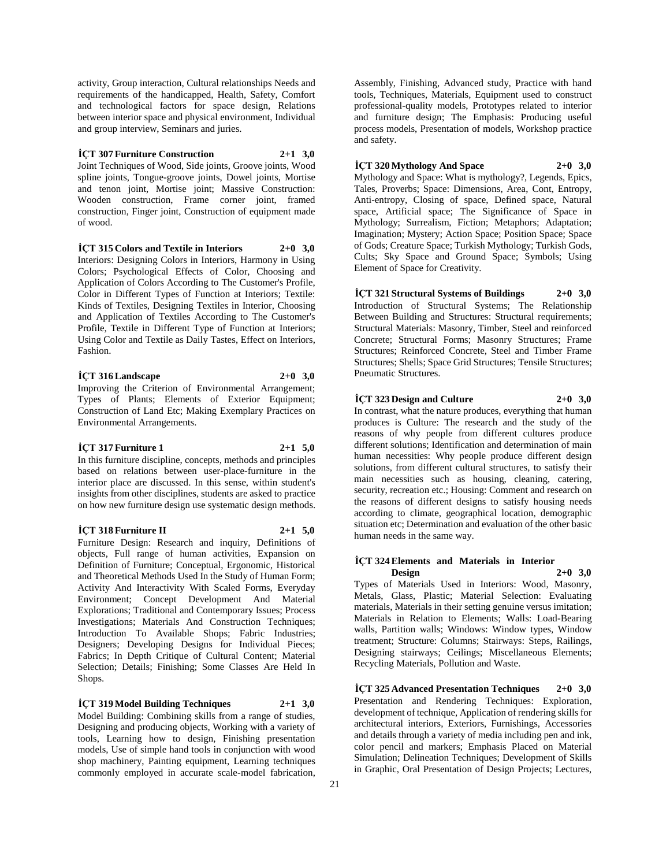activity, Group interaction, Cultural relationships Needs and requirements of the handicapped, Health, Safety, Comfort and technological factors for space design, Relations between interior space and physical environment, Individual and group interview, Seminars and juries.

#### **İÇT 307 Furniture Construction 2+1 3,0**

Joint Techniques of Wood, Side joints, Groove joints, Wood spline joints, Tongue-groove joints, Dowel joints, Mortise and tenon joint, Mortise joint; Massive Construction: Wooden construction, Frame corner joint, framed construction, Finger joint, Construction of equipment made of wood.

**İÇT 315 Colors and Textile in Interiors 2+0 3,0**

Interiors: Designing Colors in Interiors, Harmony in Using Colors; Psychological Effects of Color, Choosing and Application of Colors According to The Customer's Profile, Color in Different Types of Function at Interiors; Textile: Kinds of Textiles, Designing Textiles in Interior, Choosing and Application of Textiles According to The Customer's Profile, Textile in Different Type of Function at Interiors; Using Color and Textile as Daily Tastes, Effect on Interiors, Fashion.

## **İÇT 316 Landscape 2+0 3,0**

Improving the Criterion of Environmental Arrangement; Types of Plants; Elements of Exterior Equipment; Construction of Land Etc; Making Exemplary Practices on Environmental Arrangements.

#### **İÇT 317 Furniture 1 2+1 5,0**

In this furniture discipline, concepts, methods and principles based on relations between user-place-furniture in the interior place are discussed. In this sense, within student's insights from other disciplines, students are asked to practice on how new furniture design use systematic design methods.

# **İÇT 318 Furniture II 2+1 5,0**

Furniture Design: Research and inquiry, Definitions of objects, Full range of human activities, Expansion on Definition of Furniture; Conceptual, Ergonomic, Historical and Theoretical Methods Used In the Study of Human Form; Activity And Interactivity With Scaled Forms, Everyday Environment; Concept Development And Material Explorations; Traditional and Contemporary Issues; Process Investigations; Materials And Construction Techniques; Introduction To Available Shops; Fabric Industries; Designers; Developing Designs for Individual Pieces; Fabrics; In Depth Critique of Cultural Content; Material Selection; Details; Finishing; Some Classes Are Held In Shops.

**İÇT 319 Model Building Techniques 2+1 3,0** Model Building: Combining skills from a range of studies, Designing and producing objects, Working with a variety of tools, Learning how to design, Finishing presentation models, Use of simple hand tools in conjunction with wood shop machinery, Painting equipment, Learning techniques commonly employed in accurate scale-model fabrication,

Assembly, Finishing, Advanced study, Practice with hand tools, Techniques, Materials, Equipment used to construct professional-quality models, Prototypes related to interior and furniture design; The Emphasis: Producing useful process models, Presentation of models, Workshop practice and safety.

#### **İÇT 320 Mythology And Space 2+0 3,0**

Mythology and Space: What is mythology?, Legends, Epics, Tales, Proverbs; Space: Dimensions, Area, Cont, Entropy, Anti-entropy, Closing of space, Defined space, Natural space, Artificial space; The Significance of Space in Mythology; Surrealism, Fiction; Metaphors; Adaptation; Imagination; Mystery; Action Space; Position Space; Space of Gods; Creature Space; Turkish Mythology; Turkish Gods, Cults; Sky Space and Ground Space; Symbols; Using Element of Space for Creativity.

**İÇT 321 Structural Systems of Buildings 2+0 3,0** Introduction of Structural Systems; The Relationship Between Building and Structures: Structural requirements; Structural Materials: Masonry, Timber, Steel and reinforced Concrete; Structural Forms; Masonry Structures; Frame Structures; Reinforced Concrete, Steel and Timber Frame Structures; Shells; Space Grid Structures; Tensile Structures; Pneumatic Structures.

#### **İÇT 323 Design and Culture 2+0 3,0**

In contrast, what the nature produces, everything that human produces is Culture: The research and the study of the reasons of why people from different cultures produce different solutions; Identification and determination of main human necessities: Why people produce different design solutions, from different cultural structures, to satisfy their main necessities such as housing, cleaning, catering, security, recreation etc.; Housing: Comment and research on the reasons of different designs to satisfy housing needs according to climate, geographical location, demographic situation etc; Determination and evaluation of the other basic human needs in the same way.

#### **İÇT 324 Elements and Materials in Interior Design 2+0 3,0**

Types of Materials Used in Interiors: Wood, Masonry, Metals, Glass, Plastic; Material Selection: Evaluating materials, Materials in their setting genuine versus imitation; Materials in Relation to Elements; Walls: Load-Bearing walls, Partition walls; Windows: Window types, Window treatment; Structure: Columns; Stairways: Steps, Railings, Designing stairways; Ceilings; Miscellaneous Elements; Recycling Materials, Pollution and Waste.

**İÇT 325 Advanced Presentation Techniques 2+0 3,0** Presentation and Rendering Techniques: Exploration, development of technique, Application of rendering skills for architectural interiors, Exteriors, Furnishings, Accessories and details through a variety of media including pen and ink, color pencil and markers; Emphasis Placed on Material Simulation; Delineation Techniques; Development of Skills in Graphic, Oral Presentation of Design Projects; Lectures,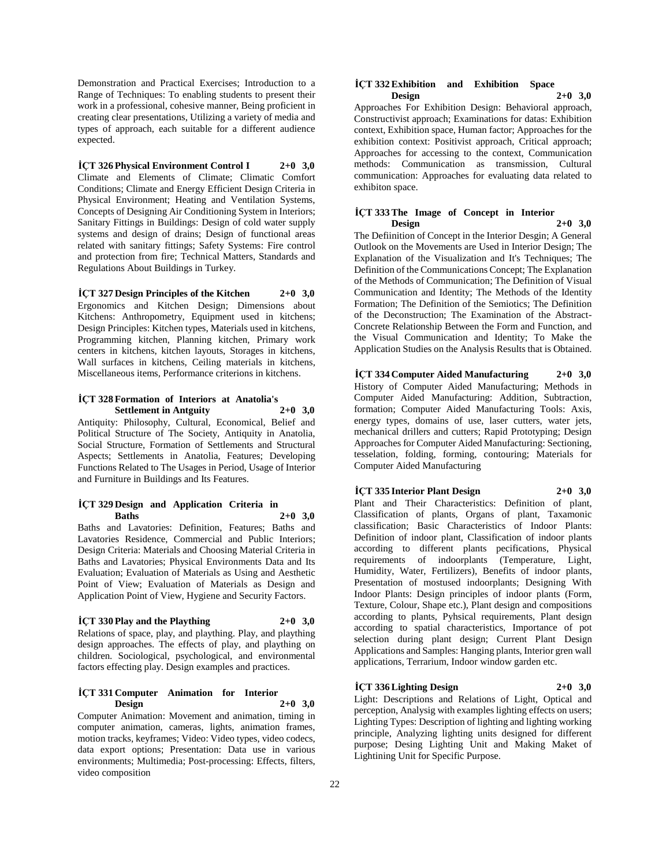Demonstration and Practical Exercises; Introduction to a Range of Techniques: To enabling students to present their work in a professional, cohesive manner, Being proficient in creating clear presentations, Utilizing a variety of media and types of approach, each suitable for a different audience expected.

**İÇT 326 Physical Environment Control I 2+0 3,0** Climate and Elements of Climate; Climatic Comfort Conditions; Climate and Energy Efficient Design Criteria in Physical Environment; Heating and Ventilation Systems, Concepts of Designing Air Conditioning System in Interiors; Sanitary Fittings in Buildings: Design of cold water supply systems and design of drains; Design of functional areas related with sanitary fittings; Safety Systems: Fire control and protection from fire; Technical Matters, Standards and Regulations About Buildings in Turkey.

**İÇT 327 Design Principles of the Kitchen 2+0 3,0** Ergonomics and Kitchen Design; Dimensions about Kitchens: Anthropometry, Equipment used in kitchens; Design Principles: Kitchen types, Materials used in kitchens, Programming kitchen, Planning kitchen, Primary work centers in kitchens, kitchen layouts, Storages in kitchens, Wall surfaces in kitchens, Ceiling materials in kitchens, Miscellaneous items, Performance criterions in kitchens.

#### **İÇT 328 Formation of Interiors at Anatolia's Settlement in Antguity 2+0 3,0**

Antiquity: Philosophy, Cultural, Economical, Belief and Political Structure of The Society, Antiquity in Anatolia, Social Structure, Formation of Settlements and Structural Aspects; Settlements in Anatolia, Features; Developing Functions Related to The Usages in Period, Usage of Interior and Furniture in Buildings and Its Features.

#### **İÇT 329 Design and Application Criteria in Baths 2+0 3,0**

Baths and Lavatories: Definition, Features; Baths and Lavatories Residence, Commercial and Public Interiors; Design Criteria: Materials and Choosing Material Criteria in Baths and Lavatories; Physical Environments Data and Its Evaluation; Evaluation of Materials as Using and Aesthetic Point of View; Evaluation of Materials as Design and Application Point of View, Hygiene and Security Factors.

## $\text{ICT}$  **330 Play and the Plaything**  $2+0$  **3,0**

Relations of space, play, and plaything. Play, and plaything design approaches. The effects of play, and plaything on children. Sociological, psychological, and environmental factors effecting play. Design examples and practices.

#### **İÇT 331 Computer Animation for Interior Design 2+0 3,0**

Computer Animation: Movement and animation, timing in computer animation, cameras, lights, animation frames, motion tracks, keyframes; Video: Video types, video codecs, data export options; Presentation: Data use in various environments; Multimedia; Post-processing: Effects, filters, video composition

#### **İÇT 332 Exhibition and Exhibition Space Design 2+0 3,0**

Approaches For Exhibition Design: Behavioral approach, Constructivist approach; Examinations for datas: Exhibition context, Exhibition space, Human factor; Approaches for the exhibition context: Positivist approach, Critical approach; Approaches for accessing to the context, Communication methods: Communication as transmission, Cultural communication: Approaches for evaluating data related to exhibiton space.

#### **İÇT 333 The Image of Concept in Interior Design 2+0 3,0**

The Defiinition of Concept in the Interior Desgin; A General Outlook on the Movements are Used in Interior Design; The Explanation of the Visualization and It's Techniques; The Definition of the Communications Concept; The Explanation of the Methods of Communication; The Definition of Visual Communication and Identity; The Methods of the Identity Formation; The Definition of the Semiotics; The Definition of the Deconstruction; The Examination of the Abstract-Concrete Relationship Between the Form and Function, and the Visual Communication and Identity; To Make the Application Studies on the Analysis Results that is Obtained.

**İÇT 334 Computer Aided Manufacturing 2+0 3,0** History of Computer Aided Manufacturing; Methods in Computer Aided Manufacturing: Addition, Subtraction, formation; Computer Aided Manufacturing Tools: Axis, energy types, domains of use, laser cutters, water jets, mechanical drillers and cutters; Rapid Prototyping; Design Approaches for Computer Aided Manufacturing: Sectioning, tesselation, folding, forming, contouring; Materials for Computer Aided Manufacturing

# **İÇT 335 Interior Plant Design 2+0 3,0**

Plant and Their Characteristics: Definition of plant, Classification of plants, Organs of plant, Taxamonic classification; Basic Characteristics of Indoor Plants: Definition of indoor plant, Classification of indoor plants according to different plants pecifications, Physical requirements of indoorplants (Temperature, Light, Humidity, Water, Fertilizers), Benefits of indoor plants, Presentation of mostused indoorplants; Designing With Indoor Plants: Design principles of indoor plants (Form, Texture, Colour, Shape etc.), Plant design and compositions according to plants, Pyhsical requirements, Plant design according to spatial characteristics, Importance of pot selection during plant design; Current Plant Design Applications and Samples: Hanging plants, Interior gren wall applications, Terrarium, Indoor window garden etc.

# **İÇT 336 Lighting Design 2+0 3,0**

Light: Descriptions and Relations of Light, Optical and perception, Analysig with examples lighting effects on users; Lighting Types: Description of lighting and lighting working principle, Analyzing lighting units designed for different purpose; Desing Lighting Unit and Making Maket of Lightining Unit for Specific Purpose.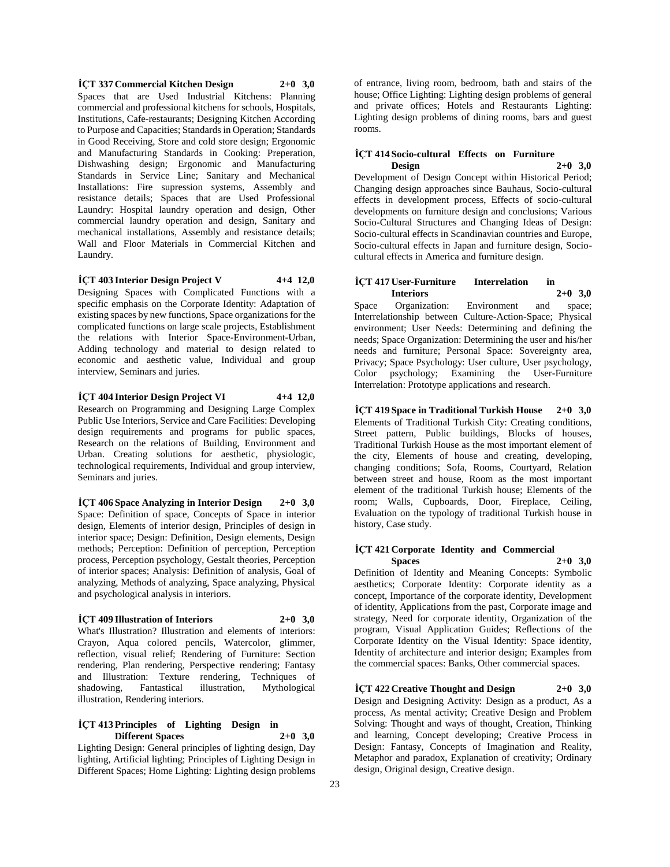**İÇT 337 Commercial Kitchen Design 2+0 3,0** Spaces that are Used Industrial Kitchens: Planning commercial and professional kitchens for schools, Hospitals, Institutions, Cafe-restaurants; Designing Kitchen According to Purpose and Capacities; Standards in Operation; Standards in Good Receiving, Store and cold store design; Ergonomic and Manufacturing Standards in Cooking: Preperation, Dishwashing design; Ergonomic and Manufacturing Standards in Service Line; Sanitary and Mechanical Installations: Fire supression systems, Assembly and resistance details; Spaces that are Used Professional Laundry: Hospital laundry operation and design, Other commercial laundry operation and design, Sanitary and mechanical installations, Assembly and resistance details; Wall and Floor Materials in Commercial Kitchen and Laundry.

# **İÇT 403 Interior Design Project V 4+4 12,0**

Designing Spaces with Complicated Functions with a specific emphasis on the Corporate Identity: Adaptation of existing spaces by new functions, Space organizations for the complicated functions on large scale projects, Establishment the relations with Interior Space-Environment-Urban, Adding technology and material to design related to economic and aesthetic value, Individual and group interview, Seminars and juries.

**İÇT 404 Interior Design Project VI 4+4 12,0** Research on Programming and Designing Large Complex Public Use Interiors, Service and Care Facilities: Developing design requirements and programs for public spaces, Research on the relations of Building, Environment and Urban. Creating solutions for aesthetic, physiologic, technological requirements, Individual and group interview, Seminars and juries.

**İÇT 406 Space Analyzing in Interior Design 2+0 3,0** Space: Definition of space, Concepts of Space in interior design, Elements of interior design, Principles of design in interior space; Design: Definition, Design elements, Design methods; Perception: Definition of perception, Perception process, Perception psychology, Gestalt theories, Perception of interior spaces; Analysis: Definition of analysis, Goal of analyzing, Methods of analyzing, Space analyzing, Physical and psychological analysis in interiors.

#### **İÇT 409 Illustration of Interiors 2+0 3,0**

What's Illustration? Illustration and elements of interiors: Crayon, Aqua colored pencils, Watercolor, glimmer, reflection, visual relief; Rendering of Furniture: Section rendering, Plan rendering, Perspective rendering; Fantasy and Illustration: Texture rendering, Techniques of shadowing, Fantastical illustration, Mythological illustration, Rendering interiors.

#### **İÇT 413 Principles of Lighting Design in Different Spaces 2+0 3,0**

Lighting Design: General principles of lighting design, Day lighting, Artificial lighting; Principles of Lighting Design in Different Spaces; Home Lighting: Lighting design problems of entrance, living room, bedroom, bath and stairs of the house; Office Lighting: Lighting design problems of general and private offices; Hotels and Restaurants Lighting: Lighting design problems of dining rooms, bars and guest rooms.

#### **İÇT 414 Socio-cultural Effects on Furniture Design 2+0 3,0**

Development of Design Concept within Historical Period; Changing design approaches since Bauhaus, Socio-cultural effects in development process, Effects of socio-cultural developments on furniture design and conclusions; Various Socio-Cultural Structures and Changing Ideas of Design: Socio-cultural effects in Scandinavian countries and Europe, Socio-cultural effects in Japan and furniture design, Sociocultural effects in America and furniture design.

#### **İÇT 417 User-Furniture Interrelation in Interiors 2+0 3,0**

Space Organization: Environment and space; Interrelationship between Culture-Action-Space; Physical environment; User Needs: Determining and defining the needs; Space Organization: Determining the user and his/her needs and furniture; Personal Space: Sovereignty area, Privacy; Space Psychology: User culture, User psychology, Color psychology; Examining the User-Furniture Interrelation: Prototype applications and research.

**İÇT 419 Space in Traditional Turkish House 2+0 3,0** Elements of Traditional Turkish City: Creating conditions, Street pattern, Public buildings, Blocks of houses, Traditional Turkish House as the most important element of the city, Elements of house and creating, developing, changing conditions; Sofa, Rooms, Courtyard, Relation between street and house, Room as the most important element of the traditional Turkish house; Elements of the room; Walls, Cupboards, Door, Fireplace, Ceiling, Evaluation on the typology of traditional Turkish house in history, Case study.

#### **İÇT 421 Corporate Identity and Commercial Spaces 2+0 3,0**

Definition of Identity and Meaning Concepts: Symbolic aesthetics; Corporate Identity: Corporate identity as a concept, Importance of the corporate identity, Development of identity, Applications from the past, Corporate image and strategy, Need for corporate identity, Organization of the program, Visual Application Guides; Reflections of the Corporate Identity on the Visual Identity: Space identity, Identity of architecture and interior design; Examples from the commercial spaces: Banks, Other commercial spaces.

**İÇT 422 Creative Thought and Design 2+0 3,0** Design and Designing Activity: Design as a product, As a process, As mental activity; Creative Design and Problem Solving: Thought and ways of thought, Creation, Thinking and learning, Concept developing; Creative Process in Design: Fantasy, Concepts of Imagination and Reality, Metaphor and paradox, Explanation of creativity; Ordinary design, Original design, Creative design.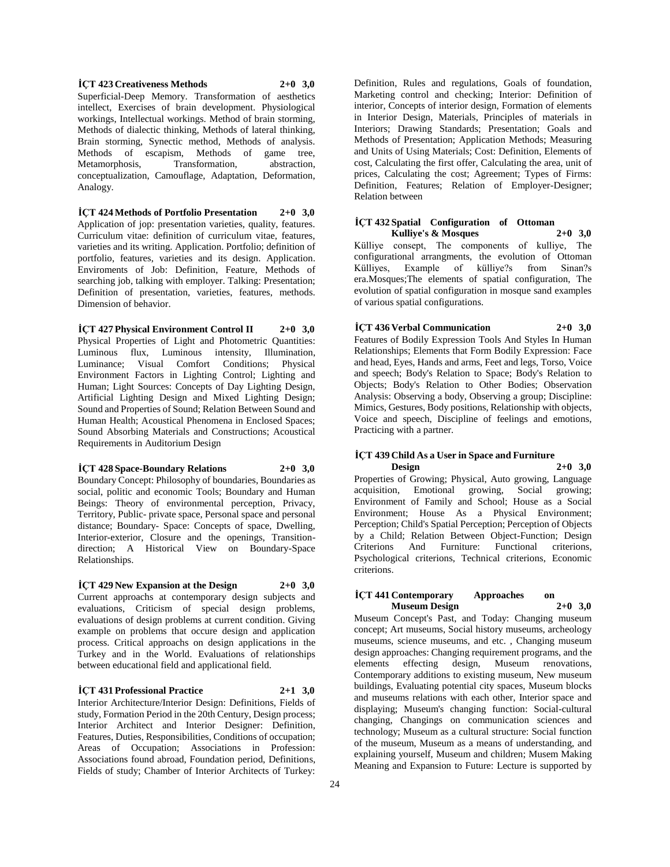**İÇT 423 Creativeness Methods 2+0 3,0** Superficial-Deep Memory. Transformation of aesthetics intellect, Exercises of brain development. Physiological workings, Intellectual workings. Method of brain storming, Methods of dialectic thinking, Methods of lateral thinking, Brain storming, Synectic method, Methods of analysis. Methods of escapism, Methods of game tree, Metamorphosis, Transformation, abstraction, conceptualization, Camouflage, Adaptation, Deformation, Analogy.

**İÇT 424 Methods of Portfolio Presentation 2+0 3,0** Application of jop: presentation varieties, quality, features. Curriculum vitae: definition of curriculum vitae, features, varieties and its writing. Application. Portfolio; definition of portfolio, features, varieties and its design. Application. Enviroments of Job: Definition, Feature, Methods of searching job, talking with employer. Talking: Presentation; Definition of presentation, varieties, features, methods. Dimension of behavior.

**İÇT 427 Physical Environment Control II 2+0 3,0** Physical Properties of Light and Photometric Quantities: Luminous flux, Luminous intensity, Illumination, Luminance; Visual Comfort Conditions; Physical Environment Factors in Lighting Control; Lighting and Human; Light Sources: Concepts of Day Lighting Design, Artificial Lighting Design and Mixed Lighting Design; Sound and Properties of Sound; Relation Between Sound and Human Health; Acoustical Phenomena in Enclosed Spaces; Sound Absorbing Materials and Constructions; Acoustical Requirements in Auditorium Design

### **İÇT 428 Space-Boundary Relations 2+0 3,0**

Boundary Concept: Philosophy of boundaries, Boundaries as social, politic and economic Tools; Boundary and Human Beings: Theory of environmental perception, Privacy, Territory, Public- private space, Personal space and personal distance; Boundary- Space: Concepts of space, Dwelling, Interior-exterior, Closure and the openings, Transitiondirection; A Historical View on Boundary-Space Relationships.

**İÇT 429 New Expansion at the Design 2+0 3,0** Current approachs at contemporary design subjects and evaluations, Criticism of special design problems, evaluations of design problems at current condition. Giving example on problems that occure design and application process. Critical approachs on design applications in the Turkey and in the World. Evaluations of relationships between educational field and applicational field.

**İÇT 431 Professional Practice 2+1 3,0** Interior Architecture/Interior Design: Definitions, Fields of study, Formation Period in the 20th Century, Design process; Interior Architect and Interior Designer: Definition, Features, Duties, Responsibilities, Conditions of occupation; Areas of Occupation; Associations in Profession: Associations found abroad, Foundation period, Definitions, Fields of study; Chamber of Interior Architects of Turkey:

Definition, Rules and regulations, Goals of foundation, Marketing control and checking; Interior: Definition of interior, Concepts of interior design, Formation of elements in Interior Design, Materials, Principles of materials in Interiors; Drawing Standards; Presentation; Goals and Methods of Presentation; Application Methods; Measuring and Units of Using Materials; Cost: Definition, Elements of cost, Calculating the first offer, Calculating the area, unit of prices, Calculating the cost; Agreement; Types of Firms: Definition, Features; Relation of Employer-Designer; Relation between

#### **İÇT 432 Spatial Configuration of Ottoman Kulliye's & Mosques 2+0 3,0**

Külliye consept, The components of kulliye, The configurational arrangments, the evolution of Ottoman Külliyes, Example of külliye?s from Sinan?s era.Mosques;The elements of spatial configuration, The evolution of spatial configuration in mosque sand examples of various spatial configurations.

**İÇT 436 Verbal Communication 2+0 3,0** Features of Bodily Expression Tools And Styles In Human

Relationships; Elements that Form Bodily Expression: Face and head, Eyes, Hands and arms, Feet and legs, Torso, Voice and speech; Body's Relation to Space; Body's Relation to Objects; Body's Relation to Other Bodies; Observation Analysis: Observing a body, Observing a group; Discipline: Mimics, Gestures, Body positions, Relationship with objects, Voice and speech, Discipline of feelings and emotions, Practicing with a partner.

#### **İÇT 439 Child As a User in Space and Furniture Design 2+0 3,0**

Properties of Growing; Physical, Auto growing, Language acquisition, Emotional growing, Social growing; Environment of Family and School; House as a Social Environment; House As a Physical Environment; Perception; Child's Spatial Perception; Perception of Objects by a Child; Relation Between Object-Function; Design Criterions And Furniture: Functional criterions, Psychological criterions, Technical criterions, Economic criterions.

#### **İÇT 441 Contemporary Approaches on Museum Design 2+0 3,0**

Museum Concept's Past, and Today: Changing museum concept; Art museums, Social history museums, archeology museums, science museums, and etc. , Changing museum design approaches: Changing requirement programs, and the elements effecting design, Museum renovations, Contemporary additions to existing museum, New museum buildings, Evaluating potential city spaces, Museum blocks and museums relations with each other, Interior space and displaying; Museum's changing function: Social-cultural changing, Changings on communication sciences and technology; Museum as a cultural structure: Social function of the museum, Museum as a means of understanding, and explaining yourself, Museum and children; Musem Making Meaning and Expansion to Future: Lecture is supported by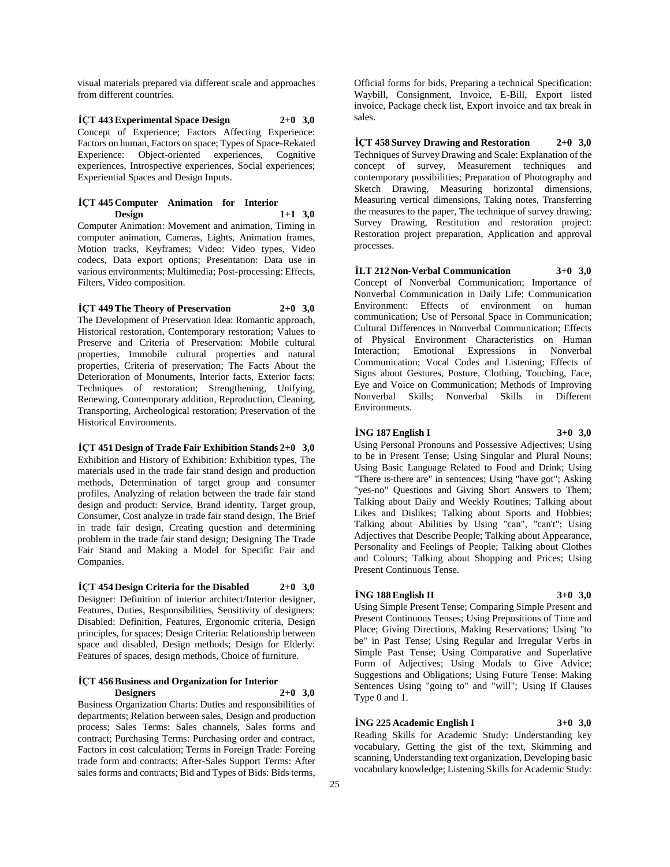visual materials prepared via different scale and approaches from different countries.

**İÇT 443 Experimental Space Design 2+0 3,0** Concept of Experience; Factors Affecting Experience: Factors on human, Factors on space; Types of Space-Rekated Experience: Object-oriented experiences, Cognitive experiences, Introspective experiences, Social experiences; Experiential Spaces and Design Inputs.

#### **İÇT 445 Computer Animation for Interior Design 1+1 3,0**

Computer Animation: Movement and animation, Timing in computer animation, Cameras, Lights, Animation frames, Motion tracks, Keyframes; Video: Video types, Video codecs, Data export options; Presentation: Data use in various environments; Multimedia; Post-processing: Effects, Filters, Video composition.

**İÇT 449 The Theory of Preservation 2+0 3,0** The Development of Preservation Idea: Romantic approach, Historical restoration, Contemporary restoration; Values to Preserve and Criteria of Preservation: Mobile cultural properties, Immobile cultural properties and natural properties, Criteria of preservation; The Facts About the Deterioration of Monuments, Interior facts, Exterior facts: Techniques of restoration; Strengthening, Unifying, Renewing, Contemporary addition, Reproduction, Cleaning, Transporting, Archeological restoration; Preservation of the Historical Environments.

#### **İÇT 451 Design of Trade Fair Exhibition Stands 2+0 3,0**

Exhibition and History of Exhibition: Exhibition types, The materials used in the trade fair stand design and production methods, Determination of target group and consumer profiles, Analyzing of relation between the trade fair stand design and product: Service, Brand identity, Target group, Consumer, Cost analyze in trade fair stand design, The Brief in trade fair design, Creating question and determining problem in the trade fair stand design; Designing The Trade Fair Stand and Making a Model for Specific Fair and Companies.

**İÇT 454 Design Criteria for the Disabled 2+0 3,0** Designer: Definition of interior architect/Interior designer, Features, Duties, Responsibilities, Sensitivity of designers; Disabled: Definition, Features, Ergonomic criteria, Design principles, for spaces; Design Criteria: Relationship between space and disabled, Design methods; Design for Elderly: Features of spaces, design methods, Choice of furniture.

#### **İÇT 456 Business and Organization for Interior Designers 2+0 3,0**

Business Organization Charts: Duties and responsibilities of departments; Relation between sales, Design and production process; Sales Terms: Sales channels, Sales forms and contract; Purchasing Terms: Purchasing order and contract, Factors in cost calculation; Terms in Foreign Trade: Foreing trade form and contracts; After-Sales Support Terms: After sales forms and contracts; Bid and Types of Bids: Bids terms,

Official forms for bids, Preparing a technical Specification: Waybill, Consignment, Invoice, E-Bill, Export listed invoice, Package check list, Export invoice and tax break in sales.

**İÇT 458 Survey Drawing and Restoration 2+0 3,0** Techniques of Survey Drawing and Scale: Explanation of the concept of survey, Measurement techniques and contemporary possibilities; Preparation of Photography and Sketch Drawing, Measuring horizontal dimensions, Measuring vertical dimensions, Taking notes, Transferring the measures to the paper, The technique of survey drawing; Survey Drawing, Restitution and restoration project: Restoration project preparation, Application and approval processes.

**İLT 212 Non-Verbal Communication 3+0 3,0** Concept of Nonverbal Communication; Importance of Nonverbal Communication in Daily Life; Communication Environment: Effects of environment on human communication; Use of Personal Space in Communication; Cultural Differences in Nonverbal Communication; Effects of Physical Environment Characteristics on Human Interaction; Emotional Expressions in Nonverbal Communication; Vocal Codes and Listening; Effects of Signs about Gestures, Posture, Clothing, Touching, Face, Eye and Voice on Communication; Methods of Improving Nonverbal Skills; Nonverbal Skills in Different Environments.

#### **İNG 187 English I 3+0 3,0**

Using Personal Pronouns and Possessive Adjectives; Using to be in Present Tense; Using Singular and Plural Nouns; Using Basic Language Related to Food and Drink; Using "There is-there are" in sentences; Using "have got"; Asking "yes-no" Questions and Giving Short Answers to Them; Talking about Daily and Weekly Routines; Talking about Likes and Dislikes; Talking about Sports and Hobbies; Talking about Abilities by Using "can", "can't"; Using Adjectives that Describe People; Talking about Appearance, Personality and Feelings of People; Talking about Clothes and Colours; Talking about Shopping and Prices; Using Present Continuous Tense.

#### **İNG 188 English II 3+0 3,0**

Using Simple Present Tense; Comparing Simple Present and Present Continuous Tenses; Using Prepositions of Time and Place; Giving Directions, Making Reservations; Using "to be" in Past Tense; Using Regular and Irregular Verbs in Simple Past Tense; Using Comparative and Superlative Form of Adjectives; Using Modals to Give Advice; Suggestions and Obligations; Using Future Tense: Making Sentences Using "going to" and "will"; Using If Clauses Type 0 and 1.

# **İNG 225 Academic English I 3+0 3,0**

Reading Skills for Academic Study: Understanding key vocabulary, Getting the gist of the text, Skimming and scanning, Understanding text organization, Developing basic vocabulary knowledge; Listening Skills for Academic Study: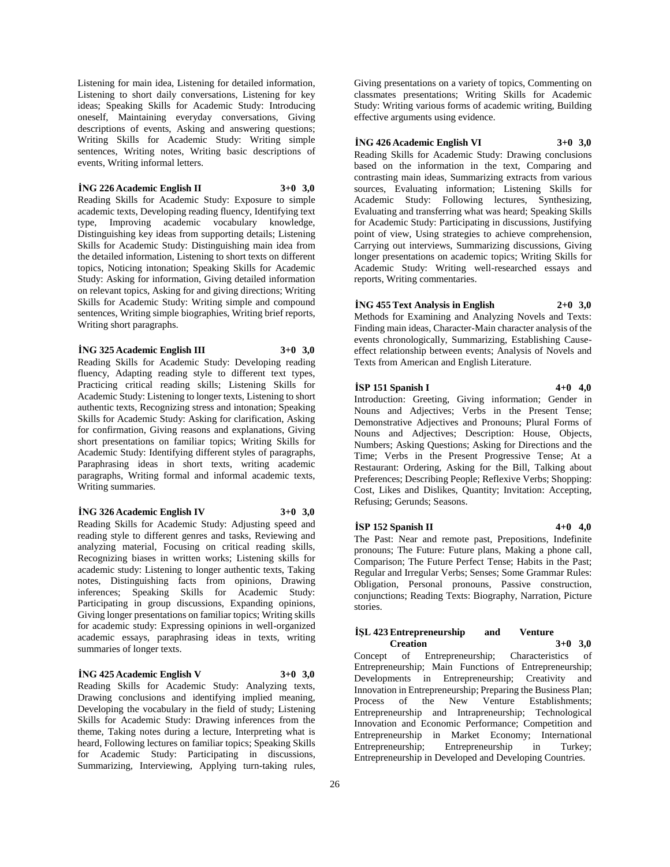Listening for main idea, Listening for detailed information, Listening to short daily conversations, Listening for key ideas; Speaking Skills for Academic Study: Introducing oneself, Maintaining everyday conversations, Giving descriptions of events, Asking and answering questions; Writing Skills for Academic Study: Writing simple sentences, Writing notes, Writing basic descriptions of events, Writing informal letters.

# **İNG 226 Academic English II 3+0 3,0**

Reading Skills for Academic Study: Exposure to simple academic texts, Developing reading fluency, Identifying text type, Improving academic vocabulary knowledge, Distinguishing key ideas from supporting details; Listening Skills for Academic Study: Distinguishing main idea from the detailed information, Listening to short texts on different topics, Noticing intonation; Speaking Skills for Academic Study: Asking for information, Giving detailed information on relevant topics, Asking for and giving directions; Writing Skills for Academic Study: Writing simple and compound sentences, Writing simple biographies, Writing brief reports, Writing short paragraphs.

## **İNG 325 Academic English III 3+0 3,0**

Reading Skills for Academic Study: Developing reading fluency, Adapting reading style to different text types, Practicing critical reading skills; Listening Skills for Academic Study: Listening to longer texts, Listening to short authentic texts, Recognizing stress and intonation; Speaking Skills for Academic Study: Asking for clarification, Asking for confirmation, Giving reasons and explanations, Giving short presentations on familiar topics; Writing Skills for Academic Study: Identifying different styles of paragraphs, Paraphrasing ideas in short texts, writing academic paragraphs, Writing formal and informal academic texts, Writing summaries.

# **İNG 326 Academic English IV 3+0 3,0**

Reading Skills for Academic Study: Adjusting speed and reading style to different genres and tasks, Reviewing and analyzing material, Focusing on critical reading skills, Recognizing biases in written works; Listening skills for academic study: Listening to longer authentic texts, Taking notes, Distinguishing facts from opinions, Drawing inferences; Speaking Skills for Academic Study: Participating in group discussions, Expanding opinions, Giving longer presentations on familiar topics; Writing skills for academic study: Expressing opinions in well-organized academic essays, paraphrasing ideas in texts, writing summaries of longer texts.

# **İNG 425 Academic English V 3+0 3,0**

Reading Skills for Academic Study: Analyzing texts, Drawing conclusions and identifying implied meaning, Developing the vocabulary in the field of study; Listening Skills for Academic Study: Drawing inferences from the theme, Taking notes during a lecture, Interpreting what is heard, Following lectures on familiar topics; Speaking Skills for Academic Study: Participating in discussions, Summarizing, Interviewing, Applying turn-taking rules,

Giving presentations on a variety of topics, Commenting on classmates presentations; Writing Skills for Academic Study: Writing various forms of academic writing, Building effective arguments using evidence.

#### **İNG 426 Academic English VI 3+0 3,0**

Reading Skills for Academic Study: Drawing conclusions based on the information in the text, Comparing and contrasting main ideas, Summarizing extracts from various sources, Evaluating information; Listening Skills for Academic Study: Following lectures, Synthesizing, Evaluating and transferring what was heard; Speaking Skills for Academic Study: Participating in discussions, Justifying point of view, Using strategies to achieve comprehension, Carrying out interviews, Summarizing discussions, Giving longer presentations on academic topics; Writing Skills for Academic Study: Writing well-researched essays and reports, Writing commentaries.

# **İNG 455 Text Analysis in English 2+0 3,0**

Methods for Examining and Analyzing Novels and Texts: Finding main ideas, Character-Main character analysis of the events chronologically, Summarizing, Establishing Causeeffect relationship between events; Analysis of Novels and Texts from American and English Literature.

#### **İSP 151 Spanish I 4+0 4,0**

Introduction: Greeting, Giving information; Gender in Nouns and Adjectives; Verbs in the Present Tense; Demonstrative Adjectives and Pronouns; Plural Forms of Nouns and Adjectives; Description: House, Objects, Numbers; Asking Questions; Asking for Directions and the Time; Verbs in the Present Progressive Tense; At a Restaurant: Ordering, Asking for the Bill, Talking about Preferences; Describing People; Reflexive Verbs; Shopping: Cost, Likes and Dislikes, Quantity; Invitation: Accepting, Refusing; Gerunds; Seasons.

#### **İSP 152 Spanish II 4+0 4,0**

The Past: Near and remote past, Prepositions, Indefinite pronouns; The Future: Future plans, Making a phone call, Comparison; The Future Perfect Tense; Habits in the Past; Regular and Irregular Verbs; Senses; Some Grammar Rules: Obligation, Personal pronouns, Passive construction, conjunctions; Reading Texts: Biography, Narration, Picture stories.

#### **İŞL 423 Entrepreneurship and Venture Creation 3+0 3,0**

Concept of Entrepreneurship; Characteristics of Entrepreneurship; Main Functions of Entrepreneurship; Developments in Entrepreneurship; Creativity and Innovation in Entrepreneurship; Preparing the Business Plan; Process of the New Venture Establishments; Entrepreneurship and Intrapreneurship; Technological Innovation and Economic Performance; Competition and Entrepreneurship in Market Economy; International Entrepreneurship; Entrepreneurship in Turkey; Entrepreneurship in Developed and Developing Countries.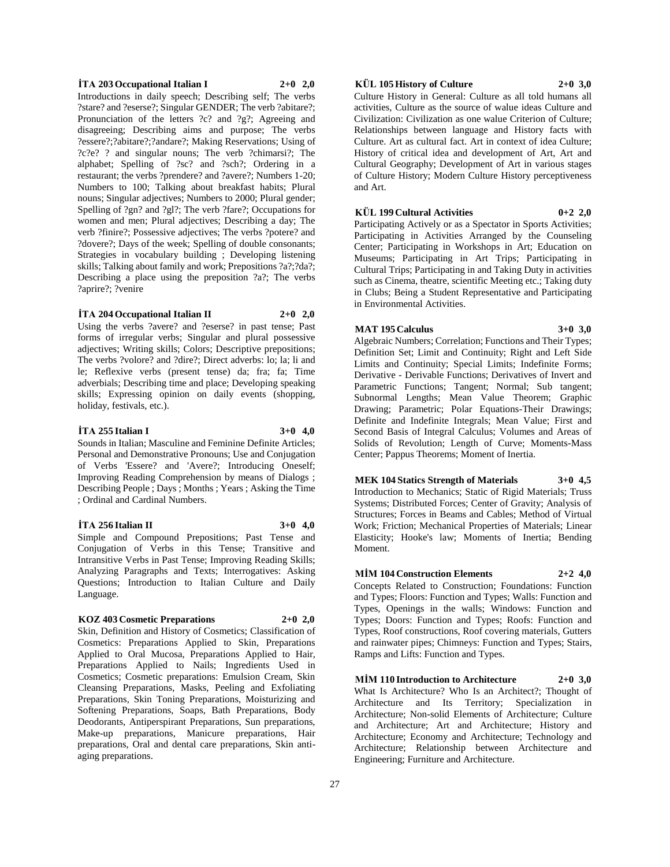#### $\dot{T}A$  **203 Occupational Italian I 2+0 2,0**

Introductions in daily speech; Describing self; The verbs ?stare? and ?eserse?; Singular GENDER; The verb ?abitare?; Pronunciation of the letters ?c? and ?g?; Agreeing and disagreeing; Describing aims and purpose; The verbs ?essere?;?abitare?;?andare?; Making Reservations; Using of ?c?e? ? and singular nouns; The verb ?chimarsi?; The alphabet; Spelling of ?sc? and ?sch?; Ordering in a restaurant; the verbs ?prendere? and ?avere?; Numbers 1-20; Numbers to 100; Talking about breakfast habits; Plural nouns; Singular adjectives; Numbers to 2000; Plural gender; Spelling of ?gn? and ?gl?; The verb ?fare?; Occupations for women and men; Plural adjectives; Describing a day; The verb ?finire?; Possessive adjectives; The verbs ?potere? and ?dovere?; Days of the week; Spelling of double consonants; Strategies in vocabulary building ; Developing listening skills; Talking about family and work; Prepositions ?a?;?da?; Describing a place using the preposition ?a?; The verbs ?aprire?; ?venire

#### **İTA 204 Occupational Italian II 2+0 2,0**

Using the verbs ?avere? and ?eserse? in past tense; Past forms of irregular verbs; Singular and plural possessive adjectives; Writing skills; Colors; Descriptive prepositions; The verbs ?volore? and ?dire?; Direct adverbs: lo; la; li and le; Reflexive verbs (present tense) da; fra; fa; Time adverbials; Describing time and place; Developing speaking skills; Expressing opinion on daily events (shopping, holiday, festivals, etc.).

#### **İTA 255 Italian I 3+0 4,0**

Sounds in Italian; Masculine and Feminine Definite Articles; Personal and Demonstrative Pronouns; Use and Conjugation of Verbs 'Essere? and 'Avere?; Introducing Oneself; Improving Reading Comprehension by means of Dialogs ; Describing People ; Days ; Months ; Years ; Asking the Time ; Ordinal and Cardinal Numbers.

#### **İTA 256 Italian II 3+0 4,0**

Simple and Compound Prepositions; Past Tense and Conjugation of Verbs in this Tense; Transitive and Intransitive Verbs in Past Tense; Improving Reading Skills; Analyzing Paragraphs and Texts; Interrogatives: Asking Questions; Introduction to Italian Culture and Daily Language.

#### **KOZ 403 Cosmetic Preparations 2+0 2,0**

Skin, Definition and History of Cosmetics; Classification of Cosmetics: Preparations Applied to Skin, Preparations Applied to Oral Mucosa, Preparations Applied to Hair, Preparations Applied to Nails; Ingredients Used in Cosmetics; Cosmetic preparations: Emulsion Cream, Skin Cleansing Preparations, Masks, Peeling and Exfoliating Preparations, Skin Toning Preparations, Moisturizing and Softening Preparations, Soaps, Bath Preparations, Body Deodorants, Antiperspirant Preparations, Sun preparations, Make-up preparations, Manicure preparations, Hair preparations, Oral and dental care preparations, Skin antiaging preparations.

# **KÜL 105 History of Culture 2+0 3,0**

Culture History in General: Culture as all told humans all activities, Culture as the source of walue ideas Culture and Civilization: Civilization as one walue Criterion of Culture; Relationships between language and History facts with Culture. Art as cultural fact. Art in context of idea Culture; History of critical idea and development of Art, Art and Cultural Geography; Development of Art in various stages of Culture History; Modern Culture History perceptiveness and Art.

#### **KÜL 199 Cultural Activities 0+2 2,0**

Participating Actively or as a Spectator in Sports Activities; Participating in Activities Arranged by the Counseling Center; Participating in Workshops in Art; Education on Museums; Participating in Art Trips; Participating in Cultural Trips; Participating in and Taking Duty in activities such as Cinema, theatre, scientific Meeting etc.; Taking duty in Clubs; Being a Student Representative and Participating in Environmental Activities.

#### **MAT 195 Calculus 3+0 3,0**

Algebraic Numbers; Correlation; Functions and Their Types; Definition Set; Limit and Continuity; Right and Left Side Limits and Continuity; Special Limits; Indefinite Forms; Derivative - Derivable Functions; Derivatives of Invert and Parametric Functions; Tangent; Normal; Sub tangent; Subnormal Lengths; Mean Value Theorem; Graphic Drawing; Parametric; Polar Equations-Their Drawings; Definite and Indefinite Integrals; Mean Value; First and Second Basis of Integral Calculus; Volumes and Areas of Solids of Revolution; Length of Curve; Moments-Mass Center; Pappus Theorems; Moment of Inertia.

**MEK 104 Statics Strength of Materials 3+0 4,5** Introduction to Mechanics; Static of Rigid Materials; Truss Systems; Distributed Forces; Center of Gravity; Analysis of Structures; Forces in Beams and Cables; Method of Virtual Work; Friction; Mechanical Properties of Materials; Linear Elasticity; Hooke's law; Moments of Inertia; Bending Moment.

**MİM 104 Construction Elements 2+2 4,0**

Concepts Related to Construction; Foundations: Function and Types; Floors: Function and Types; Walls: Function and Types, Openings in the walls; Windows: Function and Types; Doors: Function and Types; Roofs: Function and Types, Roof constructions, Roof covering materials, Gutters and rainwater pipes; Chimneys: Function and Types; Stairs, Ramps and Lifts: Function and Types.

**MİM 110 Introduction to Architecture 2+0 3,0** What Is Architecture? Who Is an Architect?; Thought of Architecture and Its Territory; Specialization in Architecture; Non-solid Elements of Architecture; Culture and Architecture; Art and Architecture; History and Architecture; Economy and Architecture; Technology and Architecture; Relationship between Architecture and Engineering; Furniture and Architecture.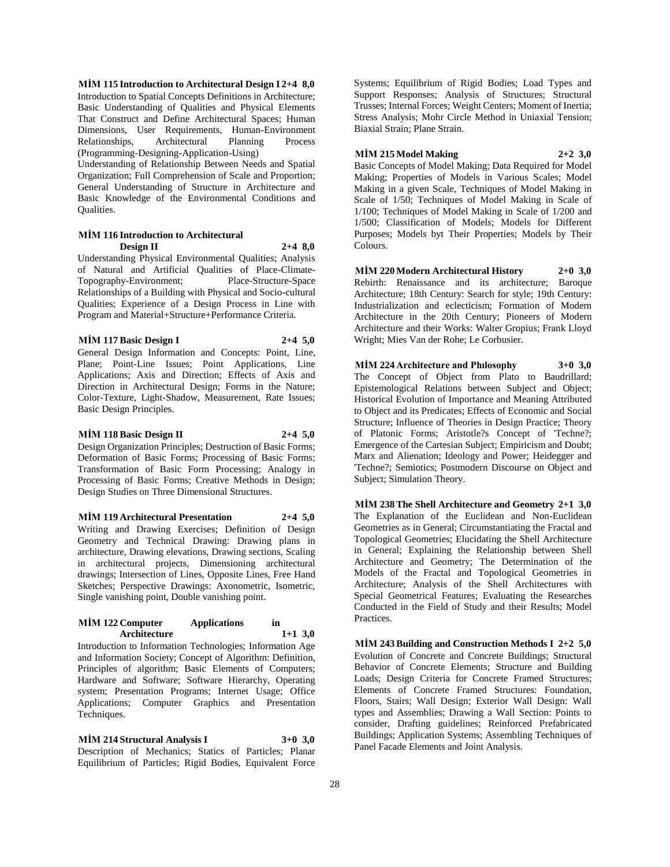**MİM 115 Introduction to Architectural Design I 2+4 8,0** Introduction to Spatial Concepts Definitions in Architecture; Basic Understanding of Qualities and Physical Elements That Construct and Define Architectural Spaces; Human Dimensions, User Requirements, Human-Environment Relationships, Architectural Planning Process (Programming-Designing-Application-Using)

Understanding of Relationship Between Needs and Spatial Organization; Full Comprehension of Scale and Proportion; General Understanding of Structure in Architecture and Basic Knowledge of the Environmental Conditions and Qualities.

#### **MİM 116 Introduction to Architectural Design II 2+4 8,0**

Understanding Physical Environmental Qualities; Analysis of Natural and Artificial Qualities of Place-Climate-Topography-Environment; Place-Structure-Space Relationships of a Building with Physical and Socio-cultural Qualities; Experience of a Design Process in Line with Program and Material+Structure+Performance Criteria.

**MİM 117 Basic Design I 2+4 5,0**

General Design Information and Concepts: Point, Line, Plane; Point-Line Issues; Point Applications, Line Applications; Axis and Direction; Effects of Axis and Direction in Architectural Design; Forms in the Nature; Color-Texture, Light-Shadow, Measurement, Rate Issues; Basic Design Principles.

#### **MİM 118 Basic Design II 2+4 5,0**

Design Organization Principles; Destruction of Basic Forms; Deformation of Basic Forms; Processing of Basic Forms; Transformation of Basic Form Processing; Analogy in Processing of Basic Forms; Creative Methods in Design; Design Studies on Three Dimensional Structures.

**MİM 119 Architectural Presentation 2+4 5,0** Writing and Drawing Exercises; Definition of Design Geometry and Technical Drawing: Drawing plans in architecture, Drawing elevations, Drawing sections, Scaling in architectural projects, Dimensioning architectural drawings; Intersection of Lines, Opposite Lines, Free Hand Sketches; Perspective Drawings: Axonometric, Isometric, Single vanishing point, Double vanishing point.

#### **MİM 122 Computer Applications in Architecture 1+1 3,0**

Introduction to Information Technologies; Information Age and Information Society; Concept of Algorithm: Definition, Principles of algorithm; Basic Elements of Computers; Hardware and Software; Software Hierarchy, Operating system; Presentation Programs; Internet Usage; Office Applications; Computer Graphics and Presentation Techniques.

**MİM 214 Structural Analysis I 3+0 3,0** Description of Mechanics; Statics of Particles; Planar Equilibrium of Particles; Rigid Bodies, Equivalent Force

Systems; Equilibrium of Rigid Bodies; Load Types and Support Responses; Analysis of Structures; Structural Trusses; Internal Forces; Weight Centers; Moment of Inertia; Stress Analysis; Mohr Circle Method in Uniaxial Tension; Biaxial Strain; Plane Strain.

**MİM 215 Model Making 2+2 3,0** Basic Concepts of Model Making; Data Required for Model Making; Properties of Models in Various Scales; Model Making in a given Scale, Techniques of Model Making in Scale of 1/50; Techniques of Model Making in Scale of 1/100; Techniques of Model Making in Scale of 1/200 and 1/500; Classification of Models; Models for Different Purposes; Models byt Their Properties; Models by Their Colours.

**MİM 220 Modern Architectural History 2+0 3,0** Rebirth: Renaissance and its architecture; Baroque Architecture; 18th Century: Search for style; 19th Century: Industrialization and eclecticism; Formation of Modern Architecture in the 20th Century; Pioneers of Modern Architecture and their Works: Walter Gropius; Frank Lloyd Wright; Mies Van der Rohe; Le Corbusier.

**MİM 224 Architecture and Phılosophy 3+0 3,0** The Concept of Object from Plato to Baudrillard; Epistemological Relations between Subject and Object; Historical Evolution of Importance and Meaning Attributed to Object and its Predicates; Effects of Economic and Social Structure; Influence of Theories in Design Practice; Theory of Platonic Forms; Aristotle?s Concept of 'Techne?; Emergence of the Cartesian Subject; Empiricism and Doubt; Marx and Alienation; Ideology and Power; Heidegger and 'Techne?; Semiotics; Postmodern Discourse on Object and Subject; Simulation Theory.

**MİM 238 The Shell Architecture and Geometry 2+1 3,0** The Explanation of the Euclidean and Non-Euclidean Geometries as in General; Circumstantiating the Fractal and Topological Geometries; Elucidating the Shell Architecture in General; Explaining the Relationship between Shell Architecture and Geometry; The Determination of the Models of the Fractal and Topological Geometries in Architecture; Analysis of the Shell Architectures with Special Geometrical Features; Evaluating the Researches Conducted in the Field of Study and their Results; Model Practices.

**MİM 243 Building and Construction Methods I 2+2 5,0** Evolution of Concrete and Concrete Buildings; Structural Behavior of Concrete Elements; Structure and Building Loads; Design Criteria for Concrete Framed Structures; Elements of Concrete Framed Structures: Foundation, Floors, Stairs; Wall Design; Exterior Wall Design: Wall types and Assemblies; Drawing a Wall Section: Points to consider, Drafting guidelines; Reinforced Prefabricated Buildings; Application Systems; Assembling Techniques of Panel Facade Elements and Joint Analysis.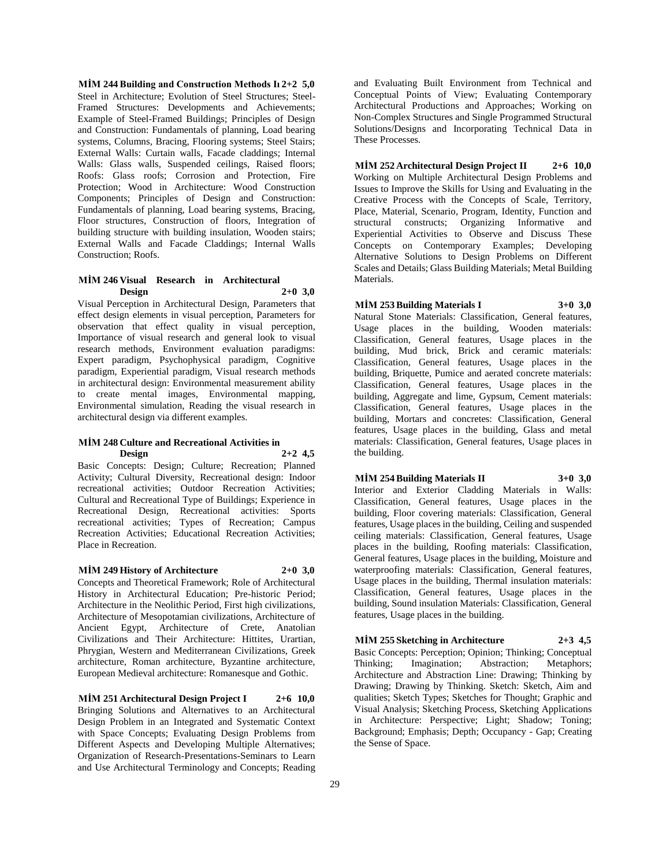**MİM 244 Building and Construction Methods Iı 2+2 5,0** Steel in Architecture; Evolution of Steel Structures; Steel-Framed Structures: Developments and Achievements; Example of Steel-Framed Buildings; Principles of Design and Construction: Fundamentals of planning, Load bearing systems, Columns, Bracing, Flooring systems; Steel Stairs; External Walls: Curtain walls, Facade claddings; Internal Walls: Glass walls, Suspended ceilings, Raised floors; Roofs: Glass roofs; Corrosion and Protection, Fire Protection; Wood in Architecture: Wood Construction Components; Principles of Design and Construction: Fundamentals of planning, Load bearing systems, Bracing, Floor structures, Construction of floors, Integration of building structure with building insulation, Wooden stairs; External Walls and Facade Claddings; Internal Walls Construction; Roofs.

#### **MİM 246 Visual Research in Architectural Design 2+0 3,0**

Visual Perception in Architectural Design, Parameters that effect design elements in visual perception, Parameters for observation that effect quality in visual perception, Importance of visual research and general look to visual research methods, Environment evaluation paradigms: Expert paradigm, Psychophysical paradigm, Cognitive paradigm, Experiential paradigm, Visual research methods in architectural design: Environmental measurement ability to create mental images, Environmental mapping, Environmental simulation, Reading the visual research in architectural design via different examples.

#### **MİM 248 Culture and Recreational Activities in Design 2+2 4,5**

Basic Concepts: Design; Culture; Recreation; Planned Activity; Cultural Diversity, Recreational design: Indoor recreational activities; Outdoor Recreation Activities; Cultural and Recreational Type of Buildings; Experience in Recreational Design, Recreational activities: Sports recreational activities; Types of Recreation; Campus Recreation Activities; Educational Recreation Activities; Place in Recreation.

#### **MİM 249 History of Architecture 2+0 3,0**

Concepts and Theoretical Framework; Role of Architectural History in Architectural Education; Pre-historic Period; Architecture in the Neolithic Period, First high civilizations, Architecture of Mesopotamian civilizations, Architecture of Ancient Egypt, Architecture of Crete, Anatolian Civilizations and Their Architecture: Hittites, Urartian, Phrygian, Western and Mediterranean Civilizations, Greek architecture, Roman architecture, Byzantine architecture, European Medieval architecture: Romanesque and Gothic.

**MİM 251 Architectural Design Project I 2+6 10,0** Bringing Solutions and Alternatives to an Architectural Design Problem in an Integrated and Systematic Context with Space Concepts; Evaluating Design Problems from Different Aspects and Developing Multiple Alternatives; Organization of Research-Presentations-Seminars to Learn and Use Architectural Terminology and Concepts; Reading

and Evaluating Built Environment from Technical and Conceptual Points of View; Evaluating Contemporary Architectural Productions and Approaches; Working on Non-Complex Structures and Single Programmed Structural Solutions/Designs and Incorporating Technical Data in These Processes.

**MİM 252 Architectural Design Project II 2+6 10,0** Working on Multiple Architectural Design Problems and Issues to Improve the Skills for Using and Evaluating in the Creative Process with the Concepts of Scale, Territory, Place, Material, Scenario, Program, Identity, Function and structural constructs; Organizing Informative and Experiential Activities to Observe and Discuss These Concepts on Contemporary Examples; Developing Alternative Solutions to Design Problems on Different Scales and Details; Glass Building Materials; Metal Building Materials.

# **MİM 253 Building Materials I 3+0 3,0**

Natural Stone Materials: Classification, General features, Usage places in the building, Wooden materials: Classification, General features, Usage places in the building, Mud brick, Brick and ceramic materials: Classification, General features, Usage places in the building, Briquette, Pumice and aerated concrete materials: Classification, General features, Usage places in the building, Aggregate and lime, Gypsum, Cement materials: Classification, General features, Usage places in the building, Mortars and concretes: Classification, General features, Usage places in the building, Glass and metal materials: Classification, General features, Usage places in the building.

# **MİM 254 Building Materials II 3+0 3,0**

Interior and Exterior Cladding Materials in Walls: Classification, General features, Usage places in the building, Floor covering materials: Classification, General features, Usage places in the building, Ceiling and suspended ceiling materials: Classification, General features, Usage places in the building, Roofing materials: Classification, General features, Usage places in the building, Moisture and waterproofing materials: Classification, General features, Usage places in the building, Thermal insulation materials: Classification, General features, Usage places in the building, Sound insulation Materials: Classification, General features, Usage places in the building.

# **MİM 255 Sketching in Architecture 2+3 4,5**

Basic Concepts: Perception; Opinion; Thinking; Conceptual Thinking; Imagination; Abstraction; Metaphors; Architecture and Abstraction Line: Drawing; Thinking by Drawing; Drawing by Thinking. Sketch: Sketch, Aim and qualities; Sketch Types; Sketches for Thought; Graphic and Visual Analysis; Sketching Process, Sketching Applications in Architecture: Perspective; Light; Shadow; Toning; Background; Emphasis; Depth; Occupancy - Gap; Creating the Sense of Space.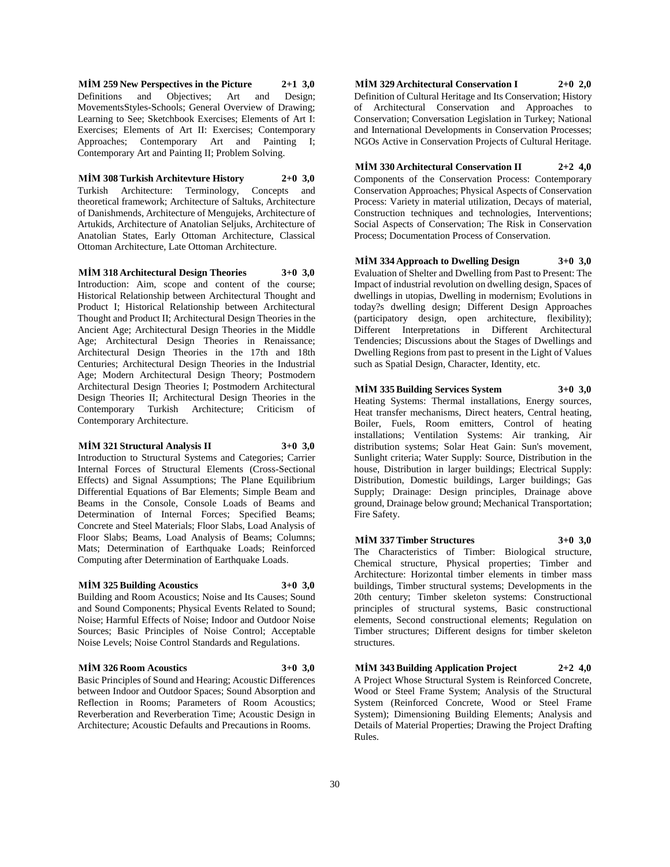**MİM 259 New Perspectives in the Picture 2+1 3,0** Definitions and Objectives; Art and Design; MovementsStyles-Schools; General Overview of Drawing; Learning to See; Sketchbook Exercises; Elements of Art I: Exercises; Elements of Art II: Exercises; Contemporary Approaches; Contemporary Art and Painting I; Contemporary Art and Painting II; Problem Solving.

**MİM 308 Turkish Architevture History 2+0 3,0**

Turkish Architecture: Terminology, Concepts and theoretical framework; Architecture of Saltuks, Architecture of Danishmends, Architecture of Mengujeks, Architecture of Artukids, Architecture of Anatolian Seljuks, Architecture of Anatolian States, Early Ottoman Architecture, Classical Ottoman Architecture, Late Ottoman Architecture.

**MİM 318 Architectural Design Theories 3+0 3,0** Introduction: Aim, scope and content of the course; Historical Relationship between Architectural Thought and Product I; Historical Relationship between Architectural Thought and Product II; Architectural Design Theories in the Ancient Age; Architectural Design Theories in the Middle Age; Architectural Design Theories in Renaissance; Architectural Design Theories in the 17th and 18th Centuries; Architectural Design Theories in the Industrial Age; Modern Architectural Design Theory; Postmodern Architectural Design Theories I; Postmodern Architectural Design Theories II; Architectural Design Theories in the Contemporary Turkish Architecture; Criticism of Contemporary Architecture.

#### **MİM 321 Structural Analysis II 3+0 3,0**

Introduction to Structural Systems and Categories; Carrier Internal Forces of Structural Elements (Cross-Sectional Effects) and Signal Assumptions; The Plane Equilibrium Differential Equations of Bar Elements; Simple Beam and Beams in the Console, Console Loads of Beams and Determination of Internal Forces; Specified Beams; Concrete and Steel Materials; Floor Slabs, Load Analysis of Floor Slabs; Beams, Load Analysis of Beams; Columns; Mats; Determination of Earthquake Loads; Reinforced Computing after Determination of Earthquake Loads.

# **MİM 325 Building Acoustics 3+0 3,0**

Building and Room Acoustics; Noise and Its Causes; Sound and Sound Components; Physical Events Related to Sound; Noise; Harmful Effects of Noise; Indoor and Outdoor Noise Sources; Basic Principles of Noise Control; Acceptable Noise Levels; Noise Control Standards and Regulations.

#### **MİM 326 Room Acoustics 3+0 3,0**

Basic Principles of Sound and Hearing; Acoustic Differences between Indoor and Outdoor Spaces; Sound Absorption and Reflection in Rooms; Parameters of Room Acoustics; Reverberation and Reverberation Time; Acoustic Design in Architecture; Acoustic Defaults and Precautions in Rooms.

**MİM 329 Architectural Conservation I 2+0 2,0** Definition of Cultural Heritage and Its Conservation; History of Architectural Conservation and Approaches to Conservation; Conversation Legislation in Turkey; National and International Developments in Conservation Processes; NGOs Active in Conservation Projects of Cultural Heritage.

**MİM 330 Architectural Conservation II 2+2 4,0** Components of the Conservation Process: Contemporary Conservation Approaches; Physical Aspects of Conservation Process: Variety in material utilization, Decays of material, Construction techniques and technologies, Interventions; Social Aspects of Conservation; The Risk in Conservation Process; Documentation Process of Conservation.

**MİM 334 Approach to Dwelling Design 3+0 3,0** Evaluation of Shelter and Dwelling from Past to Present: The Impact of industrial revolution on dwelling design, Spaces of dwellings in utopias, Dwelling in modernism; Evolutions in today?s dwelling design; Different Design Approaches (participatory design, open architecture, flexibility); Different Interpretations in Different Architectural Tendencies; Discussions about the Stages of Dwellings and Dwelling Regions from past to present in the Light of Values such as Spatial Design, Character, Identity, etc.

**MİM 335 Building Services System 3+0 3,0**

Heating Systems: Thermal installations, Energy sources, Heat transfer mechanisms, Direct heaters, Central heating, Boiler, Fuels, Room emitters, Control of heating installations; Ventilation Systems: Air tranking, Air distribution systems; Solar Heat Gain: Sun's movement, Sunlight criteria; Water Supply: Source, Distribution in the house, Distribution in larger buildings; Electrical Supply: Distribution, Domestic buildings, Larger buildings; Gas Supply; Drainage: Design principles, Drainage above ground, Drainage below ground; Mechanical Transportation; Fire Safety.

**MİM 337 Timber Structures 3+0 3,0** The Characteristics of Timber: Biological structure, Chemical structure, Physical properties; Timber and Architecture: Horizontal timber elements in timber mass buildings, Timber structural systems; Developments in the 20th century; Timber skeleton systems: Constructional principles of structural systems, Basic constructional elements, Second constructional elements; Regulation on Timber structures; Different designs for timber skeleton structures.

**MİM 343 Building Application Project 2+2 4,0** A Project Whose Structural System is Reinforced Concrete, Wood or Steel Frame System; Analysis of the Structural System (Reinforced Concrete, Wood or Steel Frame System); Dimensioning Building Elements; Analysis and Details of Material Properties; Drawing the Project Drafting Rules.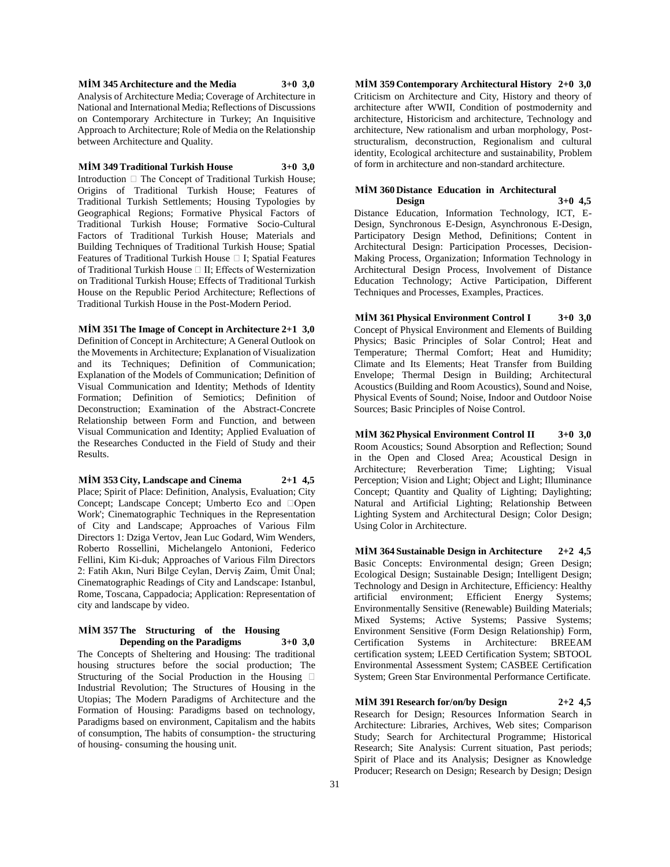**MİM 345 Architecture and the Media 3+0 3,0** Analysis of Architecture Media; Coverage of Architecture in National and International Media; Reflections of Discussions on Contemporary Architecture in Turkey; An Inquisitive Approach to Architecture; Role of Media on the Relationship between Architecture and Quality.

#### **MİM 349 Traditional Turkish House 3+0 3,0**

Introduction  $\Box$  The Concept of Traditional Turkish House; Origins of Traditional Turkish House; Features of Traditional Turkish Settlements; Housing Typologies by Geographical Regions; Formative Physical Factors of Traditional Turkish House; Formative Socio-Cultural Factors of Traditional Turkish House; Materials and Building Techniques of Traditional Turkish House; Spatial Features of Traditional Turkish House  $\Box$  I; Spatial Features of Traditional Turkish House  $\Box$  II; Effects of Westernization on Traditional Turkish House; Effects of Traditional Turkish House on the Republic Period Architecture; Reflections of Traditional Turkish House in the Post-Modern Period.

**MİM 351 The Image of Concept in Architecture 2+1 3,0** Definition of Concept in Architecture; A General Outlook on the Movements in Architecture; Explanation of Visualization and its Techniques; Definition of Communication; Explanation of the Models of Communication; Definition of Visual Communication and Identity; Methods of Identity Formation; Definition of Semiotics; Definition of Deconstruction; Examination of the Abstract-Concrete Relationship between Form and Function, and between Visual Communication and Identity; Applied Evaluation of the Researches Conducted in the Field of Study and their Results.

**MİM 353 City, Landscape and Cinema 2+1 4,5** Place; Spirit of Place: Definition, Analysis, Evaluation; City Concept: Landscape Concept: Umberto Eco and  $\Box$ Open Work'; Cinematographic Techniques in the Representation of City and Landscape; Approaches of Various Film Directors 1: Dziga Vertov, Jean Luc Godard, Wim Wenders, Roberto Rossellini, Michelangelo Antonioni, Federico Fellini, Kim Ki-duk; Approaches of Various Film Directors 2: Fatih Akın, Nuri Bilge Ceylan, Derviş Zaim, Ümit Ünal; Cinematographic Readings of City and Landscape: Istanbul, Rome, Toscana, Cappadocia; Application: Representation of city and landscape by video.

#### **MİM 357 The Structuring of the Housing Depending on the Paradigms 3+0 3,0**

The Concepts of Sheltering and Housing: The traditional housing structures before the social production; The Structuring of the Social Production in the Housing  $\Box$ Industrial Revolution; The Structures of Housing in the Utopias; The Modern Paradigms of Architecture and the Formation of Housing: Paradigms based on technology, Paradigms based on environment, Capitalism and the habits of consumption, The habits of consumption- the structuring of housing- consuming the housing unit.

**MİM 359 Contemporary Architectural History 2+0 3,0** Criticism on Architecture and City, History and theory of architecture after WWII, Condition of postmodernity and architecture, Historicism and architecture, Technology and architecture, New rationalism and urban morphology, Poststructuralism, deconstruction, Regionalism and cultural identity, Ecological architecture and sustainability, Problem of form in architecture and non-standard architecture.

# **MİM 360 Distance Education in Architectural Design 3+0 4,5**

Distance Education, Information Technology, ICT, E-Design, Synchronous E-Design, Asynchronous E-Design, Participatory Design Method, Definitions; Content in Architectural Design: Participation Processes, Decision-Making Process, Organization; Information Technology in Architectural Design Process, Involvement of Distance Education Technology; Active Participation, Different Techniques and Processes, Examples, Practices.

**MİM 361 Physical Environment Control I 3+0 3,0** Concept of Physical Environment and Elements of Building Physics; Basic Principles of Solar Control; Heat and Temperature; Thermal Comfort; Heat and Humidity; Climate and Its Elements; Heat Transfer from Building Envelope; Thermal Design in Building; Architectural Acoustics (Building and Room Acoustics), Sound and Noise, Physical Events of Sound; Noise, Indoor and Outdoor Noise Sources; Basic Principles of Noise Control.

**MİM 362 Physical Environment Control II 3+0 3,0** Room Acoustics; Sound Absorption and Reflection; Sound in the Open and Closed Area; Acoustical Design in Architecture; Reverberation Time; Lighting; Visual Perception; Vision and Light; Object and Light; Illuminance Concept; Quantity and Quality of Lighting; Daylighting; Natural and Artificial Lighting; Relationship Between Lighting System and Architectural Design; Color Design; Using Color in Architecture.

**MİM 364 Sustainable Design in Architecture 2+2 4,5** Basic Concepts: Environmental design; Green Design; Ecological Design; Sustainable Design; Intelligent Design; Technology and Design in Architecture, Efficiency: Healthy artificial environment; Efficient Energy Systems; Environmentally Sensitive (Renewable) Building Materials; Mixed Systems; Active Systems; Passive Systems; Environment Sensitive (Form Design Relationship) Form, Certification Systems in Architecture: BREEAM certification system; LEED Certification System; SBTOOL Environmental Assessment System; CASBEE Certification System; Green Star Environmental Performance Certificate.

**MİM 391 Research for/on/by Design 2+2 4,5** Research for Design; Resources Information Search in Architecture: Libraries, Archives, Web sites; Comparison Study; Search for Architectural Programme; Historical Research; Site Analysis: Current situation, Past periods; Spirit of Place and its Analysis; Designer as Knowledge Producer; Research on Design; Research by Design; Design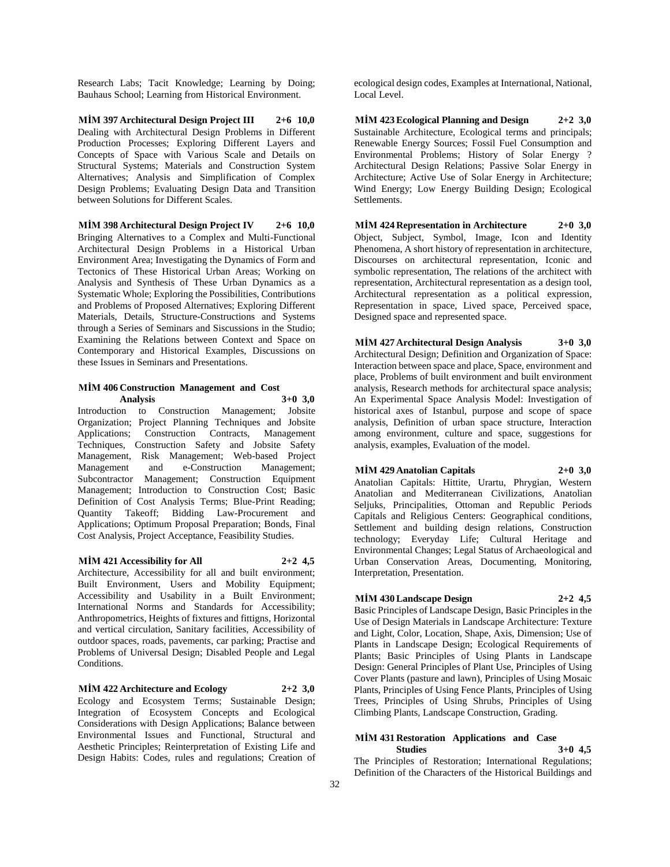Research Labs; Tacit Knowledge; Learning by Doing; Bauhaus School; Learning from Historical Environment.

**MİM 397 Architectural Design Project III 2+6 10,0** Dealing with Architectural Design Problems in Different Production Processes; Exploring Different Layers and Concepts of Space with Various Scale and Details on Structural Systems; Materials and Construction System Alternatives; Analysis and Simplification of Complex Design Problems; Evaluating Design Data and Transition between Solutions for Different Scales.

**MİM 398 Architectural Design Project IV 2+6 10,0** Bringing Alternatives to a Complex and Multi-Functional Architectural Design Problems in a Historical Urban Environment Area; Investigating the Dynamics of Form and Tectonics of These Historical Urban Areas; Working on Analysis and Synthesis of These Urban Dynamics as a Systematic Whole; Exploring the Possibilities, Contributions and Problems of Proposed Alternatives; Exploring Different Materials, Details, Structure-Constructions and Systems through a Series of Seminars and Siscussions in the Studio; Examining the Relations between Context and Space on Contemporary and Historical Examples, Discussions on these Issues in Seminars and Presentations.

#### **MİM 406 Construction Management and Cost Analysis 3+0 3,0**

Introduction to Construction Management; Jobsite Organization; Project Planning Techniques and Jobsite Applications; Construction Contracts, Management Techniques, Construction Safety and Jobsite Safety Management, Risk Management; Web-based Project Management and e-Construction Management; Subcontractor Management; Construction Equipment Management; Introduction to Construction Cost; Basic Definition of Cost Analysis Terms; Blue-Print Reading; Quantity Takeoff; Bidding Law-Procurement and Applications; Optimum Proposal Preparation; Bonds, Final Cost Analysis, Project Acceptance, Feasibility Studies.

#### **MİM 421 Accessibility for All 2+2 4,5**

Architecture, Accessibility for all and built environment; Built Environment, Users and Mobility Equipment; Accessibility and Usability in a Built Environment; International Norms and Standards for Accessibility; Anthropometrics, Heights of fixtures and fittigns, Horizontal and vertical circulation, Sanitary facilities, Accessibility of outdoor spaces, roads, pavements, car parking; Practise and Problems of Universal Design; Disabled People and Legal Conditions.

**MİM 422 Architecture and Ecology 2+2 3,0**

Ecology and Ecosystem Terms; Sustainable Design; Integration of Ecosystem Concepts and Ecological Considerations with Design Applications; Balance between Environmental Issues and Functional, Structural and Aesthetic Principles; Reinterpretation of Existing Life and Design Habits: Codes, rules and regulations; Creation of

ecological design codes, Examples at International, National, Local Level.

**MİM 423 Ecological Planning and Design 2+2 3,0** Sustainable Architecture, Ecological terms and principals; Renewable Energy Sources; Fossil Fuel Consumption and Environmental Problems; History of Solar Energy ? Architectural Design Relations; Passive Solar Energy in Architecture; Active Use of Solar Energy in Architecture; Wind Energy; Low Energy Building Design; Ecological Settlements.

**MİM 424 Representation in Architecture 2+0 3,0** Object, Subject, Symbol, Image, Icon and Identity Phenomena, A short history of representation in architecture, Discourses on architectural representation, Iconic and symbolic representation, The relations of the architect with representation, Architectural representation as a design tool, Architectural representation as a political expression, Representation in space, Lived space, Perceived space, Designed space and represented space.

**MİM 427 Architectural Design Analysis 3+0 3,0** Architectural Design; Definition and Organization of Space: Interaction between space and place, Space, environment and place, Problems of built environment and built environment analysis, Research methods for architectural space analysis; An Experimental Space Analysis Model: Investigation of historical axes of Istanbul, purpose and scope of space analysis, Definition of urban space structure, Interaction among environment, culture and space, suggestions for analysis, examples, Evaluation of the model.

**MİM 429 Anatolian Capitals 2+0 3,0** Anatolian Capitals: Hittite, Urartu, Phrygian, Western Anatolian and Mediterranean Civilizations, Anatolian Seljuks, Principalities, Ottoman and Republic Periods Capitals and Religious Centers: Geographical conditions, Settlement and building design relations, Construction technology; Everyday Life; Cultural Heritage and Environmental Changes; Legal Status of Archaeological and Urban Conservation Areas, Documenting, Monitoring, Interpretation, Presentation.

**MİM 430 Landscape Design 2+2 4,5** Basic Principles of Landscape Design, Basic Principles in the Use of Design Materials in Landscape Architecture: Texture and Light, Color, Location, Shape, Axis, Dimension; Use of Plants in Landscape Design; Ecological Requirements of Plants; Basic Principles of Using Plants in Landscape Design: General Principles of Plant Use, Principles of Using Cover Plants (pasture and lawn), Principles of Using Mosaic Plants, Principles of Using Fence Plants, Principles of Using

#### **MİM 431 Restoration Applications and Case Studies 3+0 4,5**

The Principles of Restoration; International Regulations; Definition of the Characters of the Historical Buildings and

Trees, Principles of Using Shrubs, Principles of Using Climbing Plants, Landscape Construction, Grading.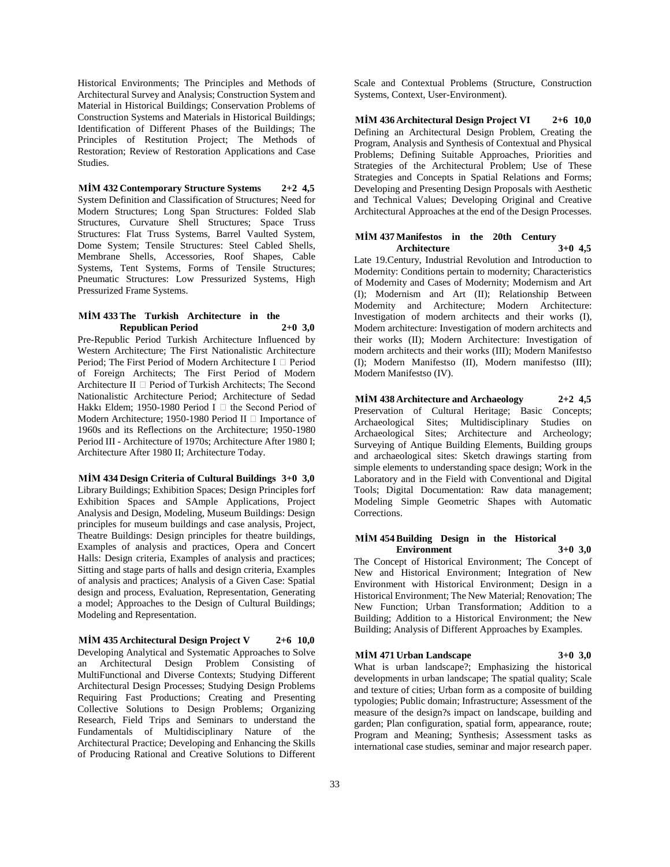Historical Environments; The Principles and Methods of Architectural Survey and Analysis; Construction System and Material in Historical Buildings; Conservation Problems of Construction Systems and Materials in Historical Buildings; Identification of Different Phases of the Buildings; The Principles of Restitution Project; The Methods of Restoration; Review of Restoration Applications and Case Studies.

**MİM 432 Contemporary Structure Systems 2+2 4,5** System Definition and Classification of Structures; Need for Modern Structures; Long Span Structures: Folded Slab Structures, Curvature Shell Structures; Space Truss Structures: Flat Truss Systems, Barrel Vaulted System, Dome System; Tensile Structures: Steel Cabled Shells, Membrane Shells, Accessories, Roof Shapes, Cable Systems, Tent Systems, Forms of Tensile Structures; Pneumatic Structures: Low Pressurized Systems, High Pressurized Frame Systems.

#### **MİM 433 The Turkish Architecture in the Republican Period 2+0 3,0**

Pre-Republic Period Turkish Architecture Influenced by Western Architecture; The First Nationalistic Architecture Period; The First Period of Modern Architecture I □ Period of Foreign Architects; The First Period of Modern Architecture II  $\Box$  Period of Turkish Architects; The Second Nationalistic Architecture Period; Architecture of Sedad Hakkı Eldem; 1950-1980 Period I  $\Box$  the Second Period of Modern Architecture; 1950-1980 Period II  $\Box$  Importance of 1960s and its Reflections on the Architecture; 1950-1980 Period III - Architecture of 1970s; Architecture After 1980 I; Architecture After 1980 II; Architecture Today.

**MİM 434 Design Criteria of Cultural Buildings 3+0 3,0** Library Buildings; Exhibition Spaces; Design Principles forf Exhibition Spaces and SAmple Applications, Project Analysis and Design, Modeling, Museum Buildings: Design principles for museum buildings and case analysis, Project, Theatre Buildings: Design principles for theatre buildings, Examples of analysis and practices, Opera and Concert Halls: Design criteria, Examples of analysis and practices; Sitting and stage parts of halls and design criteria, Examples of analysis and practices; Analysis of a Given Case: Spatial design and process, Evaluation, Representation, Generating a model; Approaches to the Design of Cultural Buildings; Modeling and Representation.

**MİM 435 Architectural Design Project V 2+6 10,0** Developing Analytical and Systematic Approaches to Solve an Architectural Design Problem Consisting of MultiFunctional and Diverse Contexts; Studying Different Architectural Design Processes; Studying Design Problems Requiring Fast Productions; Creating and Presenting Collective Solutions to Design Problems; Organizing Research, Field Trips and Seminars to understand the Fundamentals of Multidisciplinary Nature of the Architectural Practice; Developing and Enhancing the Skills of Producing Rational and Creative Solutions to Different

Scale and Contextual Problems (Structure, Construction Systems, Context, User-Environment).

**MİM 436 Architectural Design Project VI 2+6 10,0** Defining an Architectural Design Problem, Creating the Program, Analysis and Synthesis of Contextual and Physical Problems; Defining Suitable Approaches, Priorities and Strategies of the Architectural Problem; Use of These Strategies and Concepts in Spatial Relations and Forms; Developing and Presenting Design Proposals with Aesthetic and Technical Values; Developing Original and Creative Architectural Approaches at the end of the Design Processes.

#### **MİM 437 Manifestos in the 20th Century Architecture 3+0 4,5**

Late 19.Century, Industrial Revolution and Introduction to Modernity: Conditions pertain to modernity; Characteristics of Modernity and Cases of Modernity; Modernism and Art (I); Modernism and Art (II); Relationship Between Modernity and Architecture; Modern Architecture: Investigation of modern architects and their works (I), Modern architecture: Investigation of modern architects and their works (II); Modern Architecture: Investigation of modern architects and their works (III); Modern Manifestso (I); Modern Manifestso (II), Modern manifestso (III); Modern Manifestso (IV).

**MİM 438 Architecture and Archaeology 2+2 4,5** Preservation of Cultural Heritage; Basic Concepts; Archaeological Sites; Multidisciplinary Studies on Archaeological Sites; Architecture and Archeology; Surveying of Antique Building Elements, Building groups and archaeological sites: Sketch drawings starting from simple elements to understanding space design; Work in the Laboratory and in the Field with Conventional and Digital Tools; Digital Documentation: Raw data management; Modeling Simple Geometric Shapes with Automatic Corrections.

#### **MİM 454 Building Design in the Historical Environment 3+0 3,0**

The Concept of Historical Environment; The Concept of New and Historical Environment; Integration of New Environment with Historical Environment; Design in a Historical Environment; The New Material; Renovation; The New Function; Urban Transformation; Addition to a Building; Addition to a Historical Environment; the New Building; Analysis of Different Approaches by Examples.

## **MİM 471 Urban Landscape 3+0 3,0**

What is urban landscape?; Emphasizing the historical developments in urban landscape; The spatial quality; Scale and texture of cities; Urban form as a composite of building typologies; Public domain; Infrastructure; Assessment of the measure of the design?s impact on landscape, building and garden; Plan configuration, spatial form, appearance, route; Program and Meaning; Synthesis; Assessment tasks as international case studies, seminar and major research paper.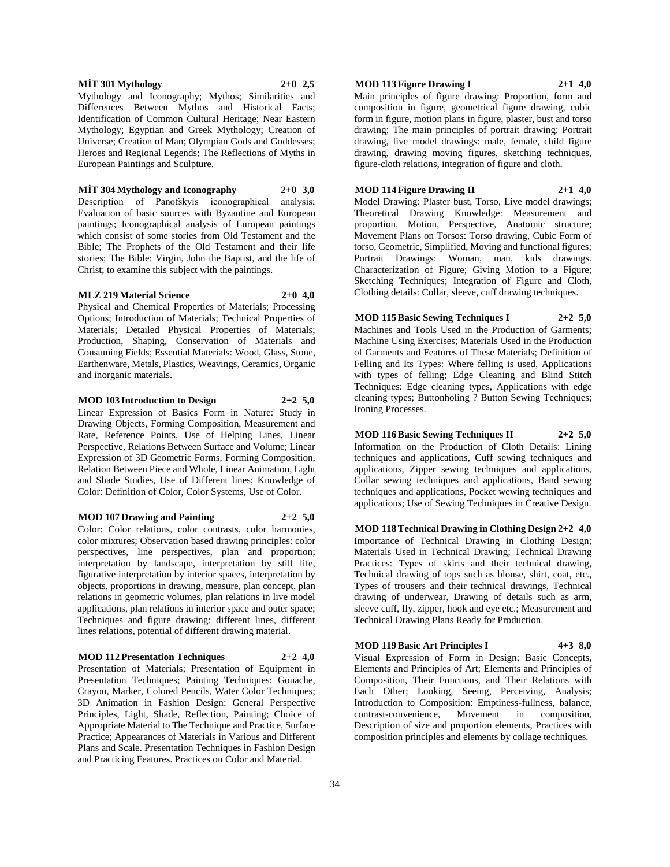#### **MİT 301 Mythology 2+0 2,5**

Mythology and Iconography; Mythos; Similarities and Differences Between Mythos and Historical Facts; Identification of Common Cultural Heritage; Near Eastern Mythology; Egyptian and Greek Mythology; Creation of Universe; Creation of Man; Olympian Gods and Goddesses; Heroes and Regional Legends; The Reflections of Myths in European Paintings and Sculpture.

#### **MİT 304 Mythology and Iconography 2+0 3,0**

Description of Panofskyís iconographical analysis; Evaluation of basic sources with Byzantine and European paintings; Iconographical analysis of European paintings which consist of some stories from Old Testament and the Bible; The Prophets of the Old Testament and their life stories; The Bible: Virgin, John the Baptist, and the life of Christ; to examine this subject with the paintings.

#### **MLZ 219 Material Science 2+0 4,0**

Physical and Chemical Properties of Materials; Processing Options; Introduction of Materials; Technical Properties of Materials; Detailed Physical Properties of Materials; Production, Shaping, Conservation of Materials and Consuming Fields; Essential Materials: Wood, Glass, Stone, Earthenware, Metals, Plastics, Weavings, Ceramics, Organic and inorganic materials.

#### **MOD 103 Introduction to Design 2+2 5,0**

Linear Expression of Basics Form in Nature: Study in Drawing Objects, Forming Composition, Measurement and Rate, Reference Points, Use of Helping Lines, Linear Perspective, Relations Between Surface and Volume; Linear Expression of 3D Geometric Forms, Forming Composition, Relation Between Piece and Whole, Linear Animation, Light and Shade Studies, Use of Different lines; Knowledge of Color: Definition of Color, Color Systems, Use of Color.

#### **MOD 107 Drawing and Painting 2+2 5,0**

Color: Color relations, color contrasts, color harmonies, color mixtures; Observation based drawing principles: color perspectives, line perspectives, plan and proportion; interpretation by landscape, interpretation by still life, figurative interpretation by interior spaces, interpretation by objects, proportions in drawing, measure, plan concept, plan relations in geometric volumes, plan relations in live model applications, plan relations in interior space and outer space; Techniques and figure drawing: different lines, different lines relations, potential of different drawing material.

#### **MOD 112 Presentation Techniques 2+2 4,0**

Presentation of Materials; Presentation of Equipment in Presentation Techniques; Painting Techniques: Gouache, Crayon, Marker, Colored Pencils, Water Color Techniques; 3D Animation in Fashion Design: General Perspective Principles, Light, Shade, Reflection, Painting; Choice of Appropriate Material to The Technique and Practice, Surface Practice; Appearances of Materials in Various and Different Plans and Scale. Presentation Techniques in Fashion Design and Practicing Features. Practices on Color and Material.

#### **MOD 113 Figure Drawing I 2+1 4,0**

Main principles of figure drawing: Proportion, form and composition in figure, geometrical figure drawing, cubic form in figure, motion plans in figure, plaster, bust and torso drawing; The main principles of portrait drawing: Portrait drawing, live model drawings: male, female, child figure drawing, drawing moving figures, sketching techniques, figure-cloth relations, integration of figure and cloth.

#### **MOD 114 Figure Drawing II 2+1 4,0**

Model Drawing: Plaster bust, Torso, Live model drawings; Theoretical Drawing Knowledge: Measurement and proportion, Motion, Perspective, Anatomic structure; Movement Plans on Torsos: Torso drawing, Cubic Form of torso, Geometric, Simplified, Moving and functional figures; Portrait Drawings: Woman, man, kids drawings. Characterization of Figure; Giving Motion to a Figure; Sketching Techniques; Integration of Figure and Cloth, Clothing details: Collar, sleeve, cuff drawing techniques.

**MOD 115 Basic Sewing Techniques I 2+2 5,0** Machines and Tools Used in the Production of Garments; Machine Using Exercises; Materials Used in the Production

of Garments and Features of These Materials; Definition of Felling and Its Types: Where felling is used, Applications with types of felling; Edge Cleaning and Blind Stitch Techniques: Edge cleaning types, Applications with edge cleaning types; Buttonholing ? Button Sewing Techniques; Ironing Processes.

# **MOD 116 Basic Sewing Techniques II 2+2 5,0**

Information on the Production of Cloth Details: Lining techniques and applications, Cuff sewing techniques and applications, Zipper sewing techniques and applications, Collar sewing techniques and applications, Band sewing techniques and applications, Pocket wewing techniques and applications; Use of Sewing Techniques in Creative Design.

**MOD 118 Technical Drawing in Clothing Design 2+2 4,0** Importance of Technical Drawing in Clothing Design; Materials Used in Technical Drawing; Technical Drawing Practices: Types of skirts and their technical drawing, Technical drawing of tops such as blouse, shirt, coat, etc., Types of trousers and their technical drawings, Technical drawing of underwear, Drawing of details such as arm, sleeve cuff, fly, zipper, hook and eye etc.; Measurement and Technical Drawing Plans Ready for Production.

#### **MOD 119 Basic Art Principles I 4+3 8,0**

Visual Expression of Form in Design; Basic Concepts, Elements and Principles of Art; Elements and Principles of Composition, Their Functions, and Their Relations with Each Other; Looking, Seeing, Perceiving, Analysis; Introduction to Composition: Emptiness-fullness, balance, contrast-convenience, Movement in composition, Description of size and proportion elements, Practices with composition principles and elements by collage techniques.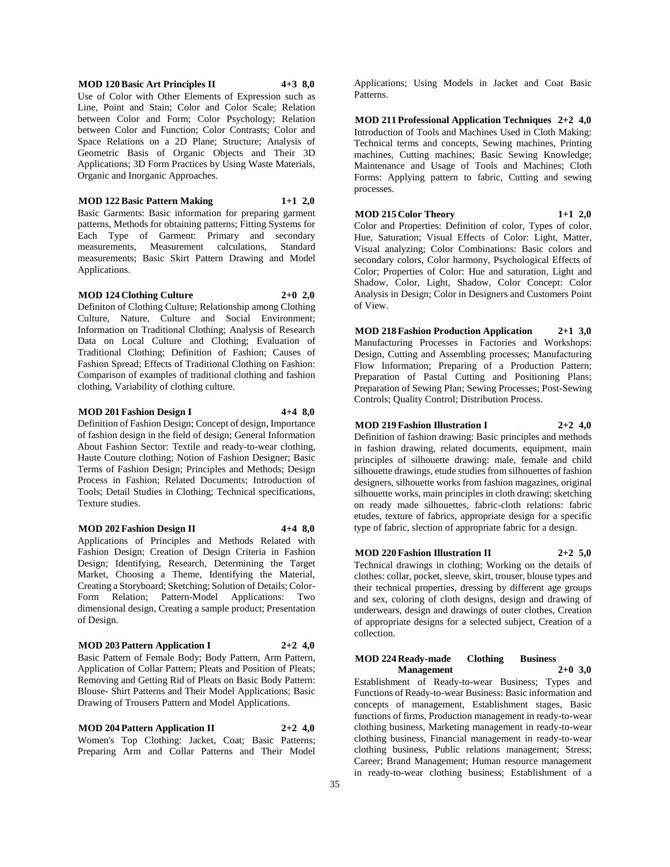#### **MOD 120 Basic Art Principles II 4+3 8,0**

Use of Color with Other Elements of Expression such as Line, Point and Stain; Color and Color Scale; Relation between Color and Form; Color Psychology; Relation between Color and Function; Color Contrasts; Color and Space Relations on a 2D Plane; Structure; Analysis of Geometric Basis of Organic Objects and Their 3D Applications; 3D Form Practices by Using Waste Materials, Organic and Inorganic Approaches.

**MOD 122 Basic Pattern Making 1+1 2,0**

Basic Garments: Basic information for preparing garment patterns, Methods for obtaining patterns; Fitting Systems for Each Type of Garment: Primary and secondary measurements, Measurement calculations, Standard measurements; Basic Skirt Pattern Drawing and Model Applications.

#### **MOD 124 Clothing Culture 2+0 2,0**

Definiton of Clothing Culture; Relationship among Clothing Culture, Nature, Culture and Social Environment; Information on Traditional Clothing; Analysis of Research Data on Local Culture and Clothing; Evaluation of Traditional Clothing; Definition of Fashion; Causes of Fashion Spread; Effects of Traditional Clothing on Fashion: Comparison of examples of traditional clothing and fashion clothing, Variability of clothing culture.

#### **MOD 201 Fashion Design I 4+4 8,0**

Definition of Fashion Design; Concept of design, Importance of fashion design in the field of design; General Information About Fashion Sector: Textile and ready-to-wear clothing, Haute Couture clothing; Notion of Fashion Designer; Basic Terms of Fashion Design; Principles and Methods; Design Process in Fashion; Related Documents; Introduction of Tools; Detail Studies in Clothing; Technical specifications, Texture studies.

#### **MOD 202 Fashion Design II 4+4 8,0**

Applications of Principles and Methods Related with Fashion Design; Creation of Design Criteria in Fashion Design; Identifying, Research, Determining the Target Market, Choosing a Theme, Identifying the Material, Creating a Storyboard; Sketching; Solution of Details; Color-Form Relation; Pattern-Model Applications: Two dimensional design, Creating a sample product; Presentation of Design.

#### **MOD 203 Pattern Application I 2+2 4,0**

Basic Pattern of Female Body; Body Pattern, Arm Pattern, Application of Collar Pattern; Pleats and Position of Pleats; Removing and Getting Rid of Pleats on Basic Body Pattern: Blouse- Shirt Patterns and Their Model Applications; Basic Drawing of Trousers Pattern and Model Applications.

**MOD 204 Pattern Application II 2+2 4,0** Women's Top Clothing: Jacket, Coat; Basic Patterns; Preparing Arm and Collar Patterns and Their Model

Applications; Using Models in Jacket and Coat Basic Patterns.

**MOD 211 Professional Application Techniques 2+2 4,0** Introduction of Tools and Machines Used in Cloth Making: Technical terms and concepts, Sewing machines, Printing machines, Cutting machines; Basic Sewing Knowledge; Maintenance and Usage of Tools and Machines; Cloth Forms: Applying pattern to fabric, Cutting and sewing processes.

**MOD 215 Color Theory 1+1 2,0** Color and Properties: Definition of color, Types of color, Hue, Saturation; Visual Effects of Color: Light, Matter, Visual analyzing; Color Combinations: Basic colors and secondary colors, Color harmony, Psychological Effects of Color; Properties of Color: Hue and saturation, Light and Shadow, Color, Light, Shadow, Color Concept: Color Analysis in Design; Color in Designers and Customers Point of View.

**MOD 218 Fashion Production Application 2+1 3,0** Manufacturing Processes in Factories and Workshops: Design, Cutting and Assembling processes; Manufacturing Flow Information; Preparing of a Production Pattern; Preparation of Pastal Cutting and Positioning Plans; Preparation of Sewing Plan; Sewing Processes; Post-Sewing Controls; Quality Control; Distribution Process.

#### **MOD 219 Fashion Illustration I 2+2 4,0**

Definition of fashion drawing: Basic principles and methods in fashion drawing, related documents, equipment, main principles of silhouette drawing: male, female and child silhouette drawings, etude studies from silhouettes of fashion designers, silhouette works from fashion magazines, original silhouette works, main principles in cloth drawing: sketching on ready made silhouettes, fabric-cloth relations: fabric etudes, texture of fabrics, appropriate design for a specific type of fabric, slection of appropriate fabric for a design.

#### **MOD 220 Fashion Illustration II 2+2 5,0**

Technical drawings in clothing; Working on the details of clothes: collar, pocket, sleeve, skirt, trouser, blouse types and their technical properties, dressing by different age groups and sex, coloring of cloth designs, design and drawing of underwears, design and drawings of outer clothes, Creation of appropriate designs for a selected subject, Creation of a collection.

#### **MOD 224 Ready-made Clothing Business Management 2+0 3,0**

Establishment of Ready-to-wear Business; Types and Functions of Ready-to-wear Business: Basic information and concepts of management, Establishment stages, Basic functions of firms, Production management in ready-to-wear clothing business, Marketing management in ready-to-wear clothing business, Financial management in ready-to-wear clothing business, Public relations management; Stress; Career; Brand Management; Human resource management in ready-to-wear clothing business; Establishment of a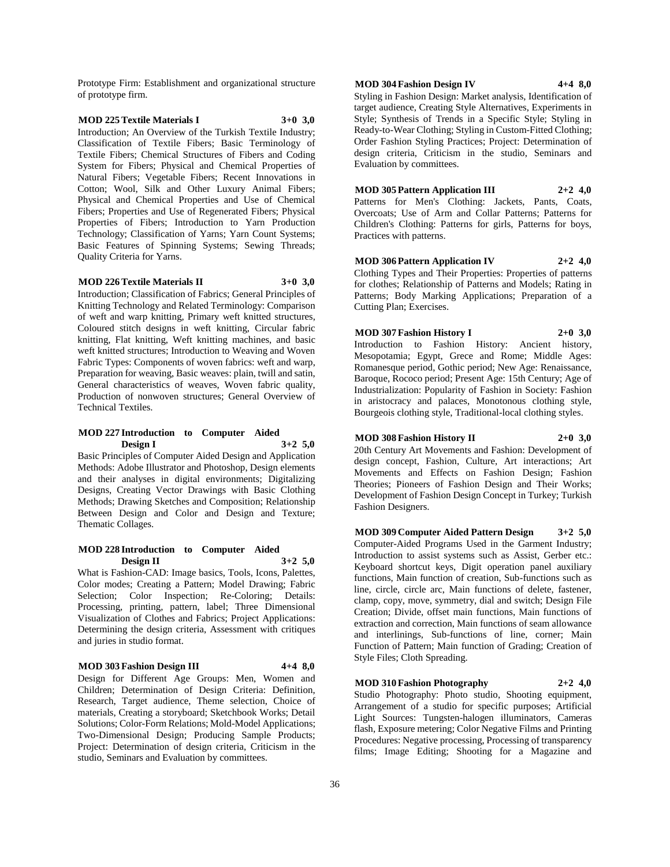Prototype Firm: Establishment and organizational structure of prototype firm.

# **MOD 225 Textile Materials I 3+0 3,0**

Introduction; An Overview of the Turkish Textile Industry; Classification of Textile Fibers; Basic Terminology of Textile Fibers; Chemical Structures of Fibers and Coding System for Fibers; Physical and Chemical Properties of Natural Fibers; Vegetable Fibers; Recent Innovations in Cotton; Wool, Silk and Other Luxury Animal Fibers; Physical and Chemical Properties and Use of Chemical Fibers; Properties and Use of Regenerated Fibers; Physical Properties of Fibers; Introduction to Yarn Production Technology; Classification of Yarns; Yarn Count Systems; Basic Features of Spinning Systems; Sewing Threads; Quality Criteria for Yarns.

#### **MOD 226 Textile Materials II 3+0 3,0**

Introduction; Classification of Fabrics; General Principles of

Knitting Technology and Related Terminology: Comparison of weft and warp knitting, Primary weft knitted structures, Coloured stitch designs in weft knitting, Circular fabric knitting, Flat knitting, Weft knitting machines, and basic weft knitted structures; Introduction to Weaving and Woven Fabric Types: Components of woven fabrics: weft and warp, Preparation for weaving, Basic weaves: plain, twill and satin, General characteristics of weaves, Woven fabric quality, Production of nonwoven structures; General Overview of Technical Textiles.

#### **MOD 227 Introduction to Computer Aided Design I 3+2 5,0**

Basic Principles of Computer Aided Design and Application Methods: Adobe Illustrator and Photoshop, Design elements and their analyses in digital environments; Digitalizing Designs, Creating Vector Drawings with Basic Clothing Methods; Drawing Sketches and Composition; Relationship Between Design and Color and Design and Texture; Thematic Collages.

#### **MOD 228 Introduction to Computer Aided Design II 3+2 5,0**

What is Fashion-CAD: Image basics, Tools, Icons, Palettes, Color modes; Creating a Pattern; Model Drawing; Fabric Selection; Color Inspection; Re-Coloring; Details: Processing, printing, pattern, label; Three Dimensional Visualization of Clothes and Fabrics; Project Applications: Determining the design criteria, Assessment with critiques and juries in studio format.

#### **MOD 303 Fashion Design III 4+4 8,0**

Design for Different Age Groups: Men, Women and Children; Determination of Design Criteria: Definition, Research, Target audience, Theme selection, Choice of materials, Creating a storyboard; Sketchbook Works; Detail Solutions; Color-Form Relations; Mold-Model Applications; Two-Dimensional Design; Producing Sample Products; Project: Determination of design criteria, Criticism in the studio, Seminars and Evaluation by committees.

**MOD 304 Fashion Design IV 4+4 8,0** Styling in Fashion Design: Market analysis, Identification of target audience, Creating Style Alternatives, Experiments in Style; Synthesis of Trends in a Specific Style; Styling in Ready-to-Wear Clothing; Styling in Custom-Fitted Clothing; Order Fashion Styling Practices; Project: Determination of design criteria, Criticism in the studio, Seminars and

#### **MOD 305 Pattern Application III 2+2 4,0**

Evaluation by committees.

Patterns for Men's Clothing: Jackets, Pants, Coats, Overcoats; Use of Arm and Collar Patterns; Patterns for Children's Clothing: Patterns for girls, Patterns for boys, Practices with patterns.

#### **MOD 306 Pattern Application IV 2+2 4,0**

Clothing Types and Their Properties: Properties of patterns for clothes; Relationship of Patterns and Models; Rating in Patterns; Body Marking Applications; Preparation of a Cutting Plan; Exercises.

### **MOD 307 Fashion History I 2+0 3,0**

Introduction to Fashion History: Ancient history, Mesopotamia; Egypt, Grece and Rome; Middle Ages: Romanesque period, Gothic period; New Age: Renaissance, Baroque, Rococo period; Present Age: 15th Century; Age of Industrialization: Popularity of Fashion in Society: Fashion in aristocracy and palaces, Monotonous clothing style, Bourgeois clothing style, Traditional-local clothing styles.

# **MOD 308 Fashion History II 2+0 3,0**

20th Century Art Movements and Fashion: Development of design concept, Fashion, Culture, Art interactions; Art Movements and Effects on Fashion Design; Fashion Theories; Pioneers of Fashion Design and Their Works; Development of Fashion Design Concept in Turkey; Turkish Fashion Designers.

**MOD 309 Computer Aided Pattern Design 3+2 5,0** Computer-Aided Programs Used in the Garment Industry; Introduction to assist systems such as Assist, Gerber etc.: Keyboard shortcut keys, Digit operation panel auxiliary functions, Main function of creation, Sub-functions such as line, circle, circle arc, Main functions of delete, fastener, clamp, copy, move, symmetry, dial and switch; Design File Creation; Divide, offset main functions, Main functions of extraction and correction, Main functions of seam allowance and interlinings, Sub-functions of line, corner; Main Function of Pattern; Main function of Grading; Creation of Style Files; Cloth Spreading.

# **MOD 310 Fashion Photography 2+2 4,0**

Studio Photography: Photo studio, Shooting equipment, Arrangement of a studio for specific purposes; Artificial Light Sources: Tungsten-halogen illuminators, Cameras flash, Exposure metering; Color Negative Films and Printing Procedures: Negative processing, Processing of transparency films; Image Editing; Shooting for a Magazine and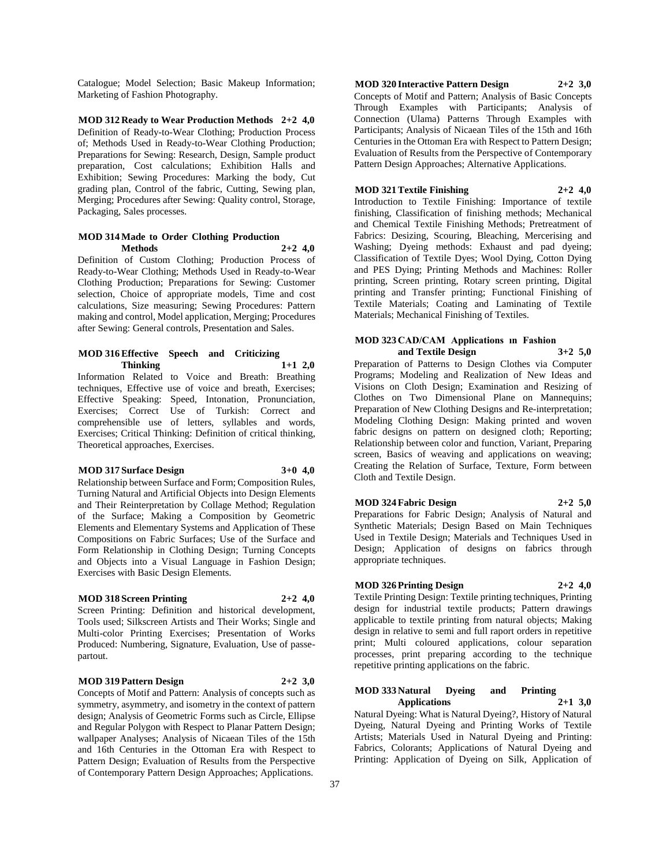Catalogue; Model Selection; Basic Makeup Information; Marketing of Fashion Photography.

**MOD 312 Ready to Wear Production Methods 2+2 4,0** Definition of Ready-to-Wear Clothing; Production Process of; Methods Used in Ready-to-Wear Clothing Production; Preparations for Sewing: Research, Design, Sample product preparation, Cost calculations; Exhibition Halls and Exhibition; Sewing Procedures: Marking the body, Cut grading plan, Control of the fabric, Cutting, Sewing plan, Merging; Procedures after Sewing: Quality control, Storage, Packaging, Sales processes.

#### **MOD 314 Made to Order Clothing Production Methods 2+2 4,0**

Definition of Custom Clothing; Production Process of Ready-to-Wear Clothing; Methods Used in Ready-to-Wear Clothing Production; Preparations for Sewing: Customer selection, Choice of appropriate models, Time and cost calculations, Size measuring; Sewing Procedures: Pattern making and control, Model application, Merging; Procedures after Sewing: General controls, Presentation and Sales.

#### **MOD 316 Effective Speech and Criticizing Thinking 1+1 2,0**

Information Related to Voice and Breath: Breathing techniques, Effective use of voice and breath, Exercises; Effective Speaking: Speed, Intonation, Pronunciation, Exercises; Correct Use of Turkish: Correct and comprehensible use of letters, syllables and words, Exercises; Critical Thinking: Definition of critical thinking, Theoretical approaches, Exercises.

#### **MOD 317 Surface Design 3+0 4,0**

Relationship between Surface and Form; Composition Rules, Turning Natural and Artificial Objects into Design Elements and Their Reinterpretation by Collage Method; Regulation of the Surface; Making a Composition by Geometric Elements and Elementary Systems and Application of These Compositions on Fabric Surfaces; Use of the Surface and Form Relationship in Clothing Design; Turning Concepts and Objects into a Visual Language in Fashion Design; Exercises with Basic Design Elements.

#### **MOD 318 Screen Printing 2+2 4,0**

Screen Printing: Definition and historical development, Tools used; Silkscreen Artists and Their Works; Single and Multi-color Printing Exercises; Presentation of Works Produced: Numbering, Signature, Evaluation, Use of passepartout.

#### **MOD 319 Pattern Design 2+2 3,0**

Concepts of Motif and Pattern: Analysis of concepts such as symmetry, asymmetry, and isometry in the context of pattern design; Analysis of Geometric Forms such as Circle, Ellipse and Regular Polygon with Respect to Planar Pattern Design; wallpaper Analyses; Analysis of Nicaean Tiles of the 15th and 16th Centuries in the Ottoman Era with Respect to Pattern Design; Evaluation of Results from the Perspective of Contemporary Pattern Design Approaches; Applications.

# **MOD 320 Interactive Pattern Design 2+2 3,0**

Concepts of Motif and Pattern; Analysis of Basic Concepts Through Examples with Participants; Analysis of Connection (Ulama) Patterns Through Examples with Participants; Analysis of Nicaean Tiles of the 15th and 16th Centuries in the Ottoman Era with Respect to Pattern Design; Evaluation of Results from the Perspective of Contemporary Pattern Design Approaches; Alternative Applications.

#### **MOD 321 Textile Finishing 2+2 4,0**

Introduction to Textile Finishing: Importance of textile finishing, Classification of finishing methods; Mechanical and Chemical Textile Finishing Methods; Pretreatment of Fabrics: Desizing, Scouring, Bleaching, Mercerising and Washing; Dyeing methods: Exhaust and pad dyeing; Classification of Textile Dyes; Wool Dying, Cotton Dying and PES Dying; Printing Methods and Machines: Roller printing, Screen printing, Rotary screen printing, Digital printing and Transfer printing; Functional Finishing of Textile Materials; Coating and Laminating of Textile Materials; Mechanical Finishing of Textiles.

#### **MOD 323 CAD/CAM Applications ın Fashion and Textile Design 3+2 5,0**

Preparation of Patterns to Design Clothes via Computer Programs; Modeling and Realization of New Ideas and Visions on Cloth Design; Examination and Resizing of Clothes on Two Dimensional Plane on Mannequins; Preparation of New Clothing Designs and Re-interpretation; Modeling Clothing Design: Making printed and woven fabric designs on pattern on designed cloth; Reporting; Relationship between color and function, Variant, Preparing screen, Basics of weaving and applications on weaving; Creating the Relation of Surface, Texture, Form between Cloth and Textile Design.

# **MOD 324 Fabric Design 2+2 5,0**

Preparations for Fabric Design; Analysis of Natural and Synthetic Materials; Design Based on Main Techniques Used in Textile Design; Materials and Techniques Used in Design; Application of designs on fabrics through appropriate techniques.

# **MOD 326 Printing Design 2+2 4,0**

Textile Printing Design: Textile printing techniques, Printing design for industrial textile products; Pattern drawings applicable to textile printing from natural objects; Making design in relative to semi and full raport orders in repetitive print; Multi coloured applications, colour separation processes, print preparing according to the technique repetitive printing applications on the fabric.

# **MOD 333 Natural Dyeing and Printing Applications 2+1 3,0**

Natural Dyeing: What is Natural Dyeing?, History of Natural Dyeing, Natural Dyeing and Printing Works of Textile Artists; Materials Used in Natural Dyeing and Printing: Fabrics, Colorants; Applications of Natural Dyeing and Printing: Application of Dyeing on Silk, Application of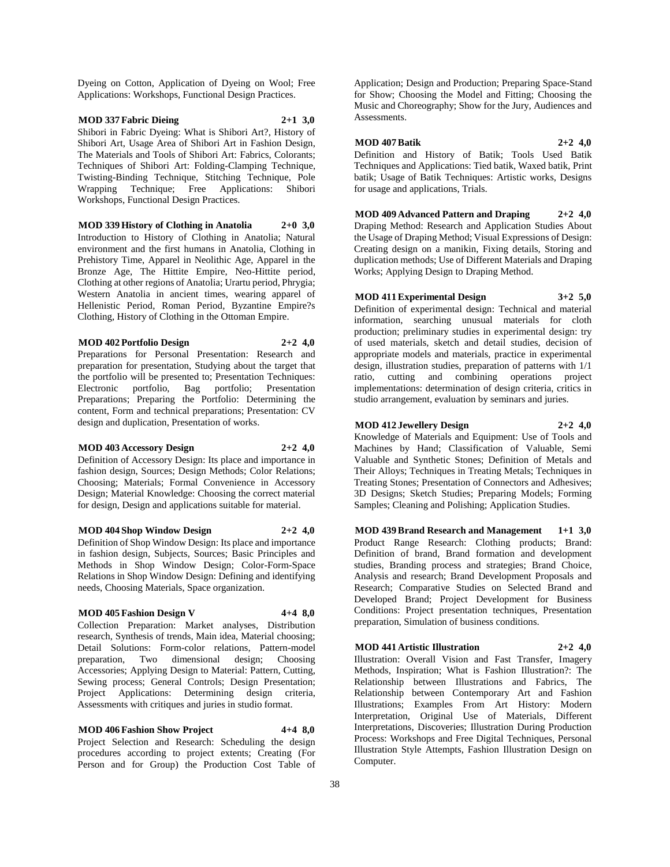Dyeing on Cotton, Application of Dyeing on Wool; Free Applications: Workshops, Functional Design Practices.

## **MOD 337 Fabric Dieing 2+1 3,0**

Shibori in Fabric Dyeing: What is Shibori Art?, History of Shibori Art, Usage Area of Shibori Art in Fashion Design, The Materials and Tools of Shibori Art: Fabrics, Colorants; Techniques of Shibori Art: Folding-Clamping Technique, Twisting-Binding Technique, Stitching Technique, Pole Wrapping Technique; Free Applications: Shibori Workshops, Functional Design Practices.

**MOD 339 History of Clothing in Anatolia 2+0 3,0** Introduction to History of Clothing in Anatolia; Natural environment and the first humans in Anatolia, Clothing in Prehistory Time, Apparel in Neolithic Age, Apparel in the Bronze Age, The Hittite Empire, Neo-Hittite period, Clothing at other regions of Anatolia; Urartu period, Phrygia; Western Anatolia in ancient times, wearing apparel of Hellenistic Period, Roman Period, Byzantine Empire?s Clothing, History of Clothing in the Ottoman Empire.

**MOD 402 Portfolio Design 2+2 4,0** Preparations for Personal Presentation: Research and

preparation for presentation, Studying about the target that the portfolio will be presented to; Presentation Techniques: Electronic portfolio, Bag portfolio; Presentation Preparations; Preparing the Portfolio: Determining the content, Form and technical preparations; Presentation: CV design and duplication, Presentation of works.

#### **MOD 403 Accessory Design 2+2 4,0**

Definition of Accessory Design: Its place and importance in fashion design, Sources; Design Methods; Color Relations; Choosing; Materials; Formal Convenience in Accessory Design; Material Knowledge: Choosing the correct material for design, Design and applications suitable for material.

# **MOD 404 Shop Window Design 2+2 4,0**

Definition of Shop Window Design: Its place and importance in fashion design, Subjects, Sources; Basic Principles and Methods in Shop Window Design; Color-Form-Space Relations in Shop Window Design: Defining and identifying needs, Choosing Materials, Space organization.

#### **MOD 405 Fashion Design V 4+4 8,0**

Collection Preparation: Market analyses, Distribution research, Synthesis of trends, Main idea, Material choosing; Detail Solutions: Form-color relations, Pattern-model preparation, Two dimensional design; Choosing Accessories; Applying Design to Material: Pattern, Cutting, Sewing process; General Controls; Design Presentation; Project Applications: Determining design criteria, Assessments with critiques and juries in studio format.

**MOD 406 Fashion Show Project 4+4 8,0** Project Selection and Research: Scheduling the design procedures according to project extents; Creating (For Person and for Group) the Production Cost Table of

Application; Design and Production; Preparing Space-Stand for Show; Choosing the Model and Fitting; Choosing the Music and Choreography; Show for the Jury, Audiences and Assessments.

#### **MOD 407 Batik 2+2 4,0**

Definition and History of Batik; Tools Used Batik Techniques and Applications: Tied batik, Waxed batik, Print batik; Usage of Batik Techniques: Artistic works, Designs for usage and applications, Trials.

**MOD 409 Advanced Pattern and Draping 2+2 4,0** Draping Method: Research and Application Studies About the Usage of Draping Method; Visual Expressions of Design: Creating design on a manikin, Fixing details, Storing and duplication methods; Use of Different Materials and Draping Works; Applying Design to Draping Method.

## **MOD 411 Experimental Design 3+2 5,0**

Definition of experimental design: Technical and material information, searching unusual materials for cloth production; preliminary studies in experimental design: try of used materials, sketch and detail studies, decision of appropriate models and materials, practice in experimental design, illustration studies, preparation of patterns with 1/1 ratio, cutting and combining operations project implementations: determination of design criteria, critics in studio arrangement, evaluation by seminars and juries.

#### **MOD 412 Jewellery Design 2+2 4,0**

Knowledge of Materials and Equipment: Use of Tools and Machines by Hand; Classification of Valuable, Semi Valuable and Synthetic Stones; Definition of Metals and Their Alloys; Techniques in Treating Metals; Techniques in Treating Stones; Presentation of Connectors and Adhesives; 3D Designs; Sketch Studies; Preparing Models; Forming Samples; Cleaning and Polishing; Application Studies.

**MOD 439 Brand Research and Management 1+1 3,0** Product Range Research: Clothing products; Brand: Definition of brand, Brand formation and development studies, Branding process and strategies; Brand Choice, Analysis and research; Brand Development Proposals and Research; Comparative Studies on Selected Brand and Developed Brand; Project Development for Business Conditions: Project presentation techniques, Presentation preparation, Simulation of business conditions.

# **MOD 441 Artistic Illustration 2+2 4,0**

Illustration: Overall Vision and Fast Transfer, Imagery Methods, Inspiration; What is Fashion Illustration?: The Relationship between Illustrations and Fabrics, The Relationship between Contemporary Art and Fashion Illustrations; Examples From Art History: Modern Interpretation, Original Use of Materials, Different Interpretations, Discoveries; Illustration During Production Process: Workshops and Free Digital Techniques, Personal Illustration Style Attempts, Fashion Illustration Design on Computer.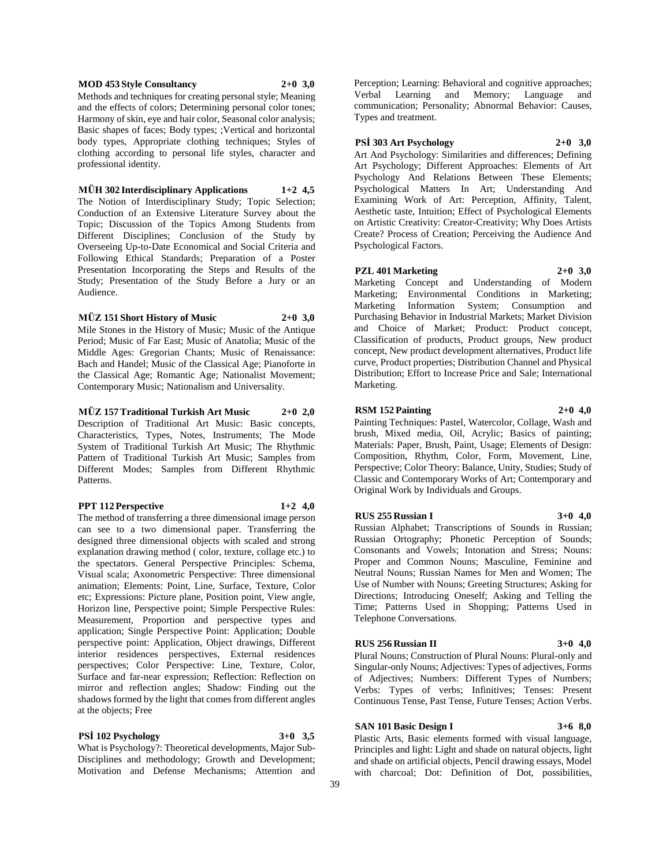#### **MOD 453 Style Consultancy 2+0 3,0**

Methods and techniques for creating personal style; Meaning and the effects of colors; Determining personal color tones; Harmony of skin, eye and hair color, Seasonal color analysis; Basic shapes of faces; Body types; ;Vertical and horizontal body types, Appropriate clothing techniques; Styles of clothing according to personal life styles, character and professional identity.

#### **MÜH 302 Interdisciplinary Applications 1+2 4,5**

The Notion of Interdisciplinary Study; Topic Selection; Conduction of an Extensive Literature Survey about the Topic; Discussion of the Topics Among Students from Different Disciplines; Conclusion of the Study by Overseeing Up-to-Date Economical and Social Criteria and Following Ethical Standards; Preparation of a Poster Presentation Incorporating the Steps and Results of the Study; Presentation of the Study Before a Jury or an Audience.

#### **MÜZ 151 Short History of Music 2+0 3,0**

Mile Stones in the History of Music; Music of the Antique Period; Music of Far East; Music of Anatolia; Music of the Middle Ages: Gregorian Chants; Music of Renaissance: Bach and Handel; Music of the Classical Age; Pianoforte in the Classical Age; Romantic Age; Nationalist Movement; Contemporary Music; Nationalism and Universality.

**MÜZ 157 Traditional Turkish Art Music 2+0 2,0** Description of Traditional Art Music: Basic concepts, Characteristics, Types, Notes, Instruments; The Mode System of Traditional Turkish Art Music; The Rhythmic Pattern of Traditional Turkish Art Music; Samples from Different Modes; Samples from Different Rhythmic Patterns.

# **PPT 112 Perspective 1+2 4,0**

The method of transferring a three dimensional image person can see to a two dimensional paper. Transferring the designed three dimensional objects with scaled and strong explanation drawing method ( color, texture, collage etc.) to the spectators. General Perspective Principles: Schema, Visual scala; Axonometric Perspective: Three dimensional animation; Elements: Point, Line, Surface, Texture, Color etc; Expressions: Picture plane, Position point, View angle, Horizon line, Perspective point; Simple Perspective Rules: Measurement, Proportion and perspective types and application; Single Perspective Point: Application; Double perspective point: Application, Object drawings, Different interior residences perspectives, External residences perspectives; Color Perspective: Line, Texture, Color, Surface and far-near expression; Reflection: Reflection on mirror and reflection angles; Shadow: Finding out the shadows formed by the light that comes from different angles at the objects; Free

# **PSİ 102 Psychology 3+0 3,5**

What is Psychology?: Theoretical developments, Major Sub-Disciplines and methodology; Growth and Development; Motivation and Defense Mechanisms; Attention and Perception; Learning: Behavioral and cognitive approaches; Verbal Learning and Memory; Language and communication; Personality; Abnormal Behavior: Causes, Types and treatment.

**PSİ 303 Art Psychology 2+0 3,0**

Art And Psychology: Similarities and differences; Defining Art Psychology; Different Approaches: Elements of Art Psychology And Relations Between These Elements; Psychological Matters In Art; Understanding And Examining Work of Art: Perception, Affinity, Talent, Aesthetic taste, Intuition; Effect of Psychological Elements on Artistic Creativity: Creator-Creativity; Why Does Artists Create? Process of Creation; Perceiving the Audience And Psychological Factors.

## **PZL 401 Marketing 2+0 3,0**

Marketing Concept and Understanding of Modern Marketing; Environmental Conditions in Marketing; Marketing Information System; Consumption and Purchasing Behavior in Industrial Markets; Market Division and Choice of Market; Product: Product concept, Classification of products, Product groups, New product concept, New product development alternatives, Product life curve, Product properties; Distribution Channel and Physical Distribution; Effort to Increase Price and Sale; International Marketing.

#### **RSM 152 Painting 2+0 4,0**

Painting Techniques: Pastel, Watercolor, Collage, Wash and brush, Mixed media, Oil, Acrylic; Basics of painting; Materials: Paper, Brush, Paint, Usage; Elements of Design: Composition, Rhythm, Color, Form, Movement, Line, Perspective; Color Theory: Balance, Unity, Studies; Study of Classic and Contemporary Works of Art; Contemporary and Original Work by Individuals and Groups.

#### **RUS 255 Russian I 3+0 4,0**

Russian Alphabet; Transcriptions of Sounds in Russian; Russian Ortography; Phonetic Perception of Sounds; Consonants and Vowels; Intonation and Stress; Nouns: Proper and Common Nouns; Masculine, Feminine and Neutral Nouns; Russian Names for Men and Women; The Use of Number with Nouns; Greeting Structures; Asking for Directions; Introducing Oneself; Asking and Telling the Time; Patterns Used in Shopping; Patterns Used in Telephone Conversations.

#### **RUS 256 Russian II 3+0 4,0**

Plural Nouns; Construction of Plural Nouns: Plural-only and Singular-only Nouns; Adjectives: Types of adjectives, Forms of Adjectives; Numbers: Different Types of Numbers; Verbs: Types of verbs; Infinitives; Tenses: Present Continuous Tense, Past Tense, Future Tenses; Action Verbs.

### **SAN 101 Basic Design I 3+6 8,0**

Plastic Arts, Basic elements formed with visual language, Principles and light: Light and shade on natural objects, light and shade on artificial objects, Pencil drawing essays, Model with charcoal; Dot: Definition of Dot, possibilities,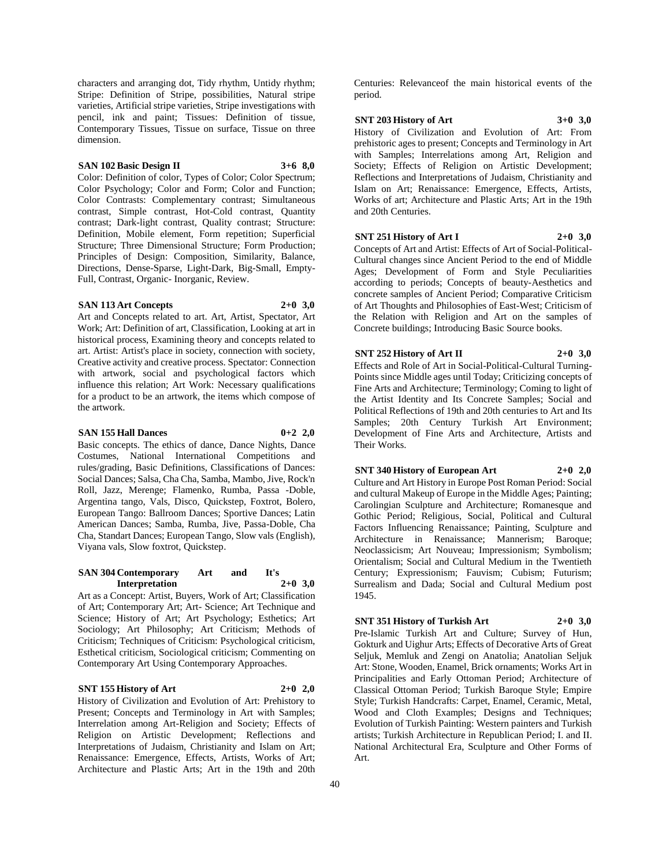characters and arranging dot, Tidy rhythm, Untidy rhythm; Stripe: Definition of Stripe, possibilities, Natural stripe varieties, Artificial stripe varieties, Stripe investigations with pencil, ink and paint; Tissues: Definition of tissue, Contemporary Tissues, Tissue on surface, Tissue on three dimension.

#### **SAN 102 Basic Design II 3+6 8,0**

Color: Definition of color, Types of Color; Color Spectrum; Color Psychology; Color and Form; Color and Function; Color Contrasts: Complementary contrast; Simultaneous contrast, Simple contrast, Hot-Cold contrast, Quantity contrast; Dark-light contrast, Quality contrast; Structure: Definition, Mobile element, Form repetition; Superficial Structure; Three Dimensional Structure; Form Production; Principles of Design: Composition, Similarity, Balance, Directions, Dense-Sparse, Light-Dark, Big-Small, Empty-Full, Contrast, Organic- Inorganic, Review.

#### **SAN 113 Art Concepts 2+0 3,0**

Art and Concepts related to art. Art, Artist, Spectator, Art Work; Art: Definition of art, Classification, Looking at art in historical process, Examining theory and concepts related to art. Artist: Artist's place in society, connection with society, Creative activity and creative process. Spectator: Connection with artwork, social and psychological factors which influence this relation; Art Work: Necessary qualifications for a product to be an artwork, the items which compose of the artwork.

#### **SAN 155 Hall Dances 0+2 2,0**

Basic concepts. The ethics of dance, Dance Nights, Dance Costumes, National International Competitions and rules/grading, Basic Definitions, Classifications of Dances: Social Dances; Salsa, Cha Cha, Samba, Mambo, Jive, Rock'n Roll, Jazz, Merenge; Flamenko, Rumba, Passa -Doble, Argentina tango, Vals, Disco, Quickstep, Foxtrot, Bolero, European Tango: Ballroom Dances; Sportive Dances; Latin American Dances; Samba, Rumba, Jive, Passa-Doble, Cha Cha, Standart Dances; European Tango, Slow vals (English), Viyana vals, Slow foxtrot, Quickstep.

#### **SAN 304 Contemporary Art and It's Interpretation 2+0 3,0**

Art as a Concept: Artist, Buyers, Work of Art; Classification of Art; Contemporary Art; Art- Science; Art Technique and Science; History of Art; Art Psychology; Esthetics; Art Sociology; Art Philosophy; Art Criticism; Methods of Criticism; Techniques of Criticism: Psychological criticism, Esthetical criticism, Sociological criticism; Commenting on Contemporary Art Using Contemporary Approaches.

# **SNT 155 History of Art 2+0 2,0**

History of Civilization and Evolution of Art: Prehistory to Present; Concepts and Terminology in Art with Samples; Interrelation among Art-Religion and Society; Effects of Religion on Artistic Development; Reflections and Interpretations of Judaism, Christianity and Islam on Art; Renaissance: Emergence, Effects, Artists, Works of Art; Architecture and Plastic Arts; Art in the 19th and 20th

Centuries: Relevanceof the main historical events of the period.

#### **SNT 203 History of Art 3+0 3,0**

History of Civilization and Evolution of Art: From prehistoric ages to present; Concepts and Terminology in Art with Samples; Interrelations among Art, Religion and Society; Effects of Religion on Artistic Development; Reflections and Interpretations of Judaism, Christianity and Islam on Art; Renaissance: Emergence, Effects, Artists, Works of art; Architecture and Plastic Arts; Art in the 19th and 20th Centuries.

#### **SNT 251 History of Art I 2+0 3,0**

Concepts of Art and Artist: Effects of Art of Social-Political-Cultural changes since Ancient Period to the end of Middle Ages; Development of Form and Style Peculiarities according to periods; Concepts of beauty-Aesthetics and concrete samples of Ancient Period; Comparative Criticism of Art Thoughts and Philosophies of East-West; Criticism of the Relation with Religion and Art on the samples of Concrete buildings; Introducing Basic Source books.

#### **SNT 252 History of Art II 2+0 3,0**

Effects and Role of Art in Social-Political-Cultural Turning-Points since Middle ages until Today; Criticizing concepts of Fine Arts and Architecture; Terminology; Coming to light of the Artist Identity and Its Concrete Samples; Social and Political Reflections of 19th and 20th centuries to Art and Its Samples; 20th Century Turkish Art Environment; Development of Fine Arts and Architecture, Artists and Their Works.

**SNT 340 History of European Art 2+0 2,0** Culture and Art History in Europe Post Roman Period: Social

and cultural Makeup of Europe in the Middle Ages; Painting; Carolingian Sculpture and Architecture; Romanesque and Gothic Period; Religious, Social, Political and Cultural Factors Influencing Renaissance; Painting, Sculpture and Architecture in Renaissance; Mannerism; Baroque; Neoclassicism; Art Nouveau; Impressionism; Symbolism; Orientalism; Social and Cultural Medium in the Twentieth Century; Expressionism; Fauvism; Cubism; Futurism; Surrealism and Dada; Social and Cultural Medium post 1945.

#### **SNT 351 History of Turkish Art 2+0 3,0**

Pre-Islamic Turkish Art and Culture; Survey of Hun, Gokturk and Uighur Arts; Effects of Decorative Arts of Great Seljuk, Memluk and Zengi on Anatolia; Anatolian Seljuk Art: Stone, Wooden, Enamel, Brick ornaments; Works Art in Principalities and Early Ottoman Period; Architecture of Classical Ottoman Period; Turkish Baroque Style; Empire Style; Turkish Handcrafts: Carpet, Enamel, Ceramic, Metal, Wood and Cloth Examples; Designs and Techniques; Evolution of Turkish Painting: Western painters and Turkish artists; Turkish Architecture in Republican Period; I. and II. National Architectural Era, Sculpture and Other Forms of Art.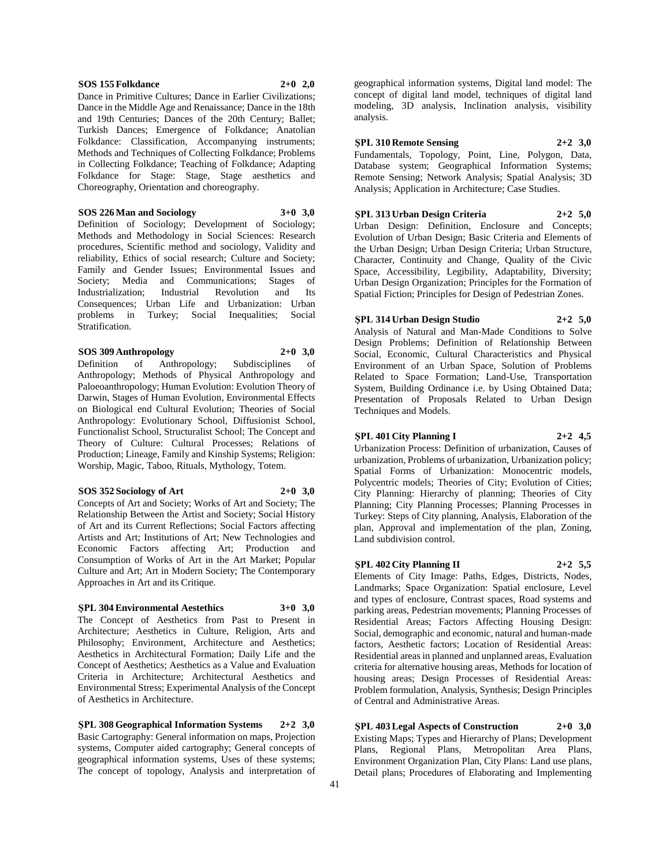#### **SOS 155 Folkdance 2+0 2,0**

Dance in Primitive Cultures; Dance in Earlier Civilizations; Dance in the Middle Age and Renaissance; Dance in the 18th and 19th Centuries; Dances of the 20th Century; Ballet; Turkish Dances; Emergence of Folkdance; Anatolian Folkdance: Classification, Accompanying instruments; Methods and Techniques of Collecting Folkdance; Problems in Collecting Folkdance; Teaching of Folkdance; Adapting Folkdance for Stage: Stage, Stage aesthetics and Choreography, Orientation and choreography.

**SOS 226 Man and Sociology 3+0 3,0**

Definition of Sociology; Development of Sociology; Methods and Methodology in Social Sciences: Research procedures, Scientific method and sociology, Validity and reliability, Ethics of social research; Culture and Society; Family and Gender Issues; Environmental Issues and Society: Media and Communications: Stages of Industrialization; Industrial Revolution and Its Consequences; Urban Life and Urbanization: Urban problems in Turkey; Social Inequalities; Social Stratification.

#### **SOS 309 Anthropology 2+0 3,0**

Definition of Anthropology; Subdisciplines of Anthropology; Methods of Physical Anthropology and Paloeoanthropology; Human Evolution: Evolution Theory of Darwin, Stages of Human Evolution, Environmental Effects on Biological end Cultural Evolution; Theories of Social Anthropology: Evolutionary School, Diffusionist School, Functionalist School, Structuralist School; The Concept and Theory of Culture: Cultural Processes; Relations of Production; Lineage, Family and Kinship Systems; Religion: Worship, Magic, Taboo, Rituals, Mythology, Totem.

#### **SOS 352 Sociology of Art 2+0 3,0**

Concepts of Art and Society; Works of Art and Society; The Relationship Between the Artist and Society; Social History of Art and its Current Reflections; Social Factors affecting Artists and Art; Institutions of Art; New Technologies and Economic Factors affecting Art; Production and Consumption of Works of Art in the Art Market; Popular Culture and Art; Art in Modern Society; The Contemporary Approaches in Art and its Critique.

#### **ŞPL 304 Environmental Aestethics 3+0 3,0**

The Concept of Aesthetics from Past to Present in Architecture; Aesthetics in Culture, Religion, Arts and Philosophy; Environment, Architecture and Aesthetics; Aesthetics in Architectural Formation; Daily Life and the Concept of Aesthetics; Aesthetics as a Value and Evaluation Criteria in Architecture; Architectural Aesthetics and Environmental Stress; Experimental Analysis of the Concept of Aesthetics in Architecture.

**ŞPL 308 Geographical Information Systems 2+2 3,0** Basic Cartography: General information on maps, Projection systems, Computer aided cartography; General concepts of geographical information systems, Uses of these systems; The concept of topology, Analysis and interpretation of

geographical information systems, Digital land model: The concept of digital land model, techniques of digital land modeling, 3D analysis, Inclination analysis, visibility analysis.

#### **ŞPL 310 Remote Sensing 2+2 3,0**

Fundamentals, Topology, Point, Line, Polygon, Data, Database system; Geographical Information Systems; Remote Sensing; Network Analysis; Spatial Analysis; 3D Analysis; Application in Architecture; Case Studies.

# **ŞPL 313 Urban Design Criteria 2+2 5,0**

Urban Design: Definition, Enclosure and Concepts; Evolution of Urban Design; Basic Criteria and Elements of the Urban Design; Urban Design Criteria; Urban Structure, Character, Continuity and Change, Quality of the Civic Space, Accessibility, Legibility, Adaptability, Diversity; Urban Design Organization; Principles for the Formation of Spatial Fiction; Principles for Design of Pedestrian Zones.

#### **ŞPL 314 Urban Design Studio 2+2 5,0**

Analysis of Natural and Man-Made Conditions to Solve Design Problems; Definition of Relationship Between Social, Economic, Cultural Characteristics and Physical Environment of an Urban Space, Solution of Problems Related to Space Formation; Land-Use, Transportation System, Building Ordinance i.e. by Using Obtained Data; Presentation of Proposals Related to Urban Design Techniques and Models.

#### **ŞPL 401 City Planning I 2+2 4,5**

Urbanization Process: Definition of urbanization, Causes of urbanization, Problems of urbanization, Urbanization policy; Spatial Forms of Urbanization: Monocentric models, Polycentric models; Theories of City; Evolution of Cities; City Planning: Hierarchy of planning; Theories of City Planning; City Planning Processes; Planning Processes in Turkey: Steps of City planning, Analysis, Elaboration of the plan, Approval and implementation of the plan, Zoning, Land subdivision control.

#### **ŞPL 402 City Planning II 2+2 5,5**

Elements of City Image: Paths, Edges, Districts, Nodes, Landmarks; Space Organization: Spatial enclosure, Level and types of enclosure, Contrast spaces, Road systems and parking areas, Pedestrian movements; Planning Processes of Residential Areas; Factors Affecting Housing Design: Social, demographic and economic, natural and human-made factors, Aesthetic factors; Location of Residential Areas: Residential areas in planned and unplanned areas, Evaluation criteria for alternative housing areas, Methods for location of housing areas; Design Processes of Residential Areas: Problem formulation, Analysis, Synthesis; Design Principles of Central and Administrative Areas.

**ŞPL 403 Legal Aspects of Construction 2+0 3,0** Existing Maps; Types and Hierarchy of Plans; Development Plans, Regional Plans, Metropolitan Area Plans, Environment Organization Plan, City Plans: Land use plans, Detail plans; Procedures of Elaborating and Implementing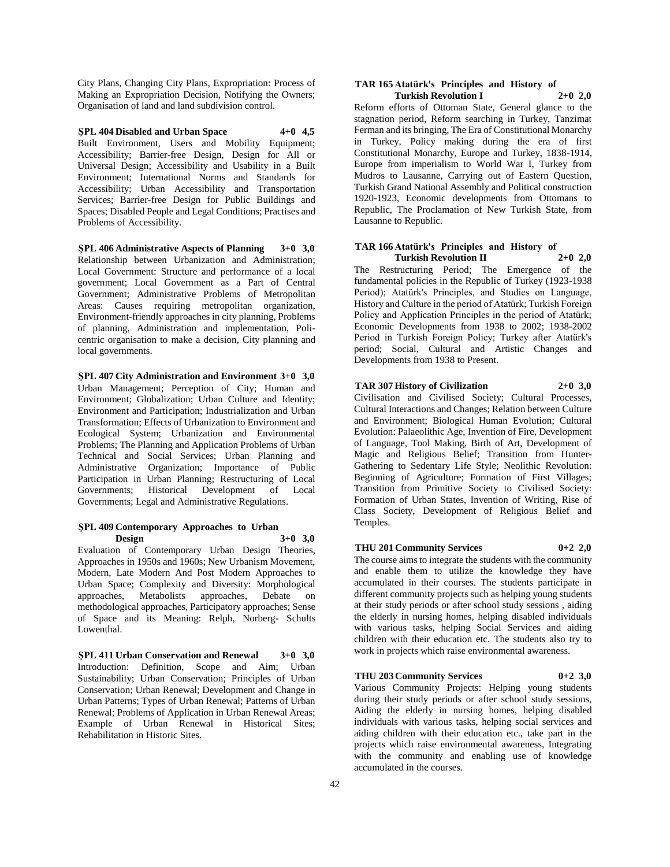City Plans, Changing City Plans, Expropriation: Process of Making an Expropriation Decision, Notifying the Owners; Organisation of land and land subdivision control.

**ŞPL 404 Disabled and Urban Space 4+0 4,5** Built Environment, Users and Mobility Equipment; Accessibility; Barrier-free Design, Design for All or Universal Design; Accessibility and Usability in a Built Environment; International Norms and Standards for Accessibility; Urban Accessibility and Transportation Services; Barrier-free Design for Public Buildings and Spaces; Disabled People and Legal Conditions; Practises and Problems of Accessibility.

**ŞPL 406 Administrative Aspects of Planning 3+0 3,0** Relationship between Urbanization and Administration; Local Government: Structure and performance of a local government; Local Government as a Part of Central Government; Administrative Problems of Metropolitan Areas: Causes requiring metropolitan organization, Environment-friendly approaches in city planning, Problems of planning, Administration and implementation, Policentric organisation to make a decision, City planning and local governments.

**ŞPL 407 City Administration and Environment 3+0 3,0** Urban Management; Perception of City; Human and Environment; Globalization; Urban Culture and Identity; Environment and Participation; Industrialization and Urban Transformation; Effects of Urbanization to Environment and Ecological System; Urbanization and Environmental Problems; The Planning and Application Problems of Urban Technical and Social Services; Urban Planning and Administrative Organization; Importance of Public Participation in Urban Planning; Restructuring of Local Governments; Historical Development of Local Governments; Legal and Administrative Regulations.

#### **ŞPL 409 Contemporary Approaches to Urban Design 3+0 3,0**

Evaluation of Contemporary Urban Design Theories, Approaches in 1950s and 1960s; New Urbanism Movement, Modern, Late Modern And Post Modern Approaches to Urban Space; Complexity and Diversity: Morphological approaches, Metabolists approaches, Debate on methodological approaches, Participatory approaches; Sense of Space and its Meaning: Relph, Norberg- Schults Lowenthal.

**ŞPL 411 Urban Conservation and Renewal 3+0 3,0** Introduction: Definition, Scope and Aim; Urban Sustainability; Urban Conservation; Principles of Urban Conservation; Urban Renewal; Development and Change in Urban Patterns; Types of Urban Renewal; Patterns of Urban Renewal; Problems of Application in Urban Renewal Areas; Example of Urban Renewal in Historical Sites; Rehabilitation in Historic Sites.

#### **TAR 165 Atatürk's Principles and History of Turkish Revolution I 2+0 2,0**

Reform efforts of Ottoman State, General glance to the stagnation period, Reform searching in Turkey, Tanzimat Ferman and its bringing, The Era of Constitutional Monarchy in Turkey, Policy making during the era of first Constitutional Monarchy, Europe and Turkey, 1838-1914, Europe from imperialism to World War I, Turkey from Mudros to Lausanne, Carrying out of Eastern Question, Turkish Grand National Assembly and Political construction 1920-1923, Economic developments from Ottomans to Republic, The Proclamation of New Turkish State, from Lausanne to Republic.

#### **TAR 166 Atatürk's Principles and History of Turkish Revolution II 2+0 2,0**

The Restructuring Period; The Emergence of the fundamental policies in the Republic of Turkey (1923-1938 Period); Atatürk's Principles, and Studies on Language, History and Culture in the period of Atatürk; Turkish Foreign Policy and Application Principles in the period of Atatürk; Economic Developments from 1938 to 2002; 1938-2002 Period in Turkish Foreign Policy; Turkey after Atatürk's period; Social, Cultural and Artistic Changes and Developments from 1938 to Present.

# **TAR 307 History of Civilization 2+0 3,0**

Civilisation and Civilised Society; Cultural Processes, Cultural Interactions and Changes; Relation between Culture and Environment; Biological Human Evolution; Cultural Evolution: Palaeolithic Age, Invention of Fire, Development of Language, Tool Making, Birth of Art, Development of Magic and Religious Belief; Transition from Hunter-Gathering to Sedentary Life Style; Neolithic Revolution: Beginning of Agriculture; Formation of First Villages; Transition from Primitive Society to Civilised Society: Formation of Urban States, Invention of Writing, Rise of Class Society, Development of Religious Belief and Temples.

### **THU 201 Community Services 0+2 2,0**

The course aims to integrate the students with the community and enable them to utilize the knowledge they have accumulated in their courses. The students participate in different community projects such as helping young students at their study periods or after school study sessions , aiding the elderly in nursing homes, helping disabled individuals with various tasks, helping Social Services and aiding children with their education etc. The students also try to work in projects which raise environmental awareness.

#### **THU 203 Community Services 0+2 3,0**

Various Community Projects: Helping young students during their study periods or after school study sessions, Aiding the elderly in nursing homes, helping disabled individuals with various tasks, helping social services and aiding children with their education etc., take part in the projects which raise environmental awareness, Integrating with the community and enabling use of knowledge accumulated in the courses.